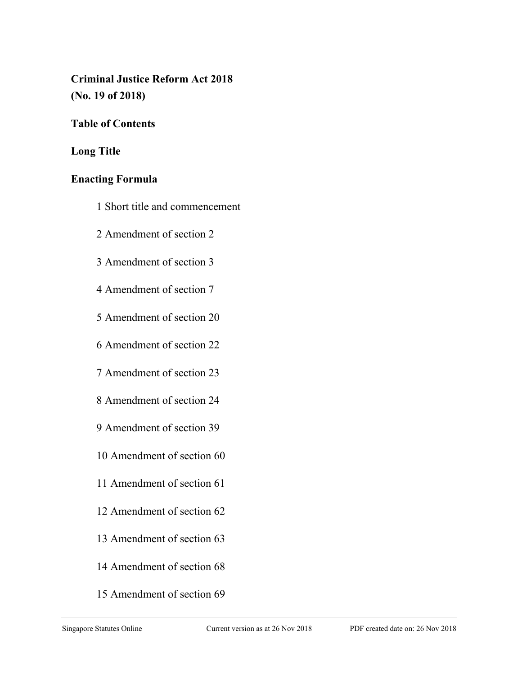# **Criminal Justice Reform Act 2018 (No. 19 of 2018)**

# **Table of Contents**

# **Long Title**

## **Enacting Formula**

- 1 Short title and commencement
- 2 Amendment of section 2
- 3 Amendment of section 3
- 4 Amendment of section 7
- 5 Amendment of section 20
- 6 Amendment of section 22
- 7 Amendment of section 23
- 8 Amendment of section 24
- 9 Amendment of section 39
- 10 Amendment of section 60
- 11 Amendment of section 61
- 12 Amendment of section 62
- 13 Amendment of section 63
- 14 Amendment of section 68
- 15 Amendment of section 69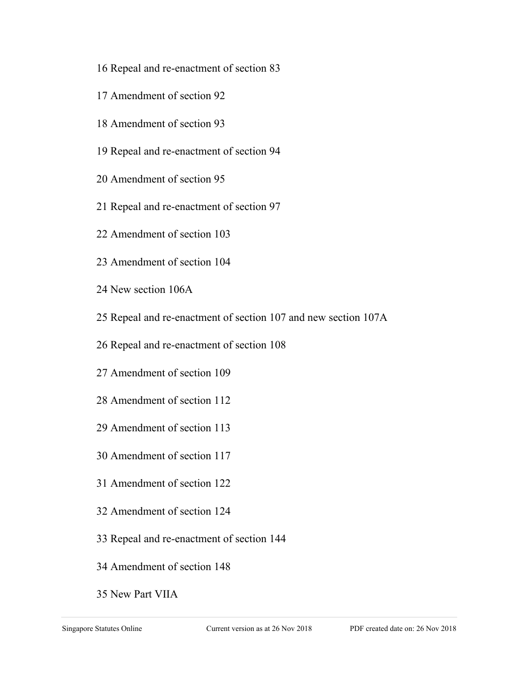- 16 Repeal and re-enactment of section 83
- 17 Amendment of section 92
- 18 Amendment of section 93
- 19 Repeal and re-enactment of section 94
- 20 Amendment of section 95
- 21 Repeal and re-enactment of section 97
- 22 Amendment of section 103
- 23 Amendment of section 104
- 24 New section 106A
- 25 Repeal and re-enactment of section 107 and new section 107A
- 26 Repeal and re-enactment of section 108
- 27 Amendment of section 109
- 28 Amendment of section 112
- 29 Amendment of section 113
- 30 Amendment of section 117
- 31 Amendment of section 122
- 32 Amendment of section 124
- 33 Repeal and re-enactment of section 144
- 34 Amendment of section 148
- 35 New Part VIIA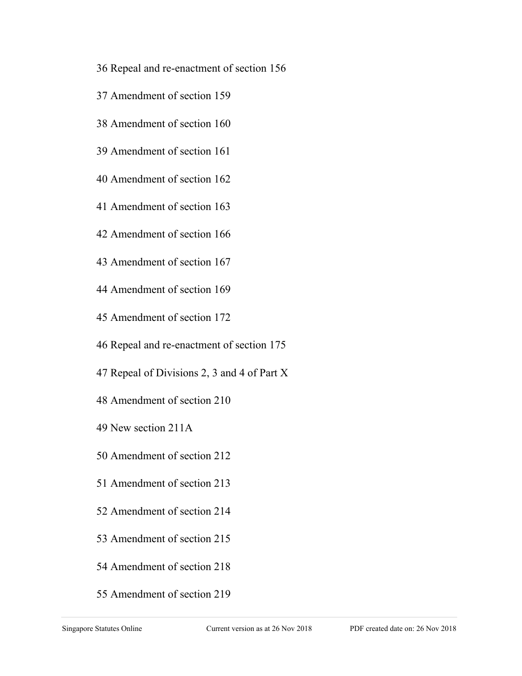- 36 Repeal and re-enactment of section 156
- 37 Amendment of section 159
- 38 Amendment of section 160
- 39 Amendment of section 161
- 40 Amendment of section 162
- 41 Amendment of section 163
- 42 Amendment of section 166
- 43 Amendment of section 167
- 44 Amendment of section 169
- 45 Amendment of section 172
- 46 Repeal and re-enactment of section 175
- 47 Repeal of Divisions 2, 3 and 4 of Part X
- 48 Amendment of section 210
- 49 New section 211A
- 50 Amendment of section 212
- 51 Amendment of section 213
- 52 Amendment of section 214
- 53 Amendment of section 215
- 54 Amendment of section 218
- 55 Amendment of section 219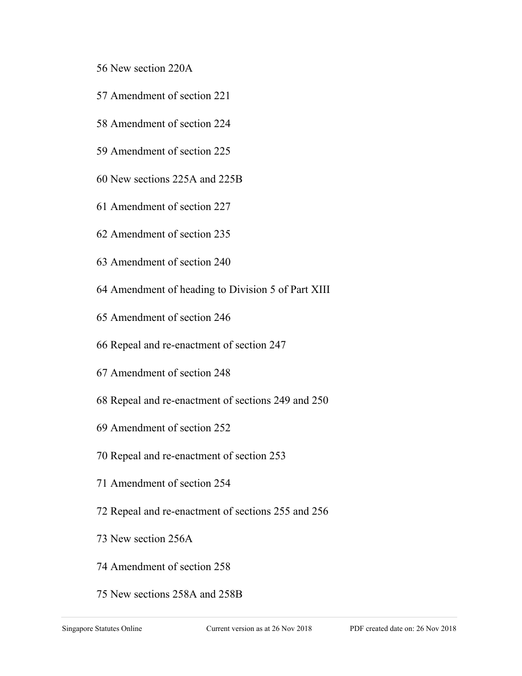- 56 New section 220A
- 57 Amendment of section 221
- 58 Amendment of section 224
- 59 Amendment of section 225
- 60 New sections 225A and 225B
- 61 Amendment of section 227
- 62 Amendment of section 235
- 63 Amendment of section 240
- 64 Amendment of heading to Division 5 of Part XIII
- 65 Amendment of section 246
- 66 Repeal and re-enactment of section 247
- 67 Amendment of section 248
- 68 Repeal and re-enactment of sections 249 and 250
- 69 Amendment of section 252
- 70 Repeal and re-enactment of section 253
- 71 Amendment of section 254
- 72 Repeal and re-enactment of sections 255 and 256
- 73 New section 256A
- 74 Amendment of section 258
- 75 New sections 258A and 258B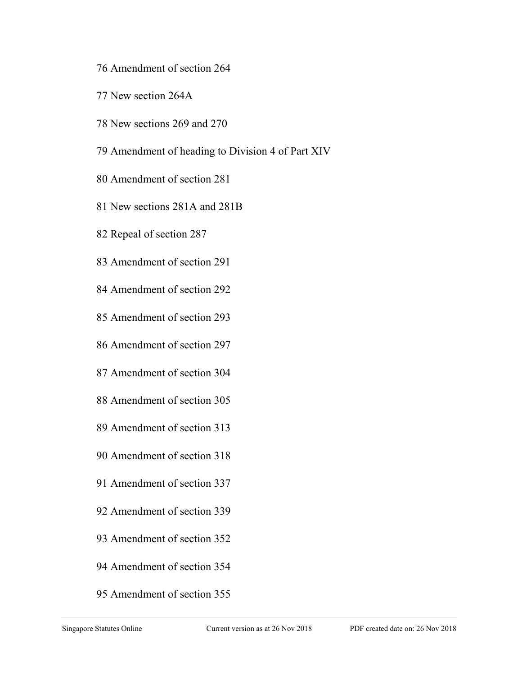- 76 Amendment of section 264
- 77 New section 264A
- 78 New sections 269 and 270
- 79 Amendment of heading to Division 4 of Part XIV
- 80 Amendment of section 281
- 81 New sections 281A and 281B
- 82 Repeal of section 287
- 83 Amendment of section 291
- 84 Amendment of section 292
- 85 Amendment of section 293
- 86 Amendment of section 297
- 87 Amendment of section 304
- 88 Amendment of section 305
- 89 Amendment of section 313
- 90 Amendment of section 318
- 91 Amendment of section 337
- 92 Amendment of section 339
- 93 Amendment of section 352
- 94 Amendment of section 354
- 95 Amendment of section 355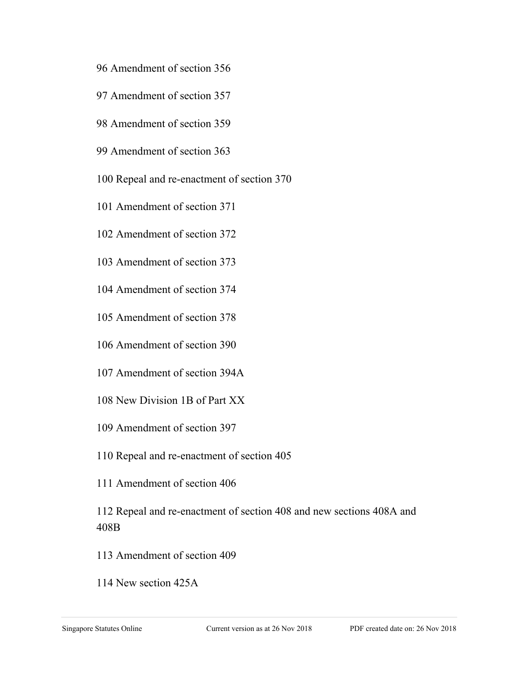- 96 Amendment of section 356
- 97 Amendment of section 357
- 98 Amendment of section 359
- 99 Amendment of section 363
- 100 Repeal and re-enactment of section 370
- 101 Amendment of section 371
- 102 Amendment of section 372
- 103 Amendment of section 373
- 104 Amendment of section 374
- 105 Amendment of section 378
- 106 Amendment of section 390
- 107 Amendment of section 394A
- 108 New Division 1B of Part XX
- 109 Amendment of section 397
- 110 Repeal and re-enactment of section 405
- 111 Amendment of section 406

112 Repeal and re-enactment of section 408 and new sections 408A and 408B

- 113 Amendment of section 409
- 114 New section 425A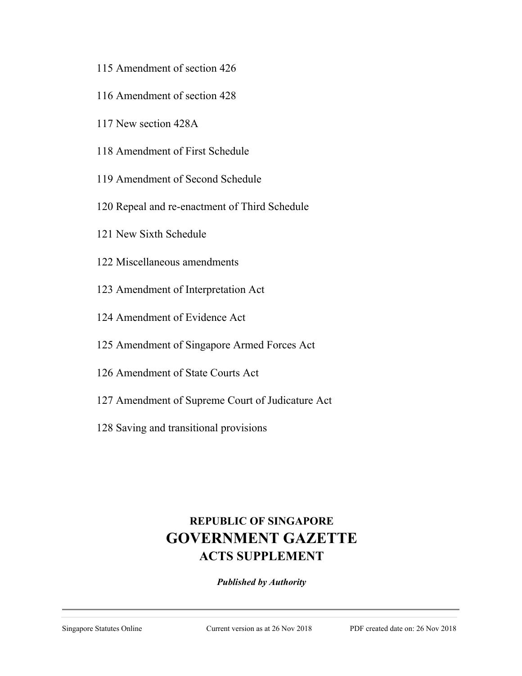- 115 Amendment of section 426
- 116 Amendment of section 428
- 117 New section 428A
- 118 Amendment of First Schedule
- 119 Amendment of Second Schedule
- 120 Repeal and re-enactment of Third Schedule
- 121 New Sixth Schedule
- 122 Miscellaneous amendments
- 123 Amendment of Interpretation Act
- 124 Amendment of Evidence Act
- 125 Amendment of Singapore Armed Forces Act
- 126 Amendment of State Courts Act
- 127 Amendment of Supreme Court of Judicature Act
- 128 Saving and transitional provisions

# **REPUBLIC OF SINGAPORE GOVERNMENT GAZETTE ACTS SUPPLEMENT**

*Published by Authority*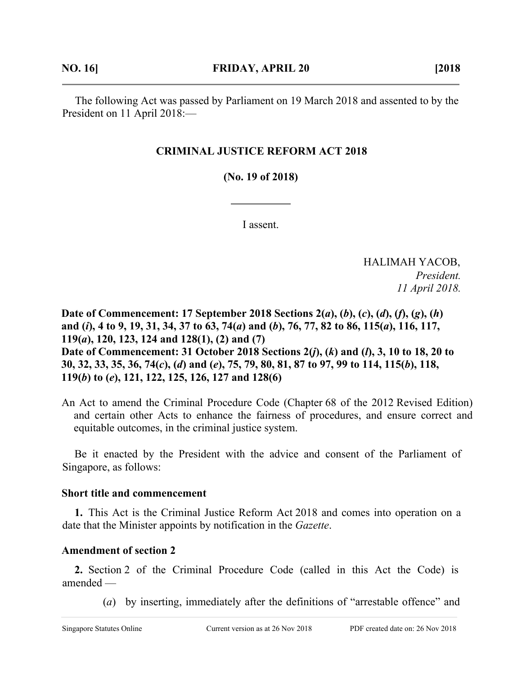The following Act was passed by Parliament on 19 March 2018 and assented to by the President on 11 April 2018:—

## **CRIMINAL JUSTICE REFORM ACT 2018**

**(No. 19 of 2018)**

I assent.

HALIMAH YACOB, *President. 11 April 2018.*

**Date of Commencement: 17 September 2018 Sections 2(***a***), (***b***), (***c***), (***d***), (***f***), (***g***), (***h***) and (***i***), 4 to 9, 19, 31, 34, 37 to 63, 74(***a***) and (***b***), 76, 77, 82 to 86, 115(***a***), 116, 117, 119(***a***), 120, 123, 124 and 128(1), (2) and (7) Date of Commencement: 31 October 2018 Sections 2(***j***), (***k***) and (***l***), 3, 10 to 18, 20 to 30, 32, 33, 35, 36, 74(***c***), (***d***) and (***e***), 75, 79, 80, 81, 87 to 97, 99 to 114, 115(***b***), 118, 119(***b***) to (***e***), 121, 122, 125, 126, 127 and 128(6)** 

An Act to amend the Criminal Procedure Code (Chapter 68 of the 2012 Revised Edition) and certain other Acts to enhance the fairness of procedures, and ensure correct and equitable outcomes, in the criminal justice system.

Be it enacted by the President with the advice and consent of the Parliament of Singapore, as follows:

#### **Short title and commencement**

**1.** This Act is the Criminal Justice Reform Act 2018 and comes into operation on a date that the Minister appoints by notification in the *Gazette*.

#### **Amendment of section 2**

**2.** Section 2 of the Criminal Procedure Code (called in this Act the Code) is amended —

(*a*) by inserting, immediately after the definitions of "arrestable offence" and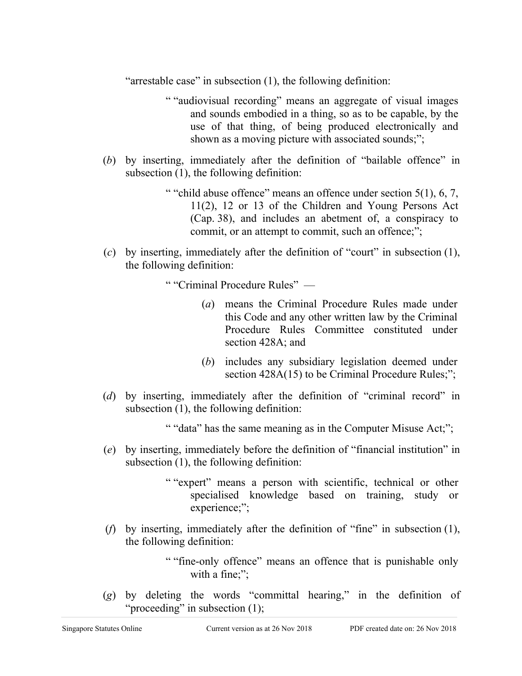"arrestable case" in subsection (1), the following definition:

- " "audiovisual recording" means an aggregate of visual images and sounds embodied in a thing, so as to be capable, by the use of that thing, of being produced electronically and shown as a moving picture with associated sounds;";
- (*b*) by inserting, immediately after the definition of "bailable offence" in subsection (1), the following definition:
	- " "child abuse offence" means an offence under section  $5(1)$ , 6, 7, 11(2), 12 or 13 of the Children and Young Persons Act (Cap. 38), and includes an abetment of, a conspiracy to commit, or an attempt to commit, such an offence;";
- (*c*) by inserting, immediately after the definition of "court" in subsection (1), the following definition:

" "Criminal Procedure Rules" —

- (*a*) means the Criminal Procedure Rules made under this Code and any other written law by the Criminal Procedure Rules Committee constituted under section 428A; and
- (*b*) includes any subsidiary legislation deemed under section 428A(15) to be Criminal Procedure Rules;";
- (*d*) by inserting, immediately after the definition of "criminal record" in subsection (1), the following definition:

" "data" has the same meaning as in the Computer Misuse Act;";

- (*e*) by inserting, immediately before the definition of "financial institution" in subsection (1), the following definition:
	- " "expert" means a person with scientific, technical or other specialised knowledge based on training, study or experience;";
- (*f*) by inserting, immediately after the definition of "fine" in subsection (1), the following definition:
	- " "fine-only offence" means an offence that is punishable only with a fine;";
- (*g*) by deleting the words "committal hearing," in the definition of "proceeding" in subsection (1);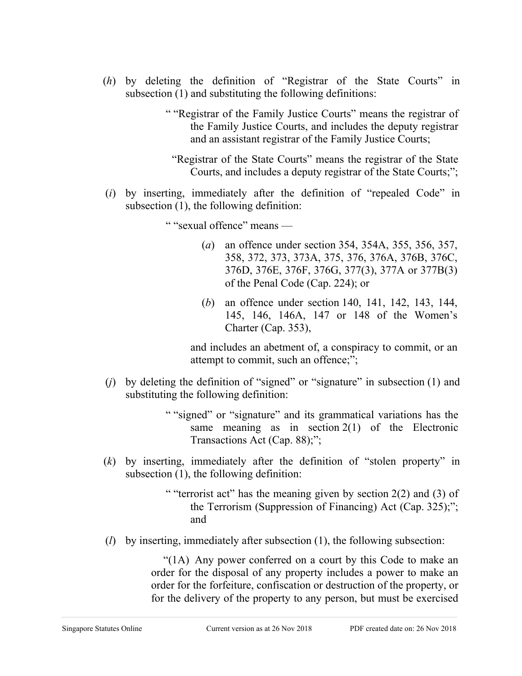- (*h*) by deleting the definition of "Registrar of the State Courts" in subsection (1) and substituting the following definitions:
	- " "Registrar of the Family Justice Courts" means the registrar of the Family Justice Courts, and includes the deputy registrar and an assistant registrar of the Family Justice Courts;
		- "Registrar of the State Courts" means the registrar of the State Courts, and includes a deputy registrar of the State Courts;";
- (*i*) by inserting, immediately after the definition of "repealed Code" in subsection (1), the following definition:

" "sexual offence" means —

- (*a*) an offence under section 354, 354A, 355, 356, 357, 358, 372, 373, 373A, 375, 376, 376A, 376B, 376C, 376D, 376E, 376F, 376G, 377(3), 377A or 377B(3) of the Penal Code (Cap. 224); or
- (*b*) an offence under section 140, 141, 142, 143, 144, 145, 146, 146A, 147 or 148 of the Women's Charter (Cap. 353),

and includes an abetment of, a conspiracy to commit, or an attempt to commit, such an offence;";

- (*j*) by deleting the definition of "signed" or "signature" in subsection (1) and substituting the following definition:
	- " "signed" or "signature" and its grammatical variations has the same meaning as in section  $2(1)$  of the Electronic Transactions Act (Cap. 88);";
- (*k*) by inserting, immediately after the definition of "stolen property" in subsection (1), the following definition:
	- " "terrorist act" has the meaning given by section 2(2) and (3) of the Terrorism (Suppression of Financing) Act (Cap. 325);"; and
- (*l*) by inserting, immediately after subsection (1), the following subsection:

"(1A) Any power conferred on a court by this Code to make an order for the disposal of any property includes a power to make an order for the forfeiture, confiscation or destruction of the property, or for the delivery of the property to any person, but must be exercised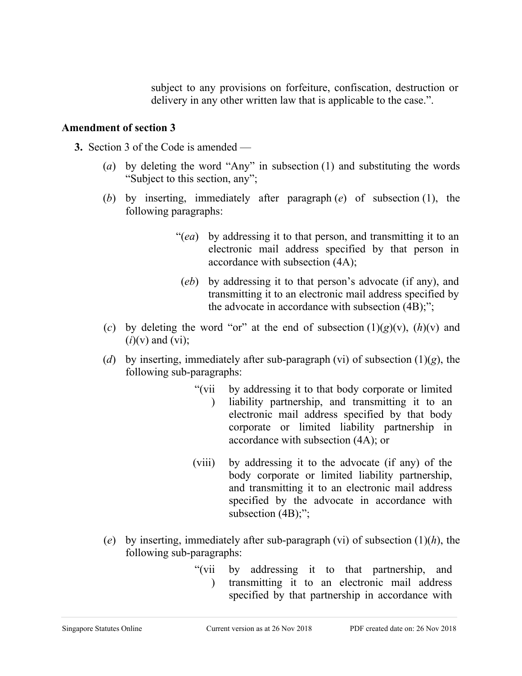subject to any provisions on forfeiture, confiscation, destruction or delivery in any other written law that is applicable to the case.".

#### **Amendment of section 3**

- **3.** Section 3 of the Code is amended
	- (*a*) by deleting the word "Any" in subsection (1) and substituting the words "Subject to this section, any";
	- (*b*) by inserting, immediately after paragraph (*e*) of subsection (1), the following paragraphs:
		- "(*ea*) by addressing it to that person, and transmitting it to an electronic mail address specified by that person in accordance with subsection (4A);
		- (*eb*) by addressing it to that person's advocate (if any), and transmitting it to an electronic mail address specified by the advocate in accordance with subsection (4B);";
	- (*c*) by deleting the word "or" at the end of subsection  $(1)(g)(v)$ ,  $(h)(v)$  and  $(i)(v)$  and  $(vi)$ ;
	- (*d*) by inserting, immediately after sub-paragraph (vi) of subsection (1)(*g*), the following sub-paragraphs:
		- " $(vii)$  $\mathcal{L}$ by addressing it to that body corporate or limited liability partnership, and transmitting it to an electronic mail address specified by that body corporate or limited liability partnership in accordance with subsection (4A); or
		- (viii) by addressing it to the advocate (if any) of the body corporate or limited liability partnership, and transmitting it to an electronic mail address specified by the advocate in accordance with subsection  $(4B)$ ;";
	- (*e*) by inserting, immediately after sub-paragraph (vi) of subsection (1)(*h*), the following sub-paragraphs:
		- " $(vii$  $\mathcal{L}$ by addressing it to that partnership, and transmitting it to an electronic mail address specified by that partnership in accordance with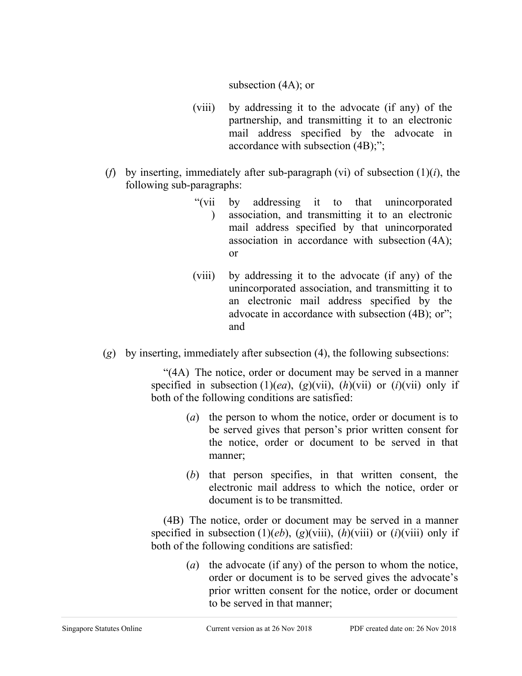#### subsection (4A); or

- (viii) by addressing it to the advocate (if any) of the partnership, and transmitting it to an electronic mail address specified by the advocate in accordance with subsection (4B);";
- (*f*) by inserting, immediately after sub-paragraph (vi) of subsection (1)(*i*), the following sub-paragraphs:
	- "(vii  $\mathcal{L}$ by addressing it to that unincorporated association, and transmitting it to an electronic mail address specified by that unincorporated association in accordance with subsection (4A); or
	- (viii) by addressing it to the advocate (if any) of the unincorporated association, and transmitting it to an electronic mail address specified by the advocate in accordance with subsection (4B); or"; and
- (*g*) by inserting, immediately after subsection (4), the following subsections:

"(4A) The notice, order or document may be served in a manner specified in subsection  $(1)(ea)$ ,  $(g)(vii)$ ,  $(h)(vii)$  or  $(i)(vii)$  only if both of the following conditions are satisfied:

- (*a*) the person to whom the notice, order or document is to be served gives that person's prior written consent for the notice, order or document to be served in that manner;
- (*b*) that person specifies, in that written consent, the electronic mail address to which the notice, order or document is to be transmitted.

(4B) The notice, order or document may be served in a manner specified in subsection  $(1)(eb)$ ,  $(g)(viii)$ ,  $(h)(viii)$  or  $(i)(viii)$  only if both of the following conditions are satisfied:

> (*a*) the advocate (if any) of the person to whom the notice, order or document is to be served gives the advocate's prior written consent for the notice, order or document to be served in that manner;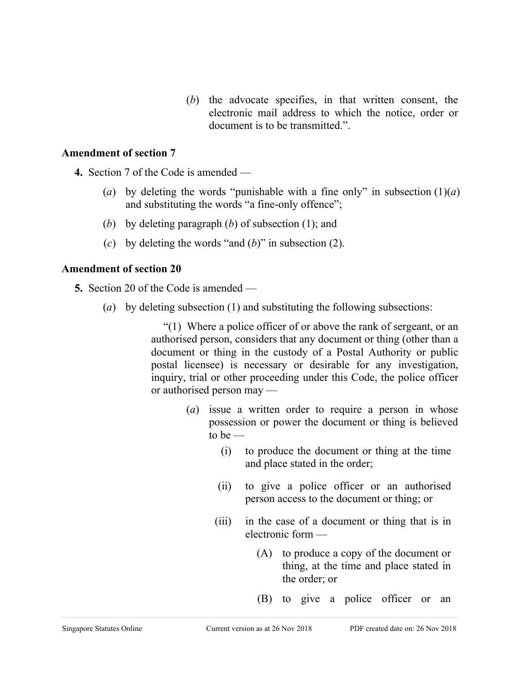(*b*) the advocate specifies, in that written consent, the electronic mail address to which the notice, order or document is to be transmitted.".

#### **Amendment of section 7**

**4.** Section 7 of the Code is amended —

- (*a*) by deleting the words "punishable with a fine only" in subsection  $(1)(a)$ and substituting the words "a fine-only offence";
- (*b*) by deleting paragraph (*b*) of subsection (1); and
- (*c*) by deleting the words "and (*b*)" in subsection (2).

#### **Amendment of section 20**

**5.** Section 20 of the Code is amended —

(*a*) by deleting subsection (1) and substituting the following subsections:

"(1) Where a police officer of or above the rank of sergeant, or an authorised person, considers that any document or thing (other than a document or thing in the custody of a Postal Authority or public postal licensee) is necessary or desirable for any investigation, inquiry, trial or other proceeding under this Code, the police officer or authorised person may —

- (*a*) issue a written order to require a person in whose possession or power the document or thing is believed to be  $-$ 
	- (i) to produce the document or thing at the time and place stated in the order;
	- (ii) to give a police officer or an authorised person access to the document or thing; or
	- (iii) in the case of a document or thing that is in electronic form —
		- (A) to produce a copy of the document or thing, at the time and place stated in the order; or
		- (B) to give a police officer or an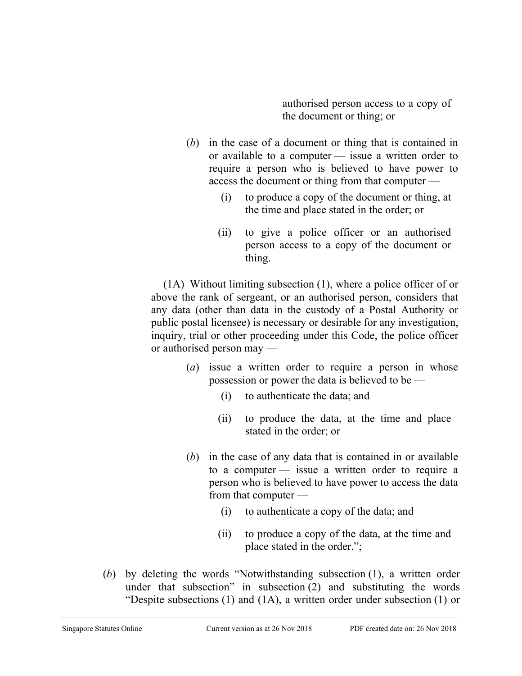authorised person access to a copy of the document or thing; or

- (*b*) in the case of a document or thing that is contained in or available to a computer — issue a written order to require a person who is believed to have power to access the document or thing from that computer —
	- (i) to produce a copy of the document or thing, at the time and place stated in the order; or
	- (ii) to give a police officer or an authorised person access to a copy of the document or thing.

(1A) Without limiting subsection (1), where a police officer of or above the rank of sergeant, or an authorised person, considers that any data (other than data in the custody of a Postal Authority or public postal licensee) is necessary or desirable for any investigation, inquiry, trial or other proceeding under this Code, the police officer or authorised person may —

- (*a*) issue a written order to require a person in whose possession or power the data is believed to be —
	- (i) to authenticate the data; and
	- (ii) to produce the data, at the time and place stated in the order; or
- (*b*) in the case of any data that is contained in or available to a computer — issue a written order to require a person who is believed to have power to access the data from that computer —
	- (i) to authenticate a copy of the data; and
	- (ii) to produce a copy of the data, at the time and place stated in the order.";
- (*b*) by deleting the words "Notwithstanding subsection (1), a written order under that subsection" in subsection (2) and substituting the words "Despite subsections  $(1)$  and  $(1A)$ , a written order under subsection  $(1)$  or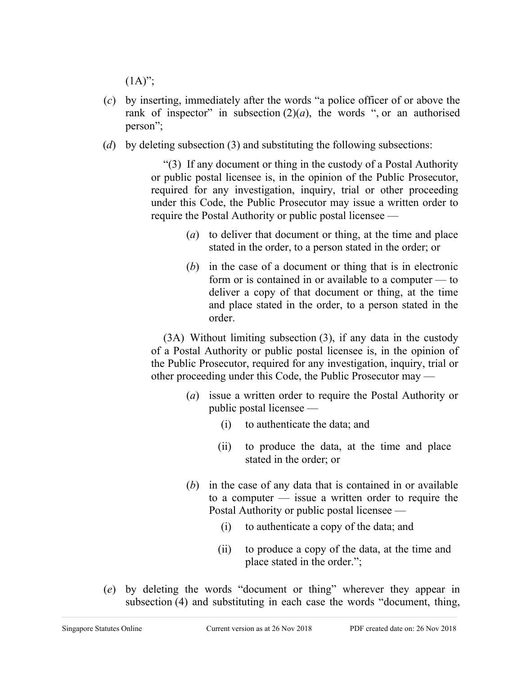$(1A)$ ";

- (*c*) by inserting, immediately after the words "a police officer of or above the rank of inspector" in subsection  $(2)(a)$ , the words ", or an authorised person";
- (*d*) by deleting subsection (3) and substituting the following subsections:

"(3) If any document or thing in the custody of a Postal Authority or public postal licensee is, in the opinion of the Public Prosecutor, required for any investigation, inquiry, trial or other proceeding under this Code, the Public Prosecutor may issue a written order to require the Postal Authority or public postal licensee —

- (*a*) to deliver that document or thing, at the time and place stated in the order, to a person stated in the order; or
- (*b*) in the case of a document or thing that is in electronic form or is contained in or available to a computer — to deliver a copy of that document or thing, at the time and place stated in the order, to a person stated in the order.

(3A) Without limiting subsection (3), if any data in the custody of a Postal Authority or public postal licensee is, in the opinion of the Public Prosecutor, required for any investigation, inquiry, trial or other proceeding under this Code, the Public Prosecutor may —

- (*a*) issue a written order to require the Postal Authority or public postal licensee —
	- (i) to authenticate the data; and
	- (ii) to produce the data, at the time and place stated in the order; or
- (*b*) in the case of any data that is contained in or available to a computer — issue a written order to require the Postal Authority or public postal licensee —
	- (i) to authenticate a copy of the data; and
	- (ii) to produce a copy of the data, at the time and place stated in the order.";
- (*e*) by deleting the words "document or thing" wherever they appear in subsection (4) and substituting in each case the words "document, thing,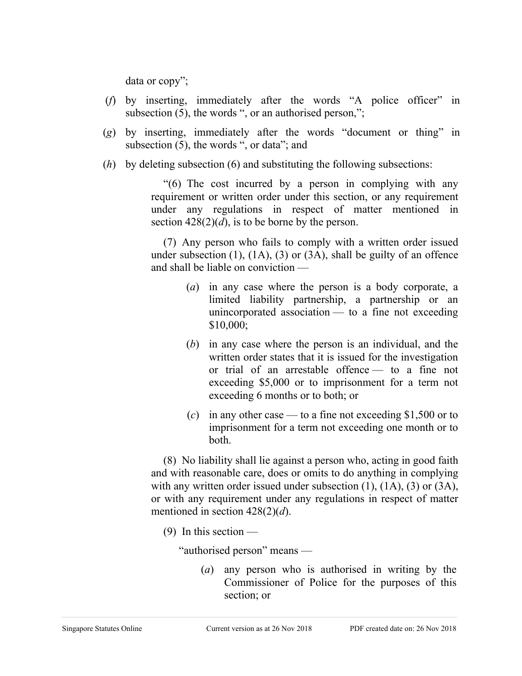data or copy";

- (*f*) by inserting, immediately after the words "A police officer" in subsection (5), the words ", or an authorised person,";
- (*g*) by inserting, immediately after the words "document or thing" in subsection (5), the words ", or data"; and
- (*h*) by deleting subsection (6) and substituting the following subsections:

"(6) The cost incurred by a person in complying with any requirement or written order under this section, or any requirement under any regulations in respect of matter mentioned in section  $428(2)(d)$ , is to be borne by the person.

(7) Any person who fails to comply with a written order issued under subsection  $(1)$ ,  $(1A)$ ,  $(3)$  or  $(3A)$ , shall be guilty of an offence and shall be liable on conviction —

- (*a*) in any case where the person is a body corporate, a limited liability partnership, a partnership or an unincorporated association — to a fine not exceeding \$10,000;
- (*b*) in any case where the person is an individual, and the written order states that it is issued for the investigation or trial of an arrestable offence — to a fine not exceeding \$5,000 or to imprisonment for a term not exceeding 6 months or to both; or
- (*c*) in any other case to a fine not exceeding \$1,500 or to imprisonment for a term not exceeding one month or to both.

(8) No liability shall lie against a person who, acting in good faith and with reasonable care, does or omits to do anything in complying with any written order issued under subsection  $(1)$ ,  $(1A)$ ,  $(3)$  or  $(3A)$ , or with any requirement under any regulations in respect of matter mentioned in section 428(2)(*d*).

 $(9)$  In this section —

"authorised person" means —

(*a*) any person who is authorised in writing by the Commissioner of Police for the purposes of this section; or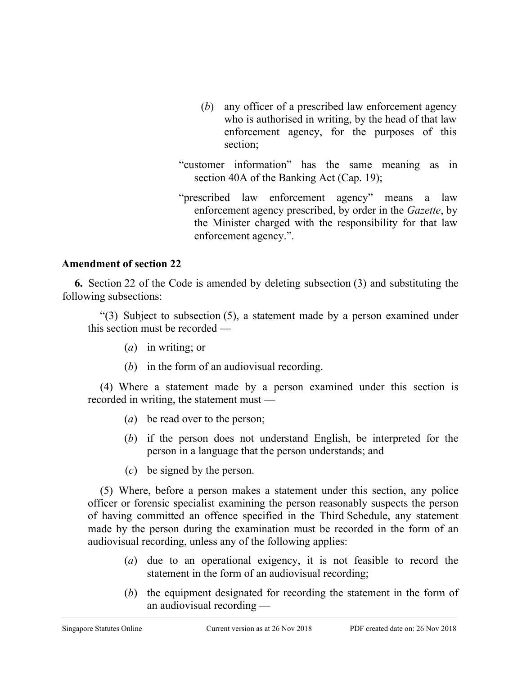- (*b*) any officer of a prescribed law enforcement agency who is authorised in writing, by the head of that law enforcement agency, for the purposes of this section;
- "customer information" has the same meaning as in section 40A of the Banking Act (Cap. 19);
- "prescribed law enforcement agency" means a law enforcement agency prescribed, by order in the *Gazette*, by the Minister charged with the responsibility for that law enforcement agency.".

#### **Amendment of section 22**

**6.** Section 22 of the Code is amended by deleting subsection (3) and substituting the following subsections:

"(3) Subject to subsection (5), a statement made by a person examined under this section must be recorded —

- (*a*) in writing; or
- (*b*) in the form of an audiovisual recording.

(4) Where a statement made by a person examined under this section is recorded in writing, the statement must —

- (*a*) be read over to the person;
- (*b*) if the person does not understand English, be interpreted for the person in a language that the person understands; and
- (*c*) be signed by the person.

(5) Where, before a person makes a statement under this section, any police officer or forensic specialist examining the person reasonably suspects the person of having committed an offence specified in the Third Schedule, any statement made by the person during the examination must be recorded in the form of an audiovisual recording, unless any of the following applies:

- (*a*) due to an operational exigency, it is not feasible to record the statement in the form of an audiovisual recording;
- (*b*) the equipment designated for recording the statement in the form of an audiovisual recording —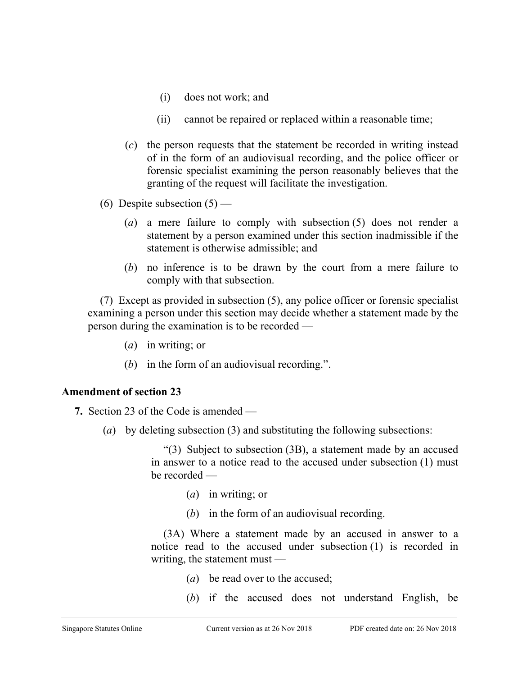- (i) does not work; and
- (ii) cannot be repaired or replaced within a reasonable time;
- (*c*) the person requests that the statement be recorded in writing instead of in the form of an audiovisual recording, and the police officer or forensic specialist examining the person reasonably believes that the granting of the request will facilitate the investigation.
- (6) Despite subsection  $(5)$ 
	- (*a*) a mere failure to comply with subsection (5) does not render a statement by a person examined under this section inadmissible if the statement is otherwise admissible; and
	- (*b*) no inference is to be drawn by the court from a mere failure to comply with that subsection.

(7) Except as provided in subsection (5), any police officer or forensic specialist examining a person under this section may decide whether a statement made by the person during the examination is to be recorded —

- (*a*) in writing; or
- (*b*) in the form of an audiovisual recording.".

## **Amendment of section 23**

- **7.** Section 23 of the Code is amended
	- (*a*) by deleting subsection (3) and substituting the following subsections:

"(3) Subject to subsection (3B), a statement made by an accused in answer to a notice read to the accused under subsection (1) must be recorded —

- (*a*) in writing; or
- (*b*) in the form of an audiovisual recording.

(3A) Where a statement made by an accused in answer to a notice read to the accused under subsection (1) is recorded in writing, the statement must —

- (*a*) be read over to the accused;
- (*b*) if the accused does not understand English, be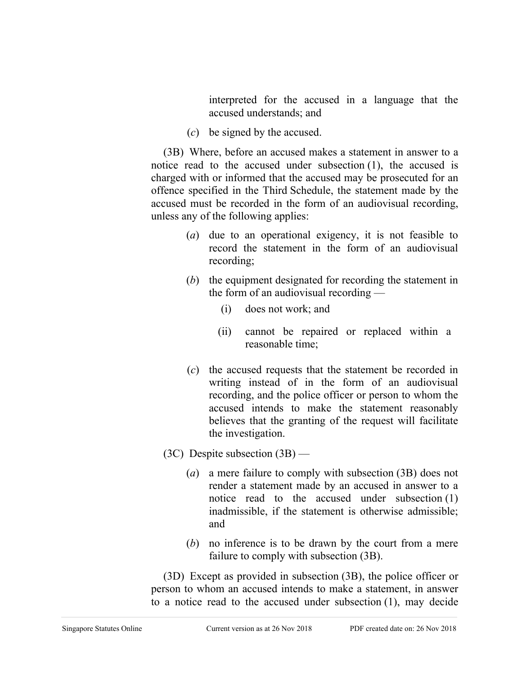interpreted for the accused in a language that the accused understands; and

(*c*) be signed by the accused.

(3B) Where, before an accused makes a statement in answer to a notice read to the accused under subsection (1), the accused is charged with or informed that the accused may be prosecuted for an offence specified in the Third Schedule, the statement made by the accused must be recorded in the form of an audiovisual recording, unless any of the following applies:

- (*a*) due to an operational exigency, it is not feasible to record the statement in the form of an audiovisual recording;
- (*b*) the equipment designated for recording the statement in the form of an audiovisual recording —
	- (i) does not work; and
	- (ii) cannot be repaired or replaced within a reasonable time;
- (*c*) the accused requests that the statement be recorded in writing instead of in the form of an audiovisual recording, and the police officer or person to whom the accused intends to make the statement reasonably believes that the granting of the request will facilitate the investigation.
- (3C) Despite subsection (3B)
	- (*a*) a mere failure to comply with subsection (3B) does not render a statement made by an accused in answer to a notice read to the accused under subsection (1) inadmissible, if the statement is otherwise admissible; and
	- (*b*) no inference is to be drawn by the court from a mere failure to comply with subsection (3B).

(3D) Except as provided in subsection (3B), the police officer or person to whom an accused intends to make a statement, in answer to a notice read to the accused under subsection (1), may decide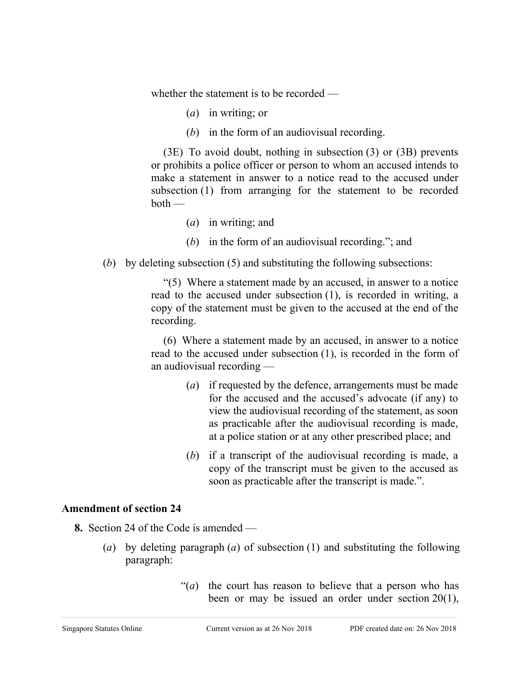whether the statement is to be recorded —

- (*a*) in writing; or
- (*b*) in the form of an audiovisual recording.

(3E) To avoid doubt, nothing in subsection (3) or (3B) prevents or prohibits a police officer or person to whom an accused intends to make a statement in answer to a notice read to the accused under subsection (1) from arranging for the statement to be recorded  $both$  —

- (*a*) in writing; and
- (*b*) in the form of an audiovisual recording."; and
- (*b*) by deleting subsection (5) and substituting the following subsections:

"(5) Where a statement made by an accused, in answer to a notice read to the accused under subsection (1), is recorded in writing, a copy of the statement must be given to the accused at the end of the recording.

(6) Where a statement made by an accused, in answer to a notice read to the accused under subsection (1), is recorded in the form of an audiovisual recording —

- (*a*) if requested by the defence, arrangements must be made for the accused and the accused's advocate (if any) to view the audiovisual recording of the statement, as soon as practicable after the audiovisual recording is made, at a police station or at any other prescribed place; and
- (*b*) if a transcript of the audiovisual recording is made, a copy of the transcript must be given to the accused as soon as practicable after the transcript is made.".

#### **Amendment of section 24**

- **8.** Section 24 of the Code is amended
	- (*a*) by deleting paragraph (*a*) of subsection (1) and substituting the following paragraph:
		- "(*a*) the court has reason to believe that a person who has been or may be issued an order under section 20(1),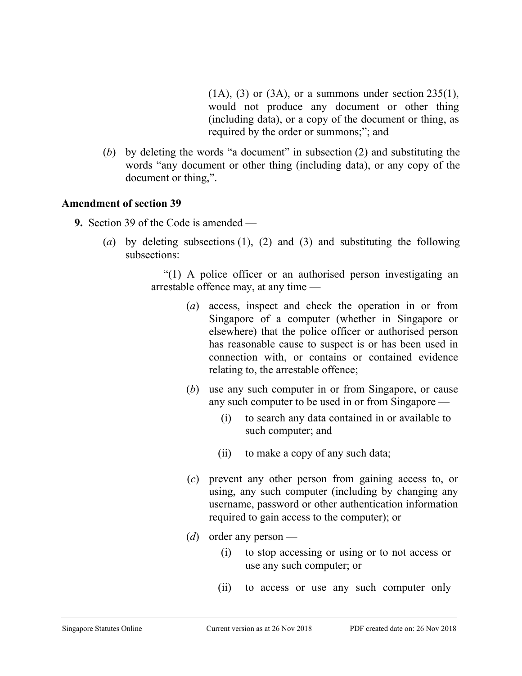$(1A)$ ,  $(3)$  or  $(3A)$ , or a summons under section  $235(1)$ , would not produce any document or other thing (including data), or a copy of the document or thing, as required by the order or summons;"; and

(*b*) by deleting the words "a document" in subsection (2) and substituting the words "any document or other thing (including data), or any copy of the document or thing,".

#### **Amendment of section 39**

- **9.** Section 39 of the Code is amended
	- (*a*) by deleting subsections (1), (2) and (3) and substituting the following subsections:

"(1) A police officer or an authorised person investigating an arrestable offence may, at any time —

- (*a*) access, inspect and check the operation in or from Singapore of a computer (whether in Singapore or elsewhere) that the police officer or authorised person has reasonable cause to suspect is or has been used in connection with, or contains or contained evidence relating to, the arrestable offence;
- (*b*) use any such computer in or from Singapore, or cause any such computer to be used in or from Singapore —
	- (i) to search any data contained in or available to such computer; and
	- (ii) to make a copy of any such data;
- (*c*) prevent any other person from gaining access to, or using, any such computer (including by changing any username, password or other authentication information required to gain access to the computer); or
- (*d*) order any person
	- (i) to stop accessing or using or to not access or use any such computer; or
	- (ii) to access or use any such computer only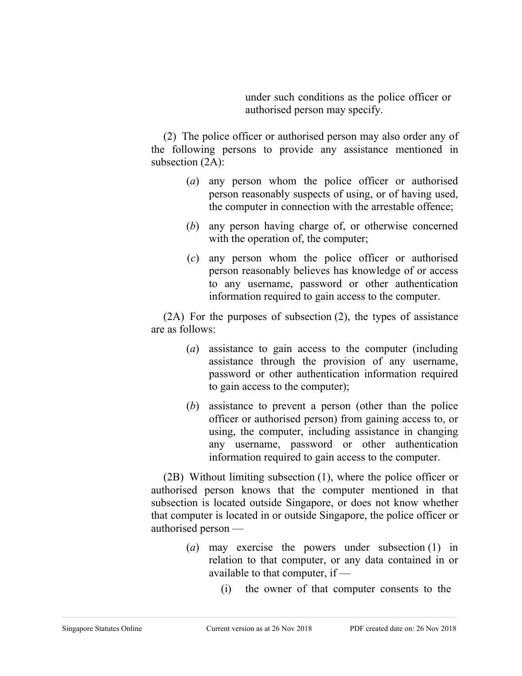under such conditions as the police officer or authorised person may specify.

(2) The police officer or authorised person may also order any of the following persons to provide any assistance mentioned in subsection (2A):

- (*a*) any person whom the police officer or authorised person reasonably suspects of using, or of having used, the computer in connection with the arrestable offence;
- (*b*) any person having charge of, or otherwise concerned with the operation of, the computer;
- (*c*) any person whom the police officer or authorised person reasonably believes has knowledge of or access to any username, password or other authentication information required to gain access to the computer.

(2A) For the purposes of subsection (2), the types of assistance are as follows:

- (*a*) assistance to gain access to the computer (including assistance through the provision of any username, password or other authentication information required to gain access to the computer);
- (*b*) assistance to prevent a person (other than the police officer or authorised person) from gaining access to, or using, the computer, including assistance in changing any username, password or other authentication information required to gain access to the computer.

(2B) Without limiting subsection (1), where the police officer or authorised person knows that the computer mentioned in that subsection is located outside Singapore, or does not know whether that computer is located in or outside Singapore, the police officer or authorised person —

- (*a*) may exercise the powers under subsection (1) in relation to that computer, or any data contained in or available to that computer, if —
	- (i) the owner of that computer consents to the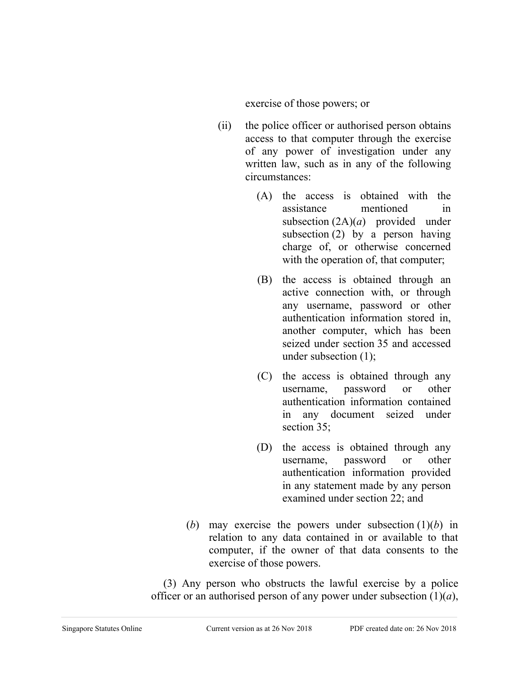exercise of those powers; or

- (ii) the police officer or authorised person obtains access to that computer through the exercise of any power of investigation under any written law, such as in any of the following circumstances:
	- (A) the access is obtained with the assistance mentioned in subsection (2A)(*a*) provided under subsection (2) by a person having charge of, or otherwise concerned with the operation of, that computer;
	- (B) the access is obtained through an active connection with, or through any username, password or other authentication information stored in, another computer, which has been seized under section 35 and accessed under subsection (1);
	- (C) the access is obtained through any username, password or other authentication information contained in any document seized under section 35;
	- (D) the access is obtained through any username, password or other authentication information provided in any statement made by any person examined under section 22; and
- (*b*) may exercise the powers under subsection (1)(*b*) in relation to any data contained in or available to that computer, if the owner of that data consents to the exercise of those powers.

(3) Any person who obstructs the lawful exercise by a police officer or an authorised person of any power under subsection (1)(*a*),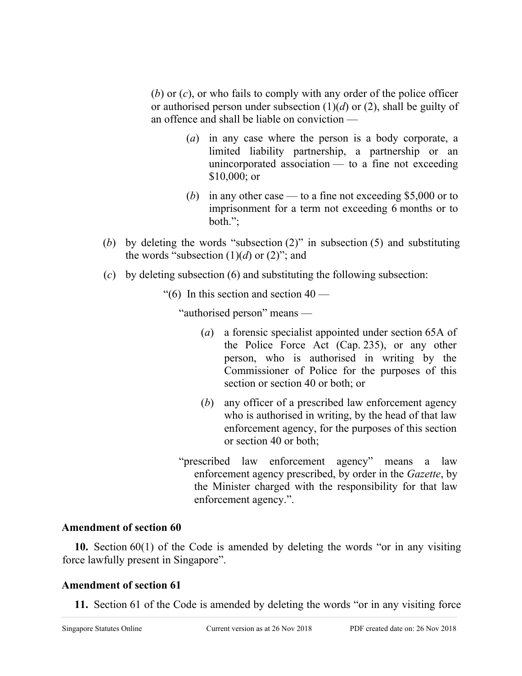(*b*) or (*c*), or who fails to comply with any order of the police officer or authorised person under subsection (1)(*d*) or (2), shall be guilty of an offence and shall be liable on conviction —

- (*a*) in any case where the person is a body corporate, a limited liability partnership, a partnership or an unincorporated association  $-$  to a fine not exceeding \$10,000; or
- (*b*) in any other case to a fine not exceeding \$5,000 or to imprisonment for a term not exceeding 6 months or to both.";
- (*b*) by deleting the words "subsection (2)" in subsection (5) and substituting the words "subsection  $(1)(d)$  or  $(2)$ "; and
- (*c*) by deleting subsection (6) and substituting the following subsection:
	- "(6) In this section and section  $40 -$

"authorised person" means —

- (*a*) a forensic specialist appointed under section 65A of the Police Force Act (Cap. 235), or any other person, who is authorised in writing by the Commissioner of Police for the purposes of this section or section 40 or both; or
- (*b*) any officer of a prescribed law enforcement agency who is authorised in writing, by the head of that law enforcement agency, for the purposes of this section or section 40 or both;
- "prescribed law enforcement agency" means a law enforcement agency prescribed, by order in the *Gazette*, by the Minister charged with the responsibility for that law enforcement agency.".

## **Amendment of section 60**

**10.** Section 60(1) of the Code is amended by deleting the words "or in any visiting force lawfully present in Singapore".

# **Amendment of section 61**

**11.** Section 61 of the Code is amended by deleting the words "or in any visiting force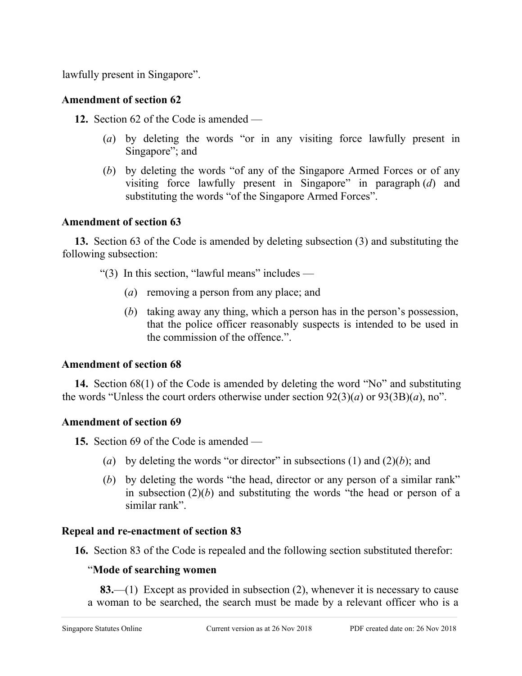lawfully present in Singapore".

# **Amendment of section 62**

**12.** Section 62 of the Code is amended —

- (*a*) by deleting the words "or in any visiting force lawfully present in Singapore"; and
- (*b*) by deleting the words "of any of the Singapore Armed Forces or of any visiting force lawfully present in Singapore" in paragraph (*d*) and substituting the words "of the Singapore Armed Forces".

# **Amendment of section 63**

**13.** Section 63 of the Code is amended by deleting subsection (3) and substituting the following subsection:

"(3) In this section, "lawful means" includes —

- (*a*) removing a person from any place; and
- (*b*) taking away any thing, which a person has in the person's possession, that the police officer reasonably suspects is intended to be used in the commission of the offence.".

# **Amendment of section 68**

**14.** Section 68(1) of the Code is amended by deleting the word "No" and substituting the words "Unless the court orders otherwise under section 92(3)(*a*) or 93(3B)(*a*), no".

# **Amendment of section 69**

**15.** Section 69 of the Code is amended —

- (*a*) by deleting the words "or director" in subsections (1) and (2)(*b*); and
- (*b*) by deleting the words "the head, director or any person of a similar rank" in subsection (2)(*b*) and substituting the words "the head or person of a similar rank".

# **Repeal and re-enactment of section 83**

**16.** Section 83 of the Code is repealed and the following section substituted therefor:

## "**Mode of searching women**

**83.**—(1) Except as provided in subsection (2), whenever it is necessary to cause a woman to be searched, the search must be made by a relevant officer who is a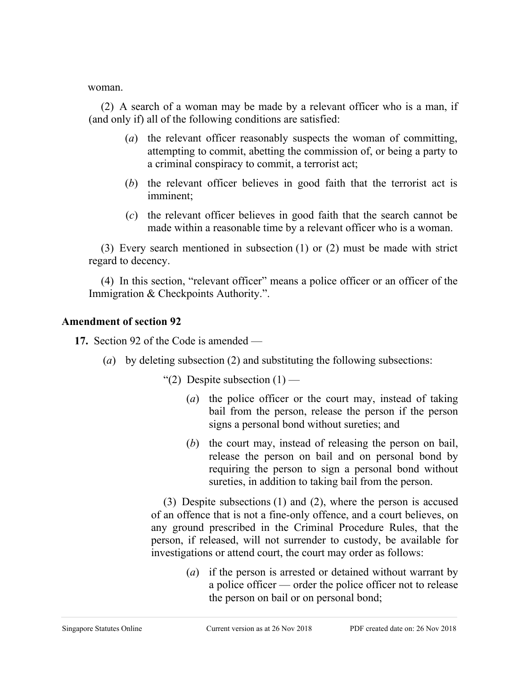woman.

(2) A search of a woman may be made by a relevant officer who is a man, if (and only if) all of the following conditions are satisfied:

- (*a*) the relevant officer reasonably suspects the woman of committing, attempting to commit, abetting the commission of, or being a party to a criminal conspiracy to commit, a terrorist act;
- (*b*) the relevant officer believes in good faith that the terrorist act is imminent;
- (*c*) the relevant officer believes in good faith that the search cannot be made within a reasonable time by a relevant officer who is a woman.

(3) Every search mentioned in subsection (1) or (2) must be made with strict regard to decency.

(4) In this section, "relevant officer" means a police officer or an officer of the Immigration & Checkpoints Authority.".

#### **Amendment of section 92**

**17.** Section 92 of the Code is amended —

- (*a*) by deleting subsection (2) and substituting the following subsections:
	- "(2) Despite subsection  $(1)$ 
		- (*a*) the police officer or the court may, instead of taking bail from the person, release the person if the person signs a personal bond without sureties; and
		- (*b*) the court may, instead of releasing the person on bail, release the person on bail and on personal bond by requiring the person to sign a personal bond without sureties, in addition to taking bail from the person.

(3) Despite subsections (1) and (2), where the person is accused of an offence that is not a fine-only offence, and a court believes, on any ground prescribed in the Criminal Procedure Rules, that the person, if released, will not surrender to custody, be available for investigations or attend court, the court may order as follows:

> (*a*) if the person is arrested or detained without warrant by a police officer — order the police officer not to release the person on bail or on personal bond;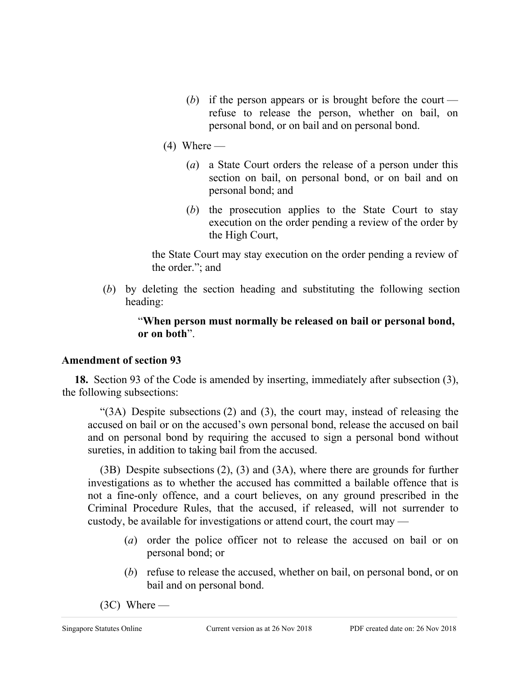- (*b*) if the person appears or is brought before the court refuse to release the person, whether on bail, on personal bond, or on bail and on personal bond.
- $(4)$  Where
	- (*a*) a State Court orders the release of a person under this section on bail, on personal bond, or on bail and on personal bond; and
	- (*b*) the prosecution applies to the State Court to stay execution on the order pending a review of the order by the High Court,

the State Court may stay execution on the order pending a review of the order."; and

(*b*) by deleting the section heading and substituting the following section heading:

## "**When person must normally be released on bail or personal bond, or on both**".

## **Amendment of section 93**

**18.** Section 93 of the Code is amended by inserting, immediately after subsection (3), the following subsections:

"(3A) Despite subsections (2) and (3), the court may, instead of releasing the accused on bail or on the accused's own personal bond, release the accused on bail and on personal bond by requiring the accused to sign a personal bond without sureties, in addition to taking bail from the accused.

(3B) Despite subsections (2), (3) and (3A), where there are grounds for further investigations as to whether the accused has committed a bailable offence that is not a fine-only offence, and a court believes, on any ground prescribed in the Criminal Procedure Rules, that the accused, if released, will not surrender to custody, be available for investigations or attend court, the court may —

- (*a*) order the police officer not to release the accused on bail or on personal bond; or
- (*b*) refuse to release the accused, whether on bail, on personal bond, or on bail and on personal bond.
- $(3C)$  Where —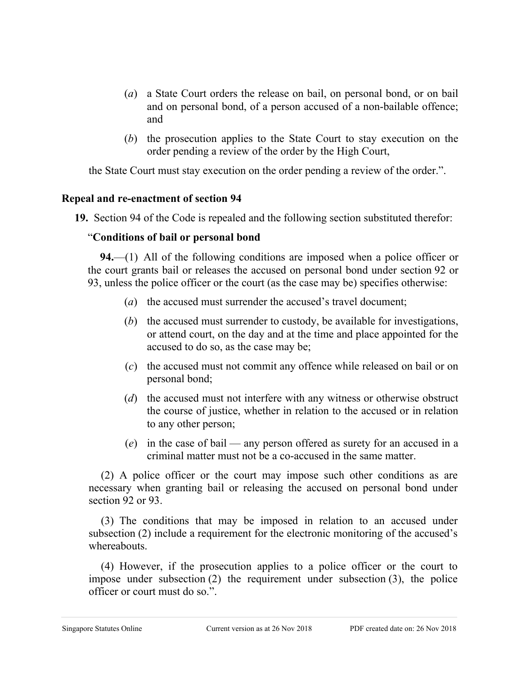- (*a*) a State Court orders the release on bail, on personal bond, or on bail and on personal bond, of a person accused of a non-bailable offence; and
- (*b*) the prosecution applies to the State Court to stay execution on the order pending a review of the order by the High Court,

the State Court must stay execution on the order pending a review of the order.".

## **Repeal and re-enactment of section 94**

**19.** Section 94 of the Code is repealed and the following section substituted therefor:

# "**Conditions of bail or personal bond**

**94.**—(1) All of the following conditions are imposed when a police officer or the court grants bail or releases the accused on personal bond under section 92 or 93, unless the police officer or the court (as the case may be) specifies otherwise:

- (*a*) the accused must surrender the accused's travel document;
- (*b*) the accused must surrender to custody, be available for investigations, or attend court, on the day and at the time and place appointed for the accused to do so, as the case may be;
- (*c*) the accused must not commit any offence while released on bail or on personal bond;
- (*d*) the accused must not interfere with any witness or otherwise obstruct the course of justice, whether in relation to the accused or in relation to any other person;
- (*e*) in the case of bail any person offered as surety for an accused in a criminal matter must not be a co-accused in the same matter.

(2) A police officer or the court may impose such other conditions as are necessary when granting bail or releasing the accused on personal bond under section 92 or 93.

(3) The conditions that may be imposed in relation to an accused under subsection (2) include a requirement for the electronic monitoring of the accused's whereabouts.

(4) However, if the prosecution applies to a police officer or the court to impose under subsection (2) the requirement under subsection (3), the police officer or court must do so.".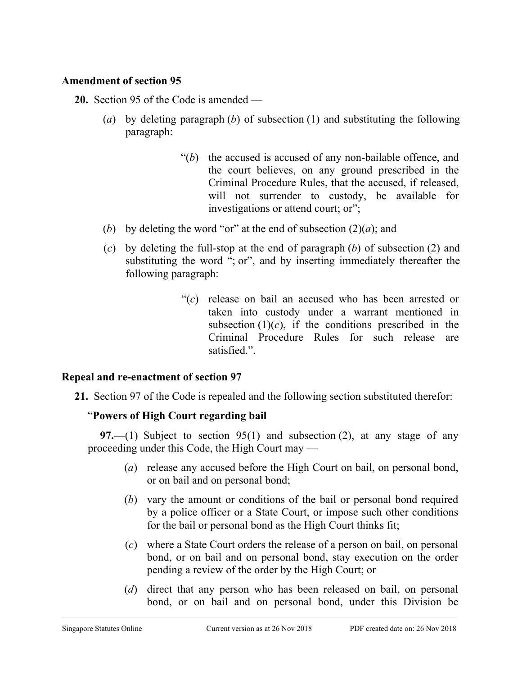## **Amendment of section 95**

- **20.** Section 95 of the Code is amended
	- (*a*) by deleting paragraph (*b*) of subsection (1) and substituting the following paragraph:
		- "(*b*) the accused is accused of any non-bailable offence, and the court believes, on any ground prescribed in the Criminal Procedure Rules, that the accused, if released, will not surrender to custody, be available for investigations or attend court; or";
	- (*b*) by deleting the word "or" at the end of subsection  $(2)(a)$ ; and
	- (*c*) by deleting the full-stop at the end of paragraph (*b*) of subsection (2) and substituting the word "; or", and by inserting immediately thereafter the following paragraph:
		- "(*c*) release on bail an accused who has been arrested or taken into custody under a warrant mentioned in subsection  $(1)(c)$ , if the conditions prescribed in the Criminal Procedure Rules for such release are satisfied.".

#### **Repeal and re-enactment of section 97**

**21.** Section 97 of the Code is repealed and the following section substituted therefor:

## "**Powers of High Court regarding bail**

**97.**—(1) Subject to section 95(1) and subsection (2), at any stage of any proceeding under this Code, the High Court may —

- (*a*) release any accused before the High Court on bail, on personal bond, or on bail and on personal bond;
- (*b*) vary the amount or conditions of the bail or personal bond required by a police officer or a State Court, or impose such other conditions for the bail or personal bond as the High Court thinks fit;
- (*c*) where a State Court orders the release of a person on bail, on personal bond, or on bail and on personal bond, stay execution on the order pending a review of the order by the High Court; or
- (*d*) direct that any person who has been released on bail, on personal bond, or on bail and on personal bond, under this Division be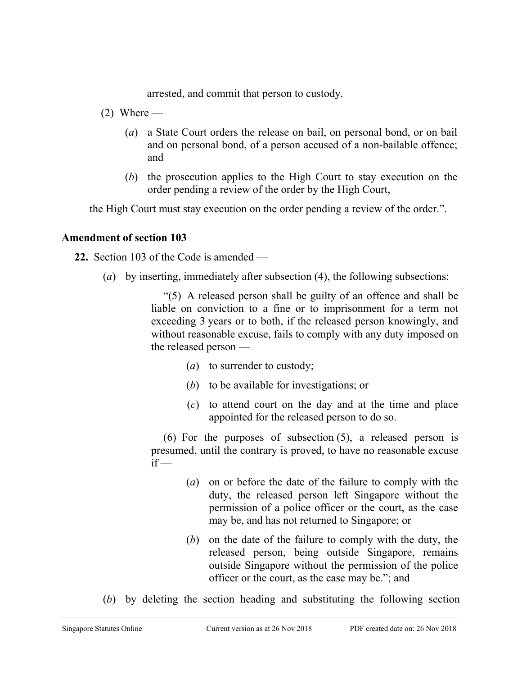arrested, and commit that person to custody.

- $(2)$  Where
	- (*a*) a State Court orders the release on bail, on personal bond, or on bail and on personal bond, of a person accused of a non-bailable offence; and
	- (*b*) the prosecution applies to the High Court to stay execution on the order pending a review of the order by the High Court,

the High Court must stay execution on the order pending a review of the order.".

## **Amendment of section 103**

**22.** Section 103 of the Code is amended —

(*a*) by inserting, immediately after subsection (4), the following subsections:

"(5) A released person shall be guilty of an offence and shall be liable on conviction to a fine or to imprisonment for a term not exceeding 3 years or to both, if the released person knowingly, and without reasonable excuse, fails to comply with any duty imposed on the released person —

- (*a*) to surrender to custody;
- (*b*) to be available for investigations; or
- (*c*) to attend court on the day and at the time and place appointed for the released person to do so.

(6) For the purposes of subsection (5), a released person is presumed, until the contrary is proved, to have no reasonable excuse  $if -$ 

- (*a*) on or before the date of the failure to comply with the duty, the released person left Singapore without the permission of a police officer or the court, as the case may be, and has not returned to Singapore; or
- (*b*) on the date of the failure to comply with the duty, the released person, being outside Singapore, remains outside Singapore without the permission of the police officer or the court, as the case may be."; and
- (*b*) by deleting the section heading and substituting the following section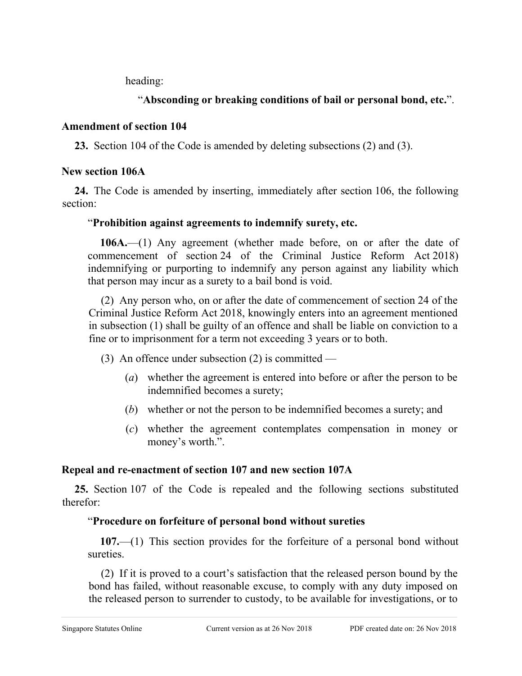heading:

# "**Absconding or breaking conditions of bail or personal bond, etc.**".

## **Amendment of section 104**

**23.** Section 104 of the Code is amended by deleting subsections (2) and (3).

# **New section 106A**

**24.** The Code is amended by inserting, immediately after section 106, the following section:

# "**Prohibition against agreements to indemnify surety, etc.**

**106A.**—(1) Any agreement (whether made before, on or after the date of commencement of section 24 of the Criminal Justice Reform Act 2018) indemnifying or purporting to indemnify any person against any liability which that person may incur as a surety to a bail bond is void.

(2) Any person who, on or after the date of commencement of section 24 of the Criminal Justice Reform Act 2018, knowingly enters into an agreement mentioned in subsection (1) shall be guilty of an offence and shall be liable on conviction to a fine or to imprisonment for a term not exceeding 3 years or to both.

- (3) An offence under subsection  $(2)$  is committed
	- (*a*) whether the agreement is entered into before or after the person to be indemnified becomes a surety;
	- (*b*) whether or not the person to be indemnified becomes a surety; and
	- (*c*) whether the agreement contemplates compensation in money or money's worth.".

# **Repeal and re-enactment of section 107 and new section 107A**

**25.** Section 107 of the Code is repealed and the following sections substituted therefor:

# "**Procedure on forfeiture of personal bond without sureties**

**107.**—(1) This section provides for the forfeiture of a personal bond without sureties.

(2) If it is proved to a court's satisfaction that the released person bound by the bond has failed, without reasonable excuse, to comply with any duty imposed on the released person to surrender to custody, to be available for investigations, or to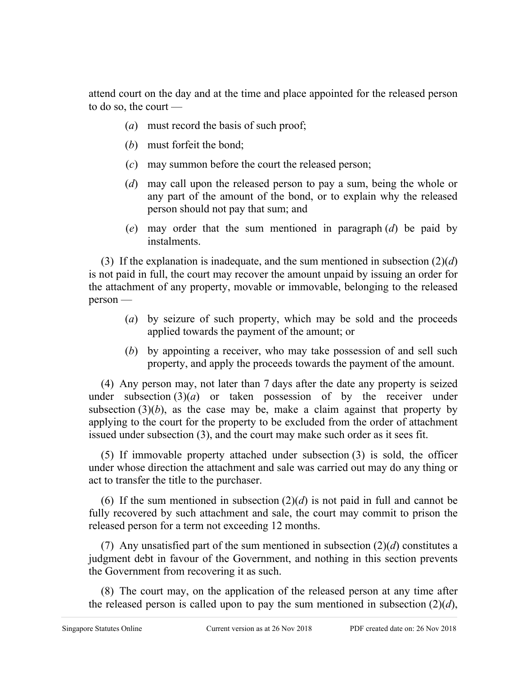attend court on the day and at the time and place appointed for the released person to do so, the court —

- (*a*) must record the basis of such proof;
- (*b*) must forfeit the bond;
- (*c*) may summon before the court the released person;
- (*d*) may call upon the released person to pay a sum, being the whole or any part of the amount of the bond, or to explain why the released person should not pay that sum; and
- (*e*) may order that the sum mentioned in paragraph (*d*) be paid by instalments.

(3) If the explanation is inadequate, and the sum mentioned in subsection (2)(*d*) is not paid in full, the court may recover the amount unpaid by issuing an order for the attachment of any property, movable or immovable, belonging to the released person —

- (*a*) by seizure of such property, which may be sold and the proceeds applied towards the payment of the amount; or
- (*b*) by appointing a receiver, who may take possession of and sell such property, and apply the proceeds towards the payment of the amount.

(4) Any person may, not later than 7 days after the date any property is seized under subsection  $(3)(a)$  or taken possession of by the receiver under subsection  $(3)(b)$ , as the case may be, make a claim against that property by applying to the court for the property to be excluded from the order of attachment issued under subsection (3), and the court may make such order as it sees fit.

(5) If immovable property attached under subsection (3) is sold, the officer under whose direction the attachment and sale was carried out may do any thing or act to transfer the title to the purchaser.

(6) If the sum mentioned in subsection  $(2)(d)$  is not paid in full and cannot be fully recovered by such attachment and sale, the court may commit to prison the released person for a term not exceeding 12 months.

(7) Any unsatisfied part of the sum mentioned in subsection (2)(*d*) constitutes a judgment debt in favour of the Government, and nothing in this section prevents the Government from recovering it as such.

(8) The court may, on the application of the released person at any time after the released person is called upon to pay the sum mentioned in subsection  $(2)(d)$ ,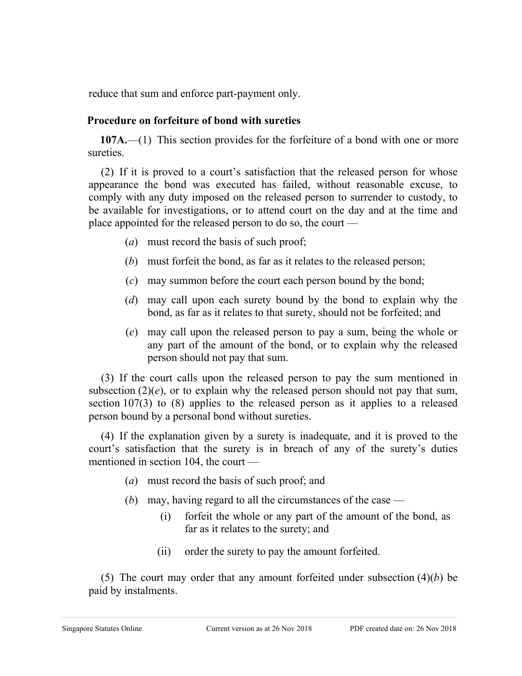reduce that sum and enforce part-payment only.

#### **Procedure on forfeiture of bond with sureties**

**107A.**—(1) This section provides for the forfeiture of a bond with one or more sureties.

(2) If it is proved to a court's satisfaction that the released person for whose appearance the bond was executed has failed, without reasonable excuse, to comply with any duty imposed on the released person to surrender to custody, to be available for investigations, or to attend court on the day and at the time and place appointed for the released person to do so, the court —

- (*a*) must record the basis of such proof;
- (*b*) must forfeit the bond, as far as it relates to the released person;
- (*c*) may summon before the court each person bound by the bond;
- (*d*) may call upon each surety bound by the bond to explain why the bond, as far as it relates to that surety, should not be forfeited; and
- (*e*) may call upon the released person to pay a sum, being the whole or any part of the amount of the bond, or to explain why the released person should not pay that sum.

(3) If the court calls upon the released person to pay the sum mentioned in subsection  $(2)(e)$ , or to explain why the released person should not pay that sum, section 107(3) to (8) applies to the released person as it applies to a released person bound by a personal bond without sureties.

(4) If the explanation given by a surety is inadequate, and it is proved to the court's satisfaction that the surety is in breach of any of the surety's duties mentioned in section 104, the court —

- (*a*) must record the basis of such proof; and
- (*b*) may, having regard to all the circumstances of the case
	- (i) forfeit the whole or any part of the amount of the bond, as far as it relates to the surety; and
	- (ii) order the surety to pay the amount forfeited.

(5) The court may order that any amount forfeited under subsection (4)(*b*) be paid by instalments.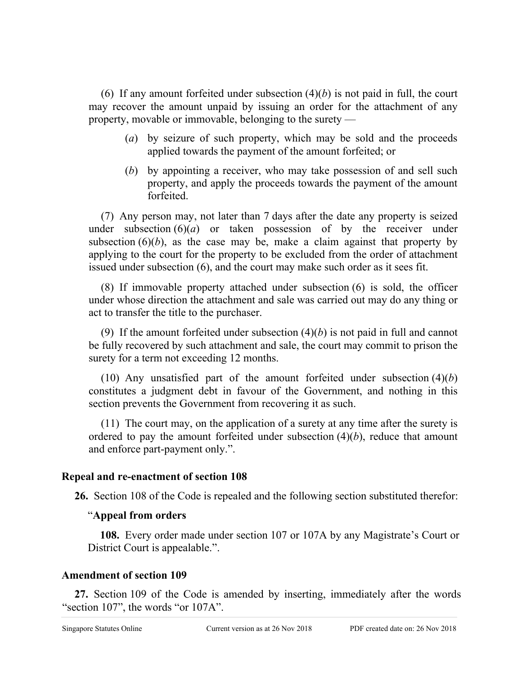(6) If any amount forfeited under subsection  $(4)(b)$  is not paid in full, the court may recover the amount unpaid by issuing an order for the attachment of any property, movable or immovable, belonging to the surety —

- (*a*) by seizure of such property, which may be sold and the proceeds applied towards the payment of the amount forfeited; or
- (*b*) by appointing a receiver, who may take possession of and sell such property, and apply the proceeds towards the payment of the amount forfeited.

(7) Any person may, not later than 7 days after the date any property is seized under subsection  $(6)(a)$  or taken possession of by the receiver under subsection  $(6)(b)$ , as the case may be, make a claim against that property by applying to the court for the property to be excluded from the order of attachment issued under subsection (6), and the court may make such order as it sees fit.

(8) If immovable property attached under subsection (6) is sold, the officer under whose direction the attachment and sale was carried out may do any thing or act to transfer the title to the purchaser.

(9) If the amount forfeited under subsection  $(4)(b)$  is not paid in full and cannot be fully recovered by such attachment and sale, the court may commit to prison the surety for a term not exceeding 12 months.

(10) Any unsatisfied part of the amount forfeited under subsection  $(4)(b)$ constitutes a judgment debt in favour of the Government, and nothing in this section prevents the Government from recovering it as such.

(11) The court may, on the application of a surety at any time after the surety is ordered to pay the amount forfeited under subsection (4)(*b*), reduce that amount and enforce part-payment only.".

## **Repeal and re-enactment of section 108**

**26.** Section 108 of the Code is repealed and the following section substituted therefor:

## "**Appeal from orders**

**108.** Every order made under section 107 or 107A by any Magistrate's Court or District Court is appealable.".

## **Amendment of section 109**

**27.** Section 109 of the Code is amended by inserting, immediately after the words "section 107", the words "or 107A".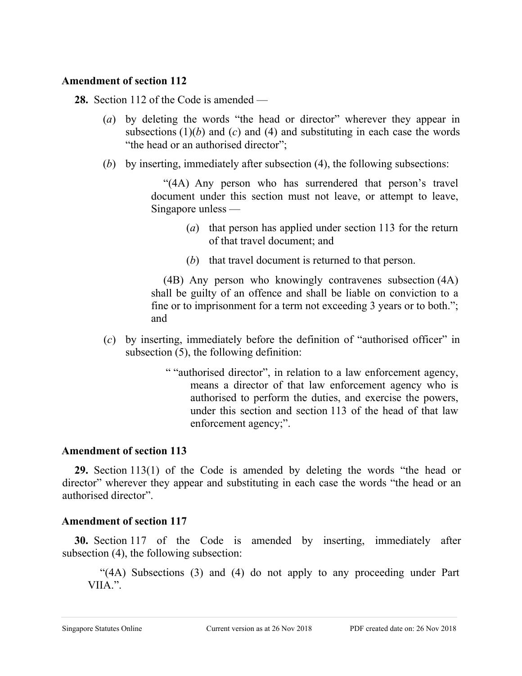#### **Amendment of section 112**

**28.** Section 112 of the Code is amended —

- (*a*) by deleting the words "the head or director" wherever they appear in subsections  $(1)(b)$  and  $(c)$  and  $(4)$  and substituting in each case the words "the head or an authorised director";
- (*b*) by inserting, immediately after subsection (4), the following subsections:

"(4A) Any person who has surrendered that person's travel document under this section must not leave, or attempt to leave, Singapore unless —

- (*a*) that person has applied under section 113 for the return of that travel document; and
- (*b*) that travel document is returned to that person.

(4B) Any person who knowingly contravenes subsection (4A) shall be guilty of an offence and shall be liable on conviction to a fine or to imprisonment for a term not exceeding 3 years or to both."; and

- (*c*) by inserting, immediately before the definition of "authorised officer" in subsection (5), the following definition:
	- " "authorised director", in relation to a law enforcement agency, means a director of that law enforcement agency who is authorised to perform the duties, and exercise the powers, under this section and section 113 of the head of that law enforcement agency;".

#### **Amendment of section 113**

**29.** Section 113(1) of the Code is amended by deleting the words "the head or director" wherever they appear and substituting in each case the words "the head or an authorised director".

## **Amendment of section 117**

**30.** Section 117 of the Code is amended by inserting, immediately after subsection (4), the following subsection:

"(4A) Subsections (3) and (4) do not apply to any proceeding under Part VIIA.".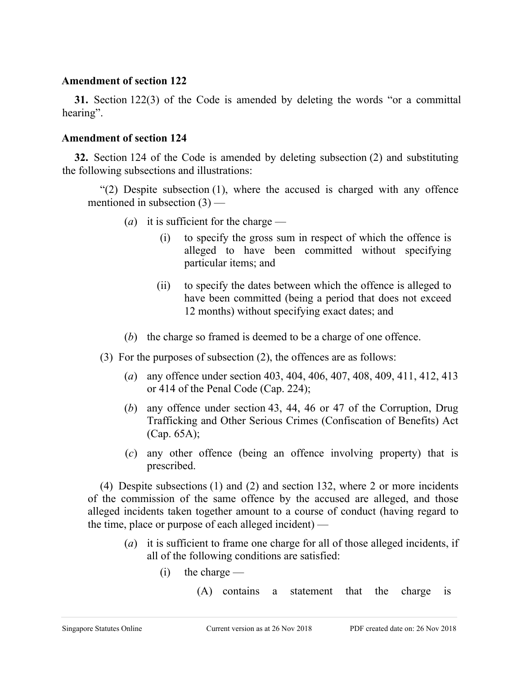#### **Amendment of section 122**

**31.** Section 122(3) of the Code is amended by deleting the words "or a committal hearing".

#### **Amendment of section 124**

**32.** Section 124 of the Code is amended by deleting subsection (2) and substituting the following subsections and illustrations:

"(2) Despite subsection  $(1)$ , where the accused is charged with any offence mentioned in subsection (3) —

- (*a*) it is sufficient for the charge
	- (i) to specify the gross sum in respect of which the offence is alleged to have been committed without specifying particular items; and
	- (ii) to specify the dates between which the offence is alleged to have been committed (being a period that does not exceed 12 months) without specifying exact dates; and
- (*b*) the charge so framed is deemed to be a charge of one offence.
- (3) For the purposes of subsection (2), the offences are as follows:
	- (*a*) any offence under section 403, 404, 406, 407, 408, 409, 411, 412, 413 or 414 of the Penal Code (Cap. 224);
	- (*b*) any offence under section 43, 44, 46 or 47 of the Corruption, Drug Trafficking and Other Serious Crimes (Confiscation of Benefits) Act (Cap. 65A);
	- (*c*) any other offence (being an offence involving property) that is prescribed.

(4) Despite subsections (1) and (2) and section 132, where 2 or more incidents of the commission of the same offence by the accused are alleged, and those alleged incidents taken together amount to a course of conduct (having regard to the time, place or purpose of each alleged incident) —

- (*a*) it is sufficient to frame one charge for all of those alleged incidents, if all of the following conditions are satisfied:
	- $(i)$  the charge
		- (A) contains a statement that the charge is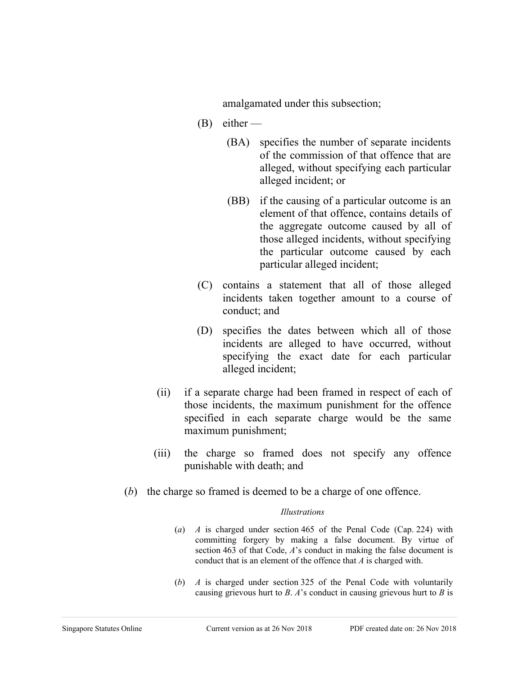amalgamated under this subsection;

- $(B)$  either
	- (BA) specifies the number of separate incidents of the commission of that offence that are alleged, without specifying each particular alleged incident; or
	- (BB) if the causing of a particular outcome is an element of that offence, contains details of the aggregate outcome caused by all of those alleged incidents, without specifying the particular outcome caused by each particular alleged incident;
- (C) contains a statement that all of those alleged incidents taken together amount to a course of conduct; and
- (D) specifies the dates between which all of those incidents are alleged to have occurred, without specifying the exact date for each particular alleged incident;
- (ii) if a separate charge had been framed in respect of each of those incidents, the maximum punishment for the offence specified in each separate charge would be the same maximum punishment;
- (iii) the charge so framed does not specify any offence punishable with death; and
- (*b*) the charge so framed is deemed to be a charge of one offence.

#### *Illustrations*

- (*a*) *A* is charged under section 465 of the Penal Code (Cap. 224) with committing forgery by making a false document. By virtue of section 463 of that Code, *A*'s conduct in making the false document is conduct that is an element of the offence that *A* is charged with.
- (*b*) *A* is charged under section 325 of the Penal Code with voluntarily causing grievous hurt to *B*. *A*'s conduct in causing grievous hurt to *B* is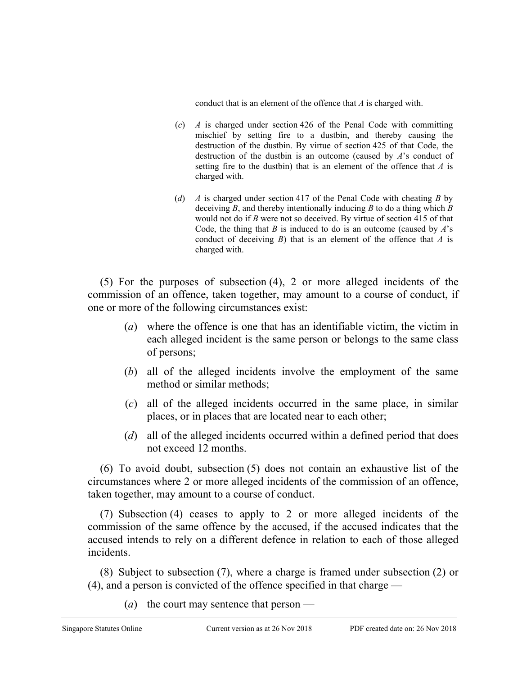conduct that is an element of the offence that *A* is charged with.

- (*c*) *A* is charged under section 426 of the Penal Code with committing mischief by setting fire to a dustbin, and thereby causing the destruction of the dustbin. By virtue of section 425 of that Code, the destruction of the dustbin is an outcome (caused by *A*'s conduct of setting fire to the dustbin) that is an element of the offence that *A* is charged with.
- (*d*) *A* is charged under section 417 of the Penal Code with cheating *B* by deceiving *B*, and thereby intentionally inducing *B* to do a thing which *B* would not do if *B* were not so deceived. By virtue of section 415 of that Code, the thing that *B* is induced to do is an outcome (caused by *A*'s conduct of deceiving *B*) that is an element of the offence that *A* is charged with.

(5) For the purposes of subsection (4), 2 or more alleged incidents of the commission of an offence, taken together, may amount to a course of conduct, if one or more of the following circumstances exist:

- (*a*) where the offence is one that has an identifiable victim, the victim in each alleged incident is the same person or belongs to the same class of persons;
- (*b*) all of the alleged incidents involve the employment of the same method or similar methods;
- (*c*) all of the alleged incidents occurred in the same place, in similar places, or in places that are located near to each other;
- (*d*) all of the alleged incidents occurred within a defined period that does not exceed 12 months.

(6) To avoid doubt, subsection (5) does not contain an exhaustive list of the circumstances where 2 or more alleged incidents of the commission of an offence, taken together, may amount to a course of conduct.

(7) Subsection (4) ceases to apply to 2 or more alleged incidents of the commission of the same offence by the accused, if the accused indicates that the accused intends to rely on a different defence in relation to each of those alleged incidents.

(8) Subject to subsection (7), where a charge is framed under subsection (2) or (4), and a person is convicted of the offence specified in that charge —

(*a*) the court may sentence that person —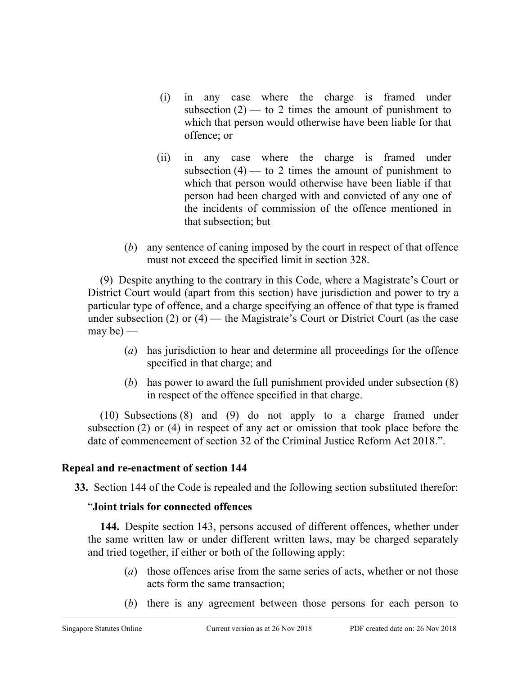- (i) in any case where the charge is framed under subsection  $(2)$  — to 2 times the amount of punishment to which that person would otherwise have been liable for that offence; or
- (ii) in any case where the charge is framed under subsection  $(4)$  — to 2 times the amount of punishment to which that person would otherwise have been liable if that person had been charged with and convicted of any one of the incidents of commission of the offence mentioned in that subsection; but
- (*b*) any sentence of caning imposed by the court in respect of that offence must not exceed the specified limit in section 328.

(9) Despite anything to the contrary in this Code, where a Magistrate's Court or District Court would (apart from this section) have jurisdiction and power to try a particular type of offence, and a charge specifying an offence of that type is framed under subsection  $(2)$  or  $(4)$  — the Magistrate's Court or District Court (as the case may be)  $-$ 

- (*a*) has jurisdiction to hear and determine all proceedings for the offence specified in that charge; and
- (*b*) has power to award the full punishment provided under subsection (8) in respect of the offence specified in that charge.

(10) Subsections (8) and (9) do not apply to a charge framed under subsection (2) or (4) in respect of any act or omission that took place before the date of commencement of section 32 of the Criminal Justice Reform Act 2018.".

## **Repeal and re-enactment of section 144**

**33.** Section 144 of the Code is repealed and the following section substituted therefor:

## "**Joint trials for connected offences**

**144.** Despite section 143, persons accused of different offences, whether under the same written law or under different written laws, may be charged separately and tried together, if either or both of the following apply:

- (*a*) those offences arise from the same series of acts, whether or not those acts form the same transaction;
- (*b*) there is any agreement between those persons for each person to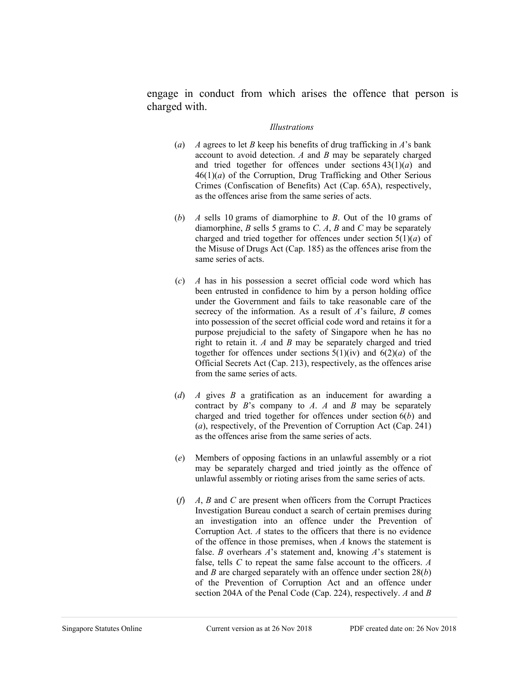engage in conduct from which arises the offence that person is charged with.

#### *Illustrations*

- (*a*) *A* agrees to let *B* keep his benefits of drug trafficking in *A*'s bank account to avoid detection. *A* and *B* may be separately charged and tried together for offences under sections 43(1)(*a*) and  $46(1)(a)$  of the Corruption, Drug Trafficking and Other Serious Crimes (Confiscation of Benefits) Act (Cap. 65A), respectively, as the offences arise from the same series of acts.
- (*b*) *A* sells 10 grams of diamorphine to *B*. Out of the 10 grams of diamorphine, *B* sells 5 grams to *C*. *A*, *B* and *C* may be separately charged and tried together for offences under section 5(1)(*a*) of the Misuse of Drugs Act (Cap. 185) as the offences arise from the same series of acts.
- (*c*) *A* has in his possession a secret official code word which has been entrusted in confidence to him by a person holding office under the Government and fails to take reasonable care of the secrecy of the information. As a result of *A*'s failure, *B* comes into possession of the secret official code word and retains it for a purpose prejudicial to the safety of Singapore when he has no right to retain it. *A* and *B* may be separately charged and tried together for offences under sections  $5(1)(iv)$  and  $6(2)(a)$  of the Official Secrets Act (Cap. 213), respectively, as the offences arise from the same series of acts.
- (*d*) *A* gives *B* a gratification as an inducement for awarding a contract by *B*'s company to *A*. *A* and *B* may be separately charged and tried together for offences under section 6(*b*) and (*a*), respectively, of the Prevention of Corruption Act (Cap. 241) as the offences arise from the same series of acts.
- (*e*) Members of opposing factions in an unlawful assembly or a riot may be separately charged and tried jointly as the offence of unlawful assembly or rioting arises from the same series of acts.
- (*f*) *A*, *B* and *C* are present when officers from the Corrupt Practices Investigation Bureau conduct a search of certain premises during an investigation into an offence under the Prevention of Corruption Act. *A* states to the officers that there is no evidence of the offence in those premises, when *A* knows the statement is false. *B* overhears *A*'s statement and, knowing *A*'s statement is false, tells *C* to repeat the same false account to the officers. *A* and *B* are charged separately with an offence under section 28(*b*) of the Prevention of Corruption Act and an offence under section 204A of the Penal Code (Cap. 224), respectively. *A* and *B*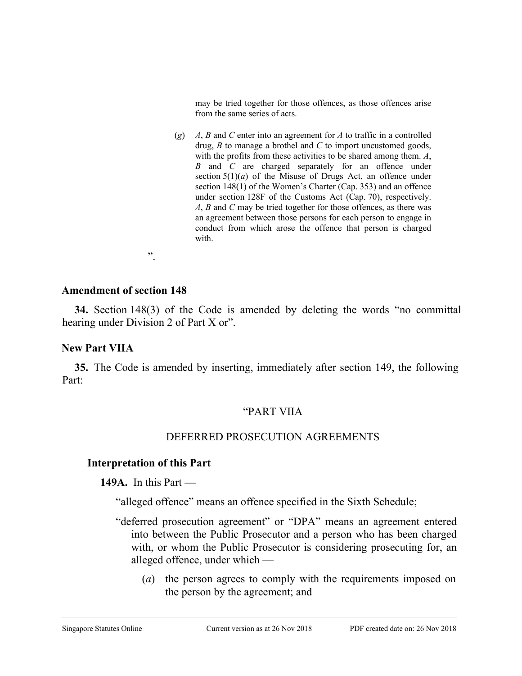may be tried together for those offences, as those offences arise from the same series of acts.

(*g*) *A*, *B* and *C* enter into an agreement for *A* to traffic in a controlled drug, *B* to manage a brothel and *C* to import uncustomed goods, with the profits from these activities to be shared among them. *A*, *B* and *C* are charged separately for an offence under section 5(1)(*a*) of the Misuse of Drugs Act, an offence under section 148(1) of the Women's Charter (Cap. 353) and an offence under section 128F of the Customs Act (Cap. 70), respectively. *A*, *B* and *C* may be tried together for those offences, as there was an agreement between those persons for each person to engage in conduct from which arose the offence that person is charged with.

".

#### **Amendment of section 148**

**34.** Section 148(3) of the Code is amended by deleting the words "no committal hearing under Division 2 of Part X or".

### **New Part VIIA**

**35.** The Code is amended by inserting, immediately after section 149, the following Part:

### "PART VIIA

### DEFERRED PROSECUTION AGREEMENTS

### **Interpretation of this Part**

**149A.** In this Part —

"alleged offence" means an offence specified in the Sixth Schedule;

- "deferred prosecution agreement" or "DPA" means an agreement entered into between the Public Prosecutor and a person who has been charged with, or whom the Public Prosecutor is considering prosecuting for, an alleged offence, under which —
	- (*a*) the person agrees to comply with the requirements imposed on the person by the agreement; and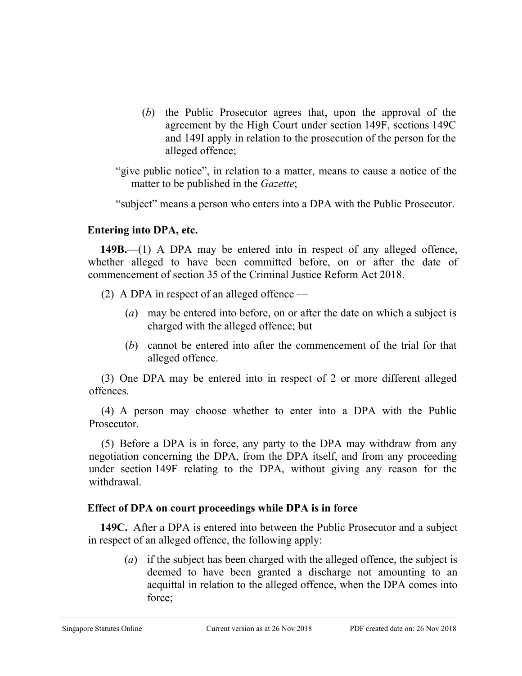(*b*) the Public Prosecutor agrees that, upon the approval of the agreement by the High Court under section 149F, sections 149C and 149I apply in relation to the prosecution of the person for the alleged offence;

"give public notice", in relation to a matter, means to cause a notice of the matter to be published in the *Gazette*;

"subject" means a person who enters into a DPA with the Public Prosecutor.

### **Entering into DPA, etc.**

**149B.**—(1) A DPA may be entered into in respect of any alleged offence, whether alleged to have been committed before, on or after the date of commencement of section 35 of the Criminal Justice Reform Act 2018.

- (2) A DPA in respect of an alleged offence
	- (*a*) may be entered into before, on or after the date on which a subject is charged with the alleged offence; but
	- (*b*) cannot be entered into after the commencement of the trial for that alleged offence.

(3) One DPA may be entered into in respect of 2 or more different alleged offences.

(4) A person may choose whether to enter into a DPA with the Public Prosecutor.

(5) Before a DPA is in force, any party to the DPA may withdraw from any negotiation concerning the DPA, from the DPA itself, and from any proceeding under section 149F relating to the DPA, without giving any reason for the withdrawal.

## **Effect of DPA on court proceedings while DPA is in force**

**149C.** After a DPA is entered into between the Public Prosecutor and a subject in respect of an alleged offence, the following apply:

(*a*) if the subject has been charged with the alleged offence, the subject is deemed to have been granted a discharge not amounting to an acquittal in relation to the alleged offence, when the DPA comes into force;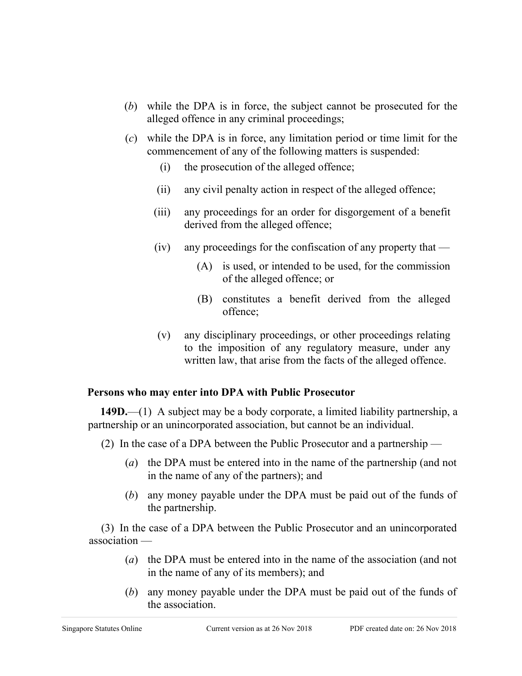- (*b*) while the DPA is in force, the subject cannot be prosecuted for the alleged offence in any criminal proceedings;
- (*c*) while the DPA is in force, any limitation period or time limit for the commencement of any of the following matters is suspended:
	- (i) the prosecution of the alleged offence;
	- (ii) any civil penalty action in respect of the alleged offence;
	- (iii) any proceedings for an order for disgorgement of a benefit derived from the alleged offence;
	- (iv) any proceedings for the confiscation of any property that
		- (A) is used, or intended to be used, for the commission of the alleged offence; or
		- (B) constitutes a benefit derived from the alleged offence;
	- (v) any disciplinary proceedings, or other proceedings relating to the imposition of any regulatory measure, under any written law, that arise from the facts of the alleged offence.

### **Persons who may enter into DPA with Public Prosecutor**

**149D.**—(1) A subject may be a body corporate, a limited liability partnership, a partnership or an unincorporated association, but cannot be an individual.

- (2) In the case of a DPA between the Public Prosecutor and a partnership
	- (*a*) the DPA must be entered into in the name of the partnership (and not in the name of any of the partners); and
	- (*b*) any money payable under the DPA must be paid out of the funds of the partnership.

(3) In the case of a DPA between the Public Prosecutor and an unincorporated association —

- (*a*) the DPA must be entered into in the name of the association (and not in the name of any of its members); and
- (*b*) any money payable under the DPA must be paid out of the funds of the association.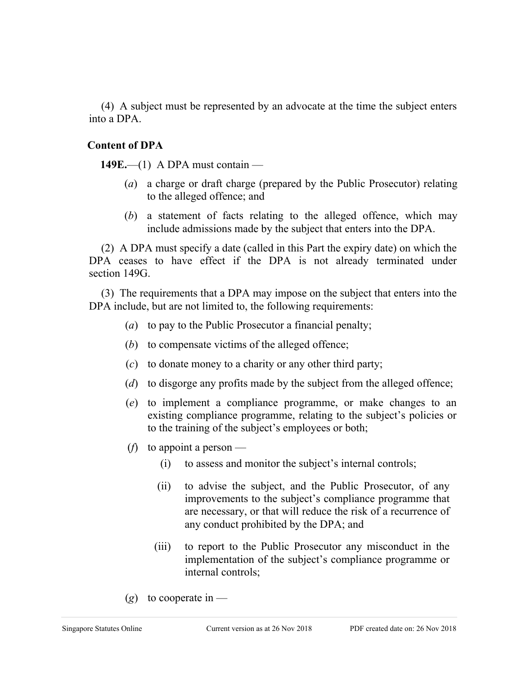(4) A subject must be represented by an advocate at the time the subject enters into a DPA.

### **Content of DPA**

**149E.**—(1) A DPA must contain —

- (*a*) a charge or draft charge (prepared by the Public Prosecutor) relating to the alleged offence; and
- (*b*) a statement of facts relating to the alleged offence, which may include admissions made by the subject that enters into the DPA.

(2) A DPA must specify a date (called in this Part the expiry date) on which the DPA ceases to have effect if the DPA is not already terminated under section 149G.

(3) The requirements that a DPA may impose on the subject that enters into the DPA include, but are not limited to, the following requirements:

- (*a*) to pay to the Public Prosecutor a financial penalty;
- (*b*) to compensate victims of the alleged offence;
- (*c*) to donate money to a charity or any other third party;
- (*d*) to disgorge any profits made by the subject from the alleged offence;
- (*e*) to implement a compliance programme, or make changes to an existing compliance programme, relating to the subject's policies or to the training of the subject's employees or both;
- (*f*) to appoint a person
	- (i) to assess and monitor the subject's internal controls;
	- (ii) to advise the subject, and the Public Prosecutor, of any improvements to the subject's compliance programme that are necessary, or that will reduce the risk of a recurrence of any conduct prohibited by the DPA; and
	- (iii) to report to the Public Prosecutor any misconduct in the implementation of the subject's compliance programme or internal controls;
- $(g)$  to cooperate in —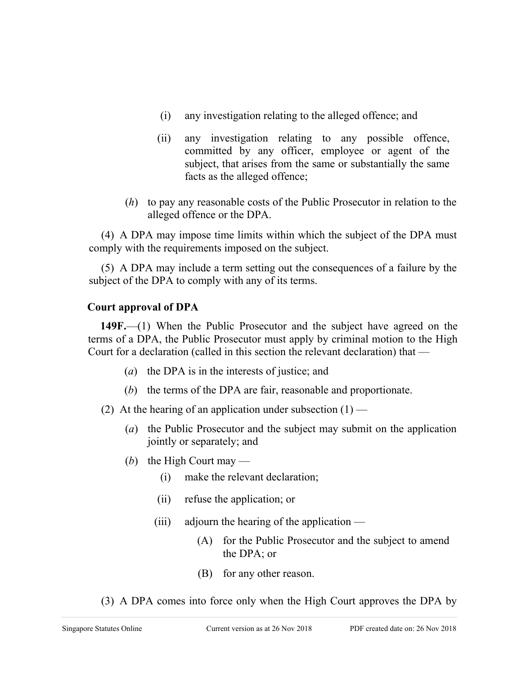- (i) any investigation relating to the alleged offence; and
- (ii) any investigation relating to any possible offence, committed by any officer, employee or agent of the subject, that arises from the same or substantially the same facts as the alleged offence;
- (*h*) to pay any reasonable costs of the Public Prosecutor in relation to the alleged offence or the DPA.

(4) A DPA may impose time limits within which the subject of the DPA must comply with the requirements imposed on the subject.

(5) A DPA may include a term setting out the consequences of a failure by the subject of the DPA to comply with any of its terms.

## **Court approval of DPA**

**149F.**—(1) When the Public Prosecutor and the subject have agreed on the terms of a DPA, the Public Prosecutor must apply by criminal motion to the High Court for a declaration (called in this section the relevant declaration) that —

- (*a*) the DPA is in the interests of justice; and
- (*b*) the terms of the DPA are fair, reasonable and proportionate.

(2) At the hearing of an application under subsection  $(1)$  —

- (*a*) the Public Prosecutor and the subject may submit on the application jointly or separately; and
- (b) the High Court may
	- (i) make the relevant declaration;
	- (ii) refuse the application; or
	- $(iii)$  adjourn the hearing of the application
		- (A) for the Public Prosecutor and the subject to amend the DPA; or
		- (B) for any other reason.
- (3) A DPA comes into force only when the High Court approves the DPA by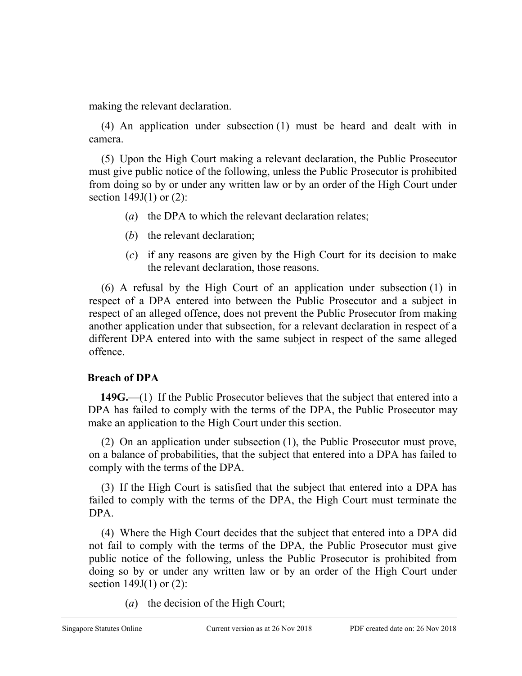making the relevant declaration.

(4) An application under subsection (1) must be heard and dealt with in camera.

(5) Upon the High Court making a relevant declaration, the Public Prosecutor must give public notice of the following, unless the Public Prosecutor is prohibited from doing so by or under any written law or by an order of the High Court under section 149J(1) or (2):

- (*a*) the DPA to which the relevant declaration relates;
- (*b*) the relevant declaration;
- (*c*) if any reasons are given by the High Court for its decision to make the relevant declaration, those reasons.

(6) A refusal by the High Court of an application under subsection (1) in respect of a DPA entered into between the Public Prosecutor and a subject in respect of an alleged offence, does not prevent the Public Prosecutor from making another application under that subsection, for a relevant declaration in respect of a different DPA entered into with the same subject in respect of the same alleged offence.

# **Breach of DPA**

**149G.**—(1) If the Public Prosecutor believes that the subject that entered into a DPA has failed to comply with the terms of the DPA, the Public Prosecutor may make an application to the High Court under this section.

(2) On an application under subsection (1), the Public Prosecutor must prove, on a balance of probabilities, that the subject that entered into a DPA has failed to comply with the terms of the DPA.

(3) If the High Court is satisfied that the subject that entered into a DPA has failed to comply with the terms of the DPA, the High Court must terminate the DPA.

(4) Where the High Court decides that the subject that entered into a DPA did not fail to comply with the terms of the DPA, the Public Prosecutor must give public notice of the following, unless the Public Prosecutor is prohibited from doing so by or under any written law or by an order of the High Court under section 149J(1) or (2):

(*a*) the decision of the High Court;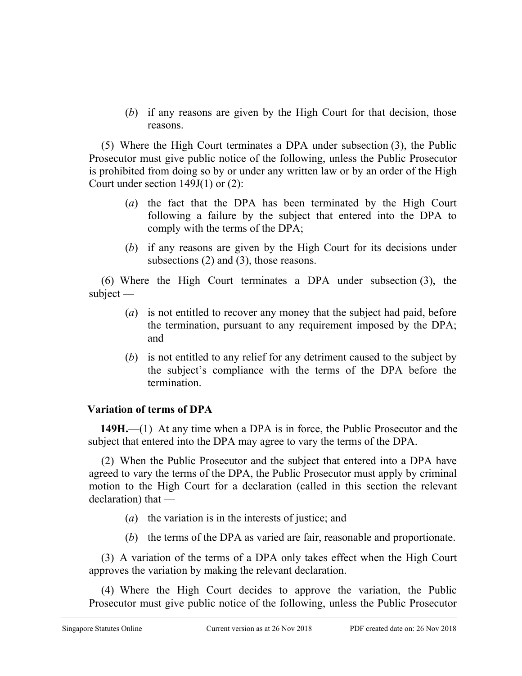(*b*) if any reasons are given by the High Court for that decision, those reasons.

(5) Where the High Court terminates a DPA under subsection (3), the Public Prosecutor must give public notice of the following, unless the Public Prosecutor is prohibited from doing so by or under any written law or by an order of the High Court under section 149J(1) or (2):

- (*a*) the fact that the DPA has been terminated by the High Court following a failure by the subject that entered into the DPA to comply with the terms of the DPA;
- (*b*) if any reasons are given by the High Court for its decisions under subsections (2) and (3), those reasons.

(6) Where the High Court terminates a DPA under subsection (3), the subject —

- (*a*) is not entitled to recover any money that the subject had paid, before the termination, pursuant to any requirement imposed by the DPA; and
- (*b*) is not entitled to any relief for any detriment caused to the subject by the subject's compliance with the terms of the DPA before the termination.

## **Variation of terms of DPA**

**149H.**—(1) At any time when a DPA is in force, the Public Prosecutor and the subject that entered into the DPA may agree to vary the terms of the DPA.

(2) When the Public Prosecutor and the subject that entered into a DPA have agreed to vary the terms of the DPA, the Public Prosecutor must apply by criminal motion to the High Court for a declaration (called in this section the relevant declaration) that —

- (*a*) the variation is in the interests of justice; and
- (*b*) the terms of the DPA as varied are fair, reasonable and proportionate.

(3) A variation of the terms of a DPA only takes effect when the High Court approves the variation by making the relevant declaration.

(4) Where the High Court decides to approve the variation, the Public Prosecutor must give public notice of the following, unless the Public Prosecutor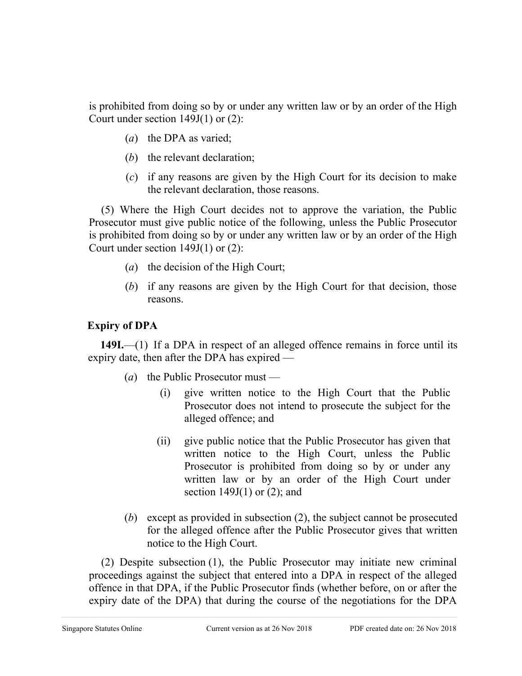is prohibited from doing so by or under any written law or by an order of the High Court under section 149J(1) or (2):

- (*a*) the DPA as varied;
- (*b*) the relevant declaration;
- (*c*) if any reasons are given by the High Court for its decision to make the relevant declaration, those reasons.

(5) Where the High Court decides not to approve the variation, the Public Prosecutor must give public notice of the following, unless the Public Prosecutor is prohibited from doing so by or under any written law or by an order of the High Court under section 149J(1) or (2):

- (*a*) the decision of the High Court;
- (*b*) if any reasons are given by the High Court for that decision, those reasons.

## **Expiry of DPA**

**149I.**—(1) If a DPA in respect of an alleged offence remains in force until its expiry date, then after the DPA has expired —

- (*a*) the Public Prosecutor must
	- (i) give written notice to the High Court that the Public Prosecutor does not intend to prosecute the subject for the alleged offence; and
	- (ii) give public notice that the Public Prosecutor has given that written notice to the High Court, unless the Public Prosecutor is prohibited from doing so by or under any written law or by an order of the High Court under section  $149J(1)$  or  $(2)$ ; and
- (*b*) except as provided in subsection (2), the subject cannot be prosecuted for the alleged offence after the Public Prosecutor gives that written notice to the High Court.

(2) Despite subsection (1), the Public Prosecutor may initiate new criminal proceedings against the subject that entered into a DPA in respect of the alleged offence in that DPA, if the Public Prosecutor finds (whether before, on or after the expiry date of the DPA) that during the course of the negotiations for the DPA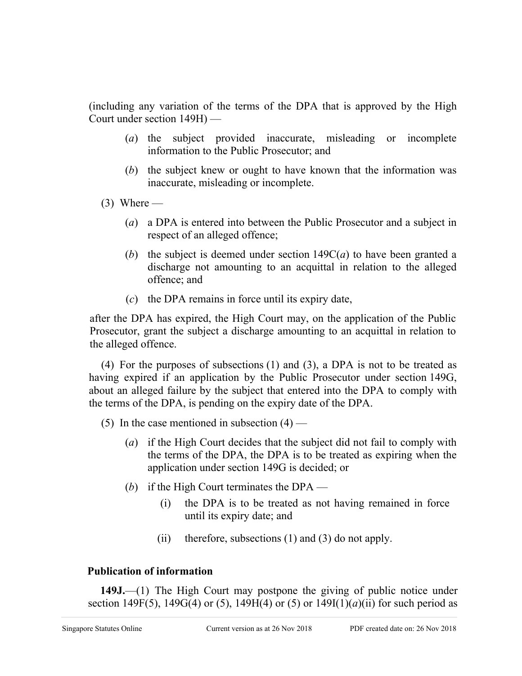(including any variation of the terms of the DPA that is approved by the High Court under section 149H) —

- (*a*) the subject provided inaccurate, misleading or incomplete information to the Public Prosecutor; and
- (*b*) the subject knew or ought to have known that the information was inaccurate, misleading or incomplete.

 $(3)$  Where —

- (*a*) a DPA is entered into between the Public Prosecutor and a subject in respect of an alleged offence;
- (*b*) the subject is deemed under section 149C(*a*) to have been granted a discharge not amounting to an acquittal in relation to the alleged offence; and
- (*c*) the DPA remains in force until its expiry date,

after the DPA has expired, the High Court may, on the application of the Public Prosecutor, grant the subject a discharge amounting to an acquittal in relation to the alleged offence.

(4) For the purposes of subsections (1) and (3), a DPA is not to be treated as having expired if an application by the Public Prosecutor under section 149G, about an alleged failure by the subject that entered into the DPA to comply with the terms of the DPA, is pending on the expiry date of the DPA.

- (5) In the case mentioned in subsection  $(4)$ 
	- (*a*) if the High Court decides that the subject did not fail to comply with the terms of the DPA, the DPA is to be treated as expiring when the application under section 149G is decided; or
	- (*b*) if the High Court terminates the DPA
		- (i) the DPA is to be treated as not having remained in force until its expiry date; and
		- (ii) therefore, subsections (1) and (3) do not apply.

## **Publication of information**

**149J.**—(1) The High Court may postpone the giving of public notice under section 149F(5), 149G(4) or (5), 149H(4) or (5) or  $149I(1)(a)(ii)$  for such period as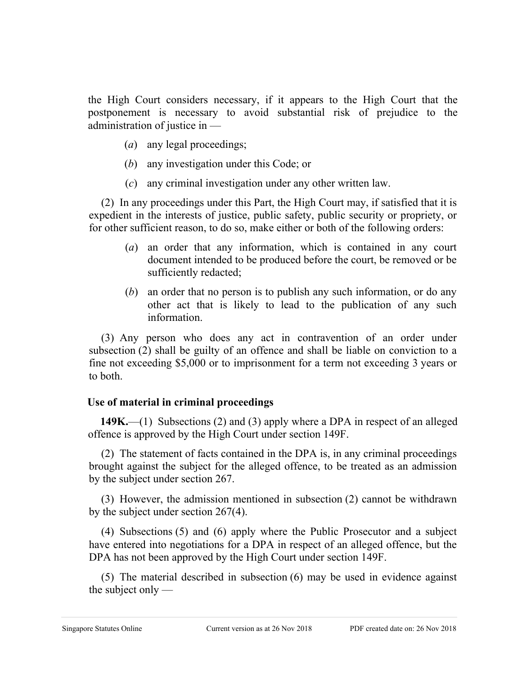the High Court considers necessary, if it appears to the High Court that the postponement is necessary to avoid substantial risk of prejudice to the administration of justice in —

- (*a*) any legal proceedings;
- (*b*) any investigation under this Code; or
- (*c*) any criminal investigation under any other written law.

(2) In any proceedings under this Part, the High Court may, if satisfied that it is expedient in the interests of justice, public safety, public security or propriety, or for other sufficient reason, to do so, make either or both of the following orders:

- (*a*) an order that any information, which is contained in any court document intended to be produced before the court, be removed or be sufficiently redacted;
- (*b*) an order that no person is to publish any such information, or do any other act that is likely to lead to the publication of any such information.

(3) Any person who does any act in contravention of an order under subsection (2) shall be guilty of an offence and shall be liable on conviction to a fine not exceeding \$5,000 or to imprisonment for a term not exceeding 3 years or to both.

## **Use of material in criminal proceedings**

**149K.**—(1) Subsections (2) and (3) apply where a DPA in respect of an alleged offence is approved by the High Court under section 149F.

(2) The statement of facts contained in the DPA is, in any criminal proceedings brought against the subject for the alleged offence, to be treated as an admission by the subject under section 267.

(3) However, the admission mentioned in subsection (2) cannot be withdrawn by the subject under section 267(4).

(4) Subsections (5) and (6) apply where the Public Prosecutor and a subject have entered into negotiations for a DPA in respect of an alleged offence, but the DPA has not been approved by the High Court under section 149F.

(5) The material described in subsection (6) may be used in evidence against the subject only  $-$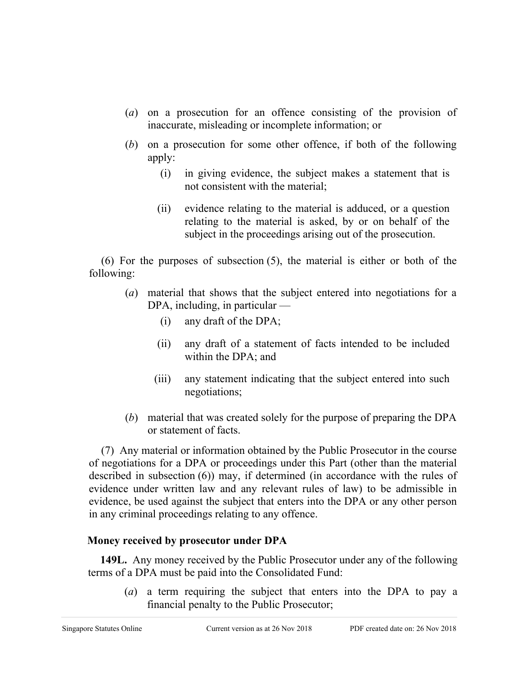- (*a*) on a prosecution for an offence consisting of the provision of inaccurate, misleading or incomplete information; or
- (*b*) on a prosecution for some other offence, if both of the following apply:
	- (i) in giving evidence, the subject makes a statement that is not consistent with the material;
	- (ii) evidence relating to the material is adduced, or a question relating to the material is asked, by or on behalf of the subject in the proceedings arising out of the prosecution.

(6) For the purposes of subsection (5), the material is either or both of the following:

- (*a*) material that shows that the subject entered into negotiations for a DPA, including, in particular —
	- (i) any draft of the DPA;
	- (ii) any draft of a statement of facts intended to be included within the DPA; and
	- (iii) any statement indicating that the subject entered into such negotiations;
- (*b*) material that was created solely for the purpose of preparing the DPA or statement of facts.

(7) Any material or information obtained by the Public Prosecutor in the course of negotiations for a DPA or proceedings under this Part (other than the material described in subsection (6)) may, if determined (in accordance with the rules of evidence under written law and any relevant rules of law) to be admissible in evidence, be used against the subject that enters into the DPA or any other person in any criminal proceedings relating to any offence.

## **Money received by prosecutor under DPA**

**149L.** Any money received by the Public Prosecutor under any of the following terms of a DPA must be paid into the Consolidated Fund:

(*a*) a term requiring the subject that enters into the DPA to pay a financial penalty to the Public Prosecutor;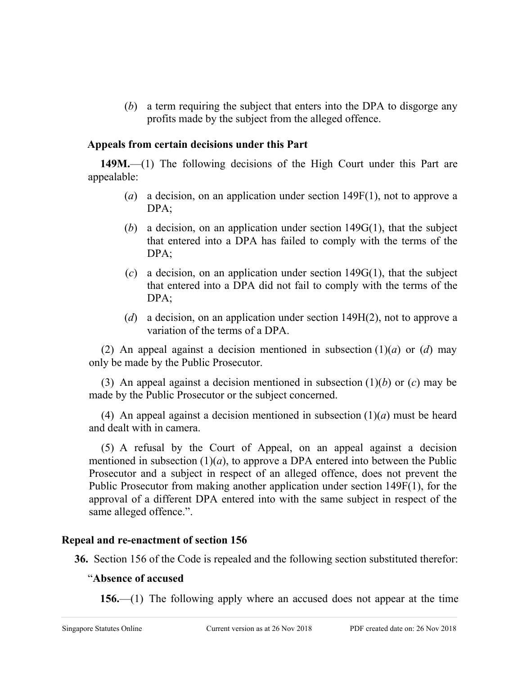(*b*) a term requiring the subject that enters into the DPA to disgorge any profits made by the subject from the alleged offence.

### **Appeals from certain decisions under this Part**

**149M.**—(1) The following decisions of the High Court under this Part are appealable:

- (*a*) a decision, on an application under section 149F(1), not to approve a DPA;
- (*b*) a decision, on an application under section 149G(1), that the subject that entered into a DPA has failed to comply with the terms of the DPA;
- (*c*) a decision, on an application under section 149G(1), that the subject that entered into a DPA did not fail to comply with the terms of the DPA;
- (*d*) a decision, on an application under section 149H(2), not to approve a variation of the terms of a DPA.

(2) An appeal against a decision mentioned in subsection (1)(*a*) or (*d*) may only be made by the Public Prosecutor.

(3) An appeal against a decision mentioned in subsection (1)(*b*) or (*c*) may be made by the Public Prosecutor or the subject concerned.

(4) An appeal against a decision mentioned in subsection (1)(*a*) must be heard and dealt with in camera.

(5) A refusal by the Court of Appeal, on an appeal against a decision mentioned in subsection  $(1)(a)$ , to approve a DPA entered into between the Public Prosecutor and a subject in respect of an alleged offence, does not prevent the Public Prosecutor from making another application under section 149F(1), for the approval of a different DPA entered into with the same subject in respect of the same alleged offence.".

## **Repeal and re-enactment of section 156**

**36.** Section 156 of the Code is repealed and the following section substituted therefor:

### "**Absence of accused**

**156.**—(1) The following apply where an accused does not appear at the time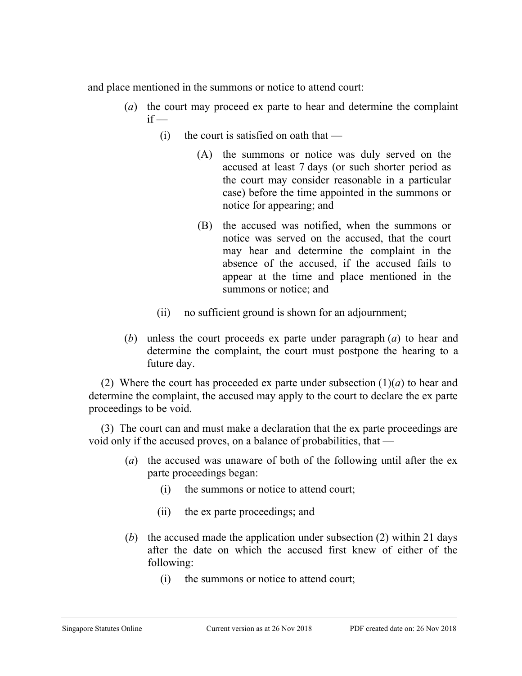and place mentioned in the summons or notice to attend court:

- (*a*) the court may proceed ex parte to hear and determine the complaint  $if -$ 
	- (i) the court is satisfied on oath that  $-$ 
		- (A) the summons or notice was duly served on the accused at least 7 days (or such shorter period as the court may consider reasonable in a particular case) before the time appointed in the summons or notice for appearing; and
			- (B) the accused was notified, when the summons or notice was served on the accused, that the court may hear and determine the complaint in the absence of the accused, if the accused fails to appear at the time and place mentioned in the summons or notice; and
	- (ii) no sufficient ground is shown for an adjournment;
- (*b*) unless the court proceeds ex parte under paragraph (*a*) to hear and determine the complaint, the court must postpone the hearing to a future day.

(2) Where the court has proceeded ex parte under subsection  $(1)(a)$  to hear and determine the complaint, the accused may apply to the court to declare the ex parte proceedings to be void.

(3) The court can and must make a declaration that the ex parte proceedings are void only if the accused proves, on a balance of probabilities, that —

- (*a*) the accused was unaware of both of the following until after the ex parte proceedings began:
	- (i) the summons or notice to attend court;
	- (ii) the ex parte proceedings; and
- (*b*) the accused made the application under subsection (2) within 21 days after the date on which the accused first knew of either of the following:
	- (i) the summons or notice to attend court;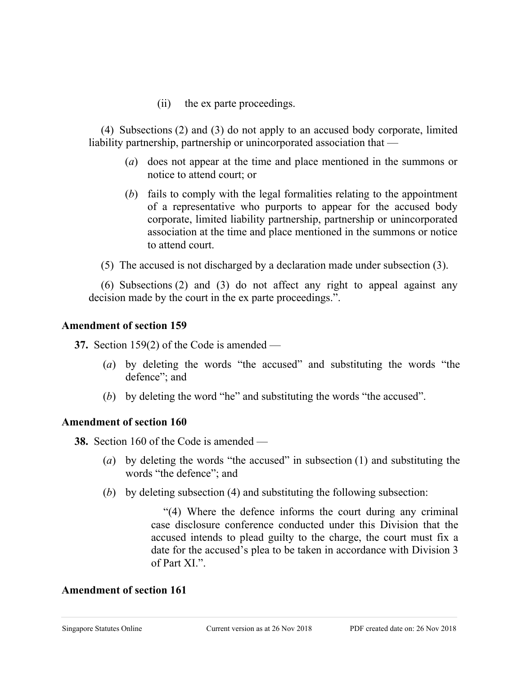(ii) the ex parte proceedings.

(4) Subsections (2) and (3) do not apply to an accused body corporate, limited liability partnership, partnership or unincorporated association that —

- (*a*) does not appear at the time and place mentioned in the summons or notice to attend court; or
- (*b*) fails to comply with the legal formalities relating to the appointment of a representative who purports to appear for the accused body corporate, limited liability partnership, partnership or unincorporated association at the time and place mentioned in the summons or notice to attend court.
- (5) The accused is not discharged by a declaration made under subsection (3).

(6) Subsections (2) and (3) do not affect any right to appeal against any decision made by the court in the ex parte proceedings.".

### **Amendment of section 159**

**37.** Section 159(2) of the Code is amended —

- (*a*) by deleting the words "the accused" and substituting the words "the defence"; and
- (*b*) by deleting the word "he" and substituting the words "the accused".

### **Amendment of section 160**

**38.** Section 160 of the Code is amended —

- (*a*) by deleting the words "the accused" in subsection (1) and substituting the words "the defence"; and
- (*b*) by deleting subsection (4) and substituting the following subsection:

"(4) Where the defence informs the court during any criminal case disclosure conference conducted under this Division that the accused intends to plead guilty to the charge, the court must fix a date for the accused's plea to be taken in accordance with Division 3 of Part XI.".

### **Amendment of section 161**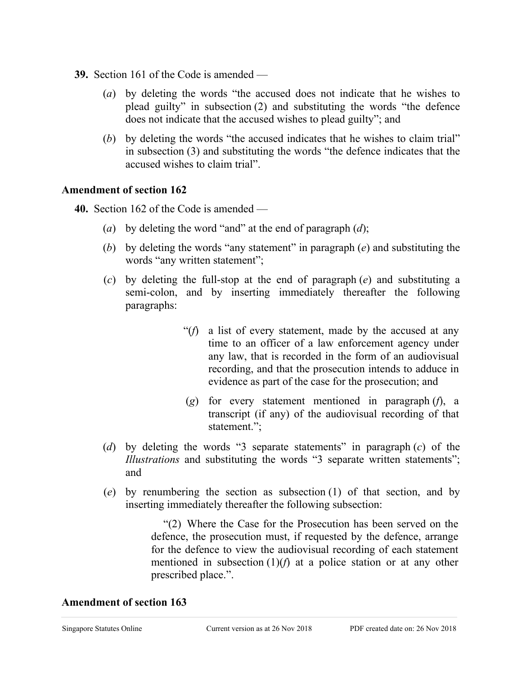- **39.** Section 161 of the Code is amended
	- (*a*) by deleting the words "the accused does not indicate that he wishes to plead guilty" in subsection (2) and substituting the words "the defence does not indicate that the accused wishes to plead guilty"; and
	- (*b*) by deleting the words "the accused indicates that he wishes to claim trial" in subsection (3) and substituting the words "the defence indicates that the accused wishes to claim trial".

### **Amendment of section 162**

- **40.** Section 162 of the Code is amended
	- (*a*) by deleting the word "and" at the end of paragraph (*d*);
	- (*b*) by deleting the words "any statement" in paragraph (*e*) and substituting the words "any written statement";
	- (*c*) by deleting the full-stop at the end of paragraph (*e*) and substituting a semi-colon, and by inserting immediately thereafter the following paragraphs:
		- "(*f*) a list of every statement, made by the accused at any time to an officer of a law enforcement agency under any law, that is recorded in the form of an audiovisual recording, and that the prosecution intends to adduce in evidence as part of the case for the prosecution; and
		- (*g*) for every statement mentioned in paragraph (*f*), a transcript (if any) of the audiovisual recording of that statement.";
	- (*d*) by deleting the words "3 separate statements" in paragraph (*c*) of the *Illustrations* and substituting the words "3 separate written statements"; and
	- (*e*) by renumbering the section as subsection (1) of that section, and by inserting immediately thereafter the following subsection:

"(2) Where the Case for the Prosecution has been served on the defence, the prosecution must, if requested by the defence, arrange for the defence to view the audiovisual recording of each statement mentioned in subsection  $(1)(f)$  at a police station or at any other prescribed place.".

### **Amendment of section 163**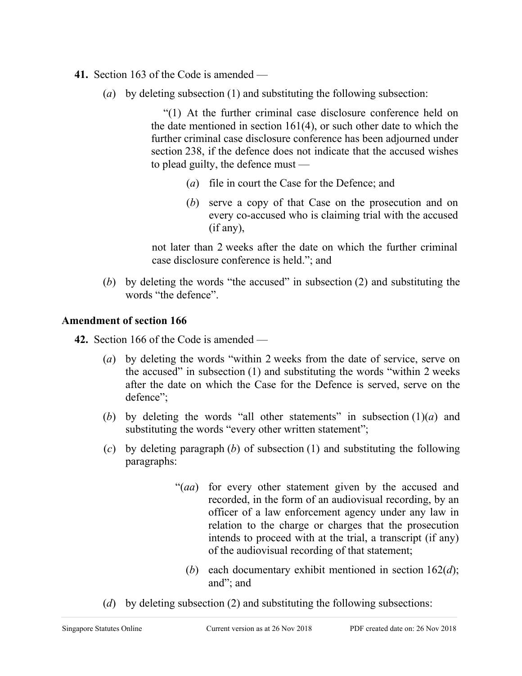- **41.** Section 163 of the Code is amended
	- (*a*) by deleting subsection (1) and substituting the following subsection:

"(1) At the further criminal case disclosure conference held on the date mentioned in section 161(4), or such other date to which the further criminal case disclosure conference has been adjourned under section 238, if the defence does not indicate that the accused wishes to plead guilty, the defence must —

- (*a*) file in court the Case for the Defence; and
- (*b*) serve a copy of that Case on the prosecution and on every co-accused who is claiming trial with the accused (if any),

not later than 2 weeks after the date on which the further criminal case disclosure conference is held."; and

(*b*) by deleting the words "the accused" in subsection (2) and substituting the words "the defence".

## **Amendment of section 166**

**42.** Section 166 of the Code is amended —

- (*a*) by deleting the words "within 2 weeks from the date of service, serve on the accused" in subsection (1) and substituting the words "within 2 weeks after the date on which the Case for the Defence is served, serve on the defence";
- (*b*) by deleting the words "all other statements" in subsection  $(1)(a)$  and substituting the words "every other written statement";
- (*c*) by deleting paragraph (*b*) of subsection (1) and substituting the following paragraphs:
	- "(*aa*) for every other statement given by the accused and recorded, in the form of an audiovisual recording, by an officer of a law enforcement agency under any law in relation to the charge or charges that the prosecution intends to proceed with at the trial, a transcript (if any) of the audiovisual recording of that statement;
		- (*b*) each documentary exhibit mentioned in section 162(*d*); and"; and
- (*d*) by deleting subsection (2) and substituting the following subsections: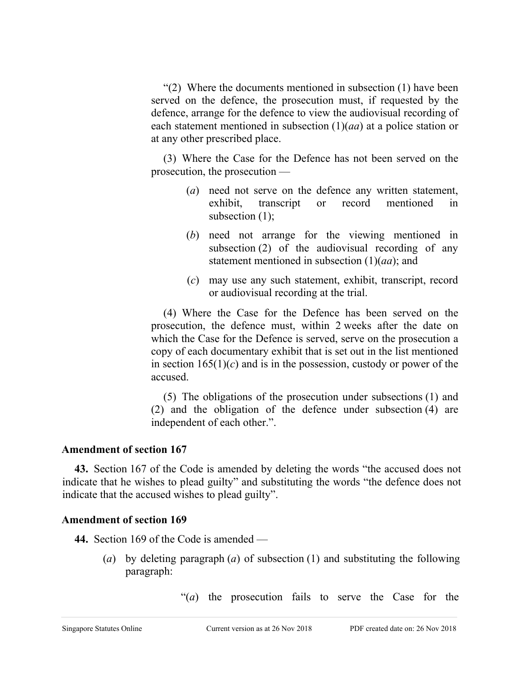"(2) Where the documents mentioned in subsection (1) have been served on the defence, the prosecution must, if requested by the defence, arrange for the defence to view the audiovisual recording of each statement mentioned in subsection (1)(*aa*) at a police station or at any other prescribed place.

(3) Where the Case for the Defence has not been served on the prosecution, the prosecution —

- (*a*) need not serve on the defence any written statement, exhibit, transcript or record mentioned in subsection (1);
- (*b*) need not arrange for the viewing mentioned in subsection (2) of the audiovisual recording of any statement mentioned in subsection (1)(*aa*); and
- (*c*) may use any such statement, exhibit, transcript, record or audiovisual recording at the trial.

(4) Where the Case for the Defence has been served on the prosecution, the defence must, within 2 weeks after the date on which the Case for the Defence is served, serve on the prosecution a copy of each documentary exhibit that is set out in the list mentioned in section  $165(1)(c)$  and is in the possession, custody or power of the accused.

(5) The obligations of the prosecution under subsections (1) and (2) and the obligation of the defence under subsection (4) are independent of each other.".

## **Amendment of section 167**

**43.** Section 167 of the Code is amended by deleting the words "the accused does not indicate that he wishes to plead guilty" and substituting the words "the defence does not indicate that the accused wishes to plead guilty".

## **Amendment of section 169**

**44.** Section 169 of the Code is amended —

(*a*) by deleting paragraph (*a*) of subsection (1) and substituting the following paragraph:

"(*a*) the prosecution fails to serve the Case for the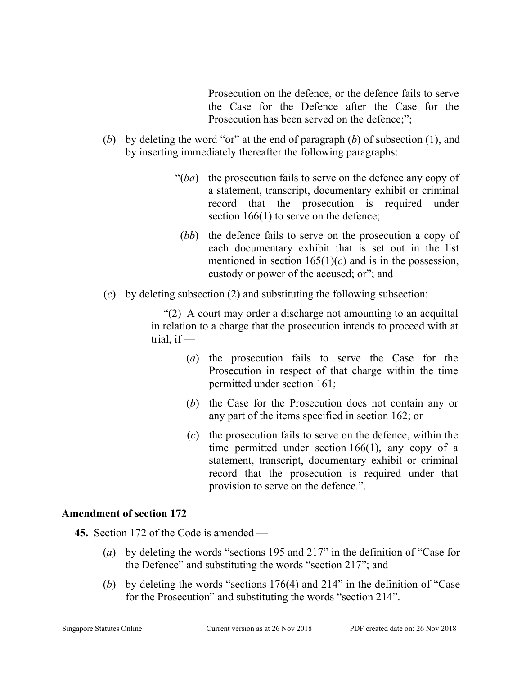Prosecution on the defence, or the defence fails to serve the Case for the Defence after the Case for the Prosecution has been served on the defence;":

- (*b*) by deleting the word "or" at the end of paragraph (*b*) of subsection (1), and by inserting immediately thereafter the following paragraphs:
	- "(*ba*) the prosecution fails to serve on the defence any copy of a statement, transcript, documentary exhibit or criminal record that the prosecution is required under section 166(1) to serve on the defence;
	- (*bb*) the defence fails to serve on the prosecution a copy of each documentary exhibit that is set out in the list mentioned in section  $165(1)(c)$  and is in the possession, custody or power of the accused; or"; and
- (*c*) by deleting subsection (2) and substituting the following subsection:

"(2) A court may order a discharge not amounting to an acquittal in relation to a charge that the prosecution intends to proceed with at trial, if  $-$ 

- (*a*) the prosecution fails to serve the Case for the Prosecution in respect of that charge within the time permitted under section 161;
- (*b*) the Case for the Prosecution does not contain any or any part of the items specified in section 162; or
- (*c*) the prosecution fails to serve on the defence, within the time permitted under section 166(1), any copy of a statement, transcript, documentary exhibit or criminal record that the prosecution is required under that provision to serve on the defence.".

## **Amendment of section 172**

**45.** Section 172 of the Code is amended —

- (*a*) by deleting the words "sections 195 and 217" in the definition of "Case for the Defence" and substituting the words "section 217"; and
- (*b*) by deleting the words "sections 176(4) and 214" in the definition of "Case for the Prosecution" and substituting the words "section 214".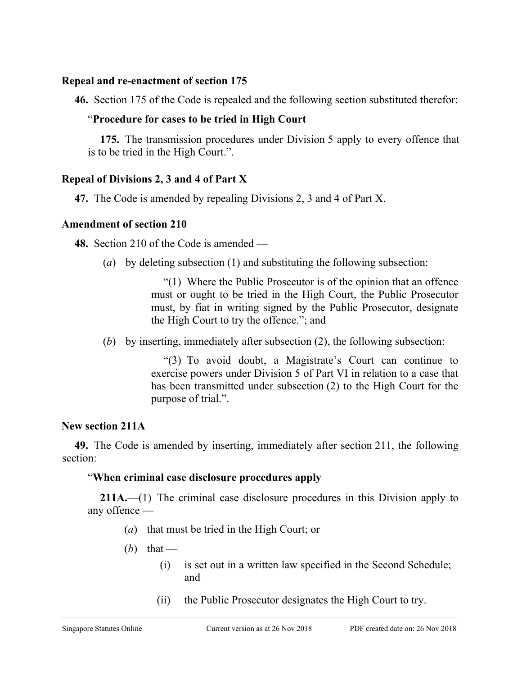### **Repeal and re-enactment of section 175**

**46.** Section 175 of the Code is repealed and the following section substituted therefor:

## "**Procedure for cases to be tried in High Court**

**175.** The transmission procedures under Division 5 apply to every offence that is to be tried in the High Court.".

## **Repeal of Divisions 2, 3 and 4 of Part X**

**47.** The Code is amended by repealing Divisions 2, 3 and 4 of Part X.

## **Amendment of section 210**

**48.** Section 210 of the Code is amended —

(*a*) by deleting subsection (1) and substituting the following subsection:

"(1) Where the Public Prosecutor is of the opinion that an offence must or ought to be tried in the High Court, the Public Prosecutor must, by fiat in writing signed by the Public Prosecutor, designate the High Court to try the offence."; and

(*b*) by inserting, immediately after subsection (2), the following subsection:

"(3) To avoid doubt, a Magistrate's Court can continue to exercise powers under Division 5 of Part VI in relation to a case that has been transmitted under subsection (2) to the High Court for the purpose of trial.".

## **New section 211A**

**49.** The Code is amended by inserting, immediately after section 211, the following section:

## "**When criminal case disclosure procedures apply**

**211A.**—(1) The criminal case disclosure procedures in this Division apply to any offence —

- (*a*) that must be tried in the High Court; or
- (b) that
	- (i) is set out in a written law specified in the Second Schedule; and
	- (ii) the Public Prosecutor designates the High Court to try.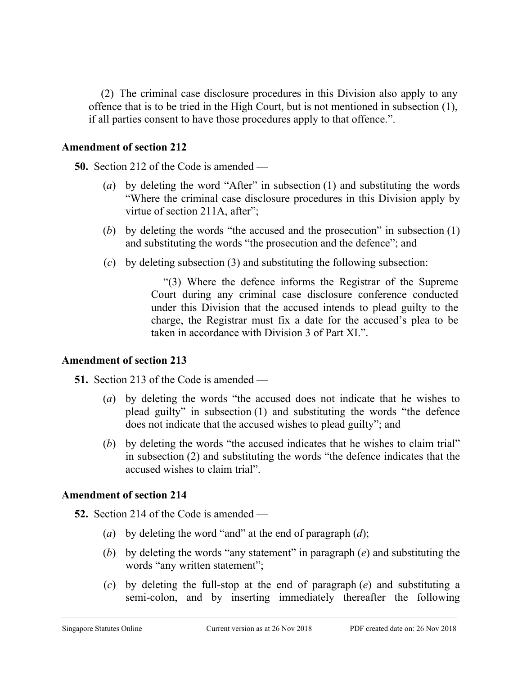(2) The criminal case disclosure procedures in this Division also apply to any offence that is to be tried in the High Court, but is not mentioned in subsection (1), if all parties consent to have those procedures apply to that offence.".

### **Amendment of section 212**

**50.** Section 212 of the Code is amended —

- (*a*) by deleting the word "After" in subsection (1) and substituting the words "Where the criminal case disclosure procedures in this Division apply by virtue of section 211A, after";
- (*b*) by deleting the words "the accused and the prosecution" in subsection (1) and substituting the words "the prosecution and the defence"; and
- (*c*) by deleting subsection (3) and substituting the following subsection:

"(3) Where the defence informs the Registrar of the Supreme Court during any criminal case disclosure conference conducted under this Division that the accused intends to plead guilty to the charge, the Registrar must fix a date for the accused's plea to be taken in accordance with Division 3 of Part XI.".

## **Amendment of section 213**

**51.** Section 213 of the Code is amended —

- (*a*) by deleting the words "the accused does not indicate that he wishes to plead guilty" in subsection (1) and substituting the words "the defence does not indicate that the accused wishes to plead guilty"; and
- (*b*) by deleting the words "the accused indicates that he wishes to claim trial" in subsection (2) and substituting the words "the defence indicates that the accused wishes to claim trial".

## **Amendment of section 214**

- **52.** Section 214 of the Code is amended
	- (*a*) by deleting the word "and" at the end of paragraph (*d*);
	- (*b*) by deleting the words "any statement" in paragraph (*e*) and substituting the words "any written statement";
	- (*c*) by deleting the full-stop at the end of paragraph (*e*) and substituting a semi-colon, and by inserting immediately thereafter the following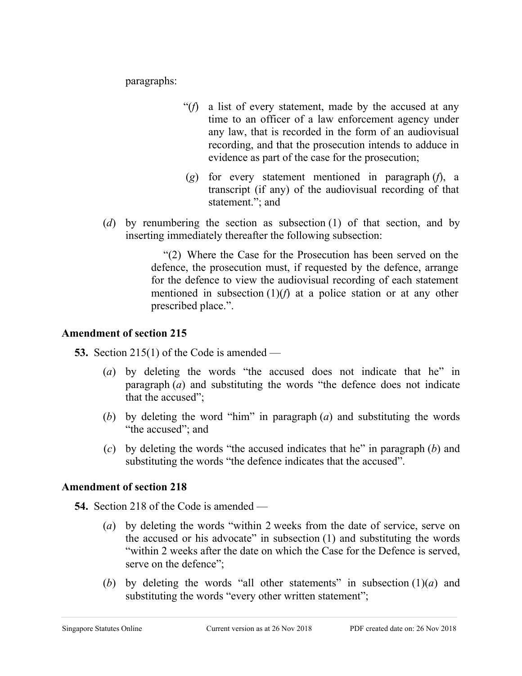paragraphs:

- "(*f*) a list of every statement, made by the accused at any time to an officer of a law enforcement agency under any law, that is recorded in the form of an audiovisual recording, and that the prosecution intends to adduce in evidence as part of the case for the prosecution;
- (*g*) for every statement mentioned in paragraph (*f*), a transcript (if any) of the audiovisual recording of that statement."; and
- (*d*) by renumbering the section as subsection (1) of that section, and by inserting immediately thereafter the following subsection:

"(2) Where the Case for the Prosecution has been served on the defence, the prosecution must, if requested by the defence, arrange for the defence to view the audiovisual recording of each statement mentioned in subsection (1)(*f*) at a police station or at any other prescribed place.".

## **Amendment of section 215**

**53.** Section 215(1) of the Code is amended —

- (*a*) by deleting the words "the accused does not indicate that he" in paragraph (*a*) and substituting the words "the defence does not indicate that the accused";
- (*b*) by deleting the word "him" in paragraph (*a*) and substituting the words "the accused"; and
- (*c*) by deleting the words "the accused indicates that he" in paragraph (*b*) and substituting the words "the defence indicates that the accused".

## **Amendment of section 218**

**54.** Section 218 of the Code is amended —

- (*a*) by deleting the words "within 2 weeks from the date of service, serve on the accused or his advocate" in subsection (1) and substituting the words "within 2 weeks after the date on which the Case for the Defence is served, serve on the defence":
- (*b*) by deleting the words "all other statements" in subsection  $(1)(a)$  and substituting the words "every other written statement";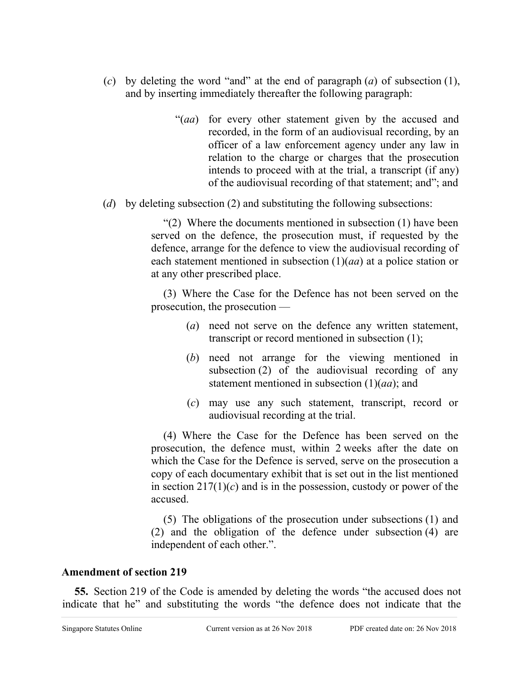- (*c*) by deleting the word "and" at the end of paragraph (*a*) of subsection (1), and by inserting immediately thereafter the following paragraph:
	- "(*aa*) for every other statement given by the accused and recorded, in the form of an audiovisual recording, by an officer of a law enforcement agency under any law in relation to the charge or charges that the prosecution intends to proceed with at the trial, a transcript (if any) of the audiovisual recording of that statement; and"; and
- (*d*) by deleting subsection (2) and substituting the following subsections:

"(2) Where the documents mentioned in subsection (1) have been served on the defence, the prosecution must, if requested by the defence, arrange for the defence to view the audiovisual recording of each statement mentioned in subsection (1)(*aa*) at a police station or at any other prescribed place.

(3) Where the Case for the Defence has not been served on the prosecution, the prosecution —

- (*a*) need not serve on the defence any written statement, transcript or record mentioned in subsection (1);
- (*b*) need not arrange for the viewing mentioned in subsection (2) of the audiovisual recording of any statement mentioned in subsection (1)(*aa*); and
- (*c*) may use any such statement, transcript, record or audiovisual recording at the trial.

(4) Where the Case for the Defence has been served on the prosecution, the defence must, within 2 weeks after the date on which the Case for the Defence is served, serve on the prosecution a copy of each documentary exhibit that is set out in the list mentioned in section  $217(1)(c)$  and is in the possession, custody or power of the accused.

(5) The obligations of the prosecution under subsections (1) and (2) and the obligation of the defence under subsection (4) are independent of each other.".

### **Amendment of section 219**

**55.** Section 219 of the Code is amended by deleting the words "the accused does not indicate that he" and substituting the words "the defence does not indicate that the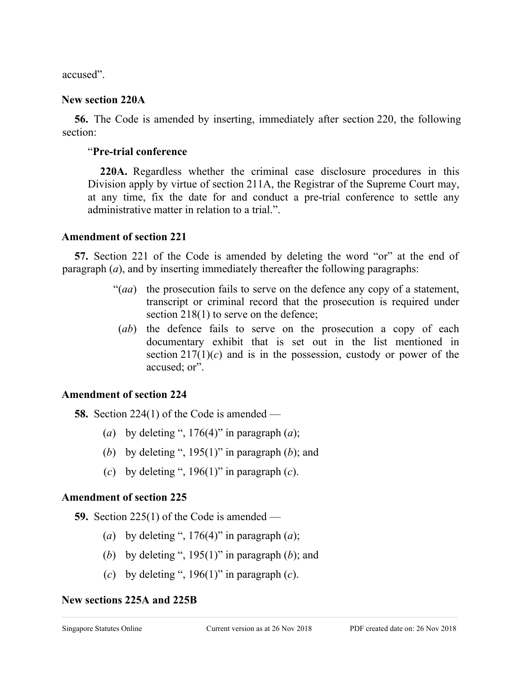accused".

### **New section 220A**

**56.** The Code is amended by inserting, immediately after section 220, the following section:

### "**Pre-trial conference**

**220A.** Regardless whether the criminal case disclosure procedures in this Division apply by virtue of section 211A, the Registrar of the Supreme Court may, at any time, fix the date for and conduct a pre-trial conference to settle any administrative matter in relation to a trial.".

## **Amendment of section 221**

**57.** Section 221 of the Code is amended by deleting the word "or" at the end of paragraph (*a*), and by inserting immediately thereafter the following paragraphs:

- "(*aa*) the prosecution fails to serve on the defence any copy of a statement, transcript or criminal record that the prosecution is required under section 218(1) to serve on the defence;
- (*ab*) the defence fails to serve on the prosecution a copy of each documentary exhibit that is set out in the list mentioned in section  $217(1)(c)$  and is in the possession, custody or power of the accused; or".

## **Amendment of section 224**

**58.** Section 224(1) of the Code is amended —

- (*a*) by deleting ",  $176(4)$ " in paragraph (*a*);
- (*b*) by deleting ", 195(1)" in paragraph (*b*); and
- (*c*) by deleting ", 196(1)" in paragraph (*c*).

## **Amendment of section 225**

**59.** Section 225(1) of the Code is amended —

- (*a*) by deleting ",  $176(4)$ " in paragraph (*a*);
- (*b*) by deleting ", 195(1)" in paragraph (*b*); and
- (*c*) by deleting ", 196(1)" in paragraph (*c*).

## **New sections 225A and 225B**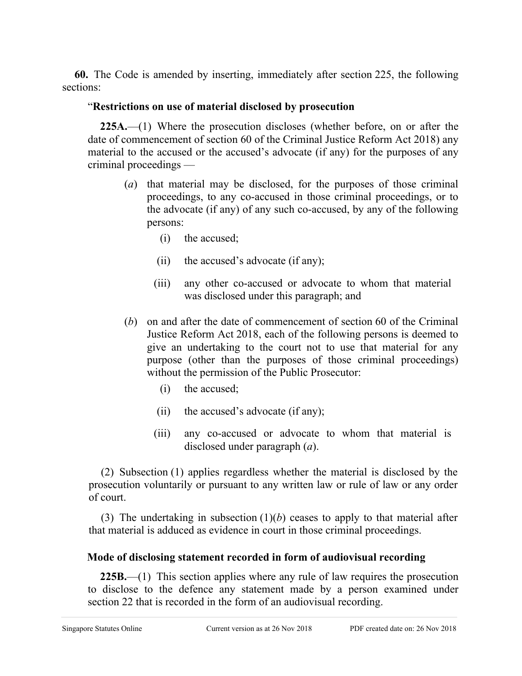**60.** The Code is amended by inserting, immediately after section 225, the following sections:

## "**Restrictions on use of material disclosed by prosecution**

**225A.**—(1) Where the prosecution discloses (whether before, on or after the date of commencement of section 60 of the Criminal Justice Reform Act 2018) any material to the accused or the accused's advocate (if any) for the purposes of any criminal proceedings —

- (*a*) that material may be disclosed, for the purposes of those criminal proceedings, to any co-accused in those criminal proceedings, or to the advocate (if any) of any such co-accused, by any of the following persons:
	- (i) the accused;
	- (ii) the accused's advocate (if any);
	- (iii) any other co-accused or advocate to whom that material was disclosed under this paragraph; and
- (*b*) on and after the date of commencement of section 60 of the Criminal Justice Reform Act 2018, each of the following persons is deemed to give an undertaking to the court not to use that material for any purpose (other than the purposes of those criminal proceedings) without the permission of the Public Prosecutor:
	- (i) the accused;
	- (ii) the accused's advocate (if any);
	- (iii) any co-accused or advocate to whom that material is disclosed under paragraph (*a*).

(2) Subsection (1) applies regardless whether the material is disclosed by the prosecution voluntarily or pursuant to any written law or rule of law or any order of court.

(3) The undertaking in subsection  $(1)(b)$  ceases to apply to that material after that material is adduced as evidence in court in those criminal proceedings.

## **Mode of disclosing statement recorded in form of audiovisual recording**

**225B.**—(1) This section applies where any rule of law requires the prosecution to disclose to the defence any statement made by a person examined under section 22 that is recorded in the form of an audiovisual recording.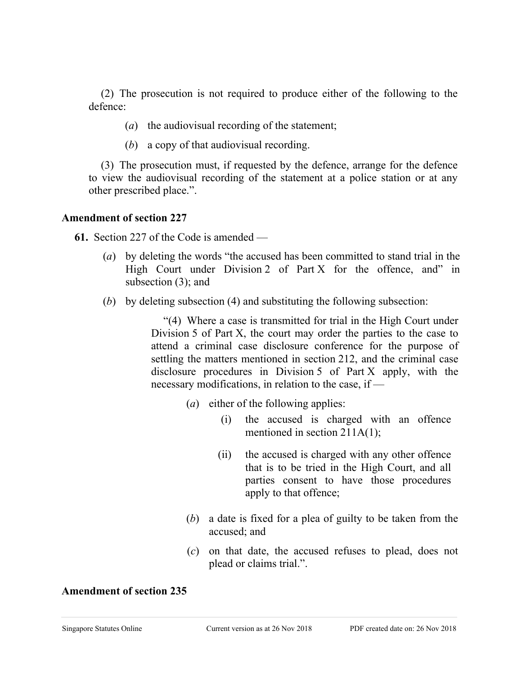(2) The prosecution is not required to produce either of the following to the defence:

- (*a*) the audiovisual recording of the statement;
- (*b*) a copy of that audiovisual recording.

(3) The prosecution must, if requested by the defence, arrange for the defence to view the audiovisual recording of the statement at a police station or at any other prescribed place.".

### **Amendment of section 227**

**61.** Section 227 of the Code is amended —

- (*a*) by deleting the words "the accused has been committed to stand trial in the High Court under Division 2 of Part X for the offence, and" in subsection (3); and
- (*b*) by deleting subsection (4) and substituting the following subsection:

"(4) Where a case is transmitted for trial in the High Court under Division 5 of Part X, the court may order the parties to the case to attend a criminal case disclosure conference for the purpose of settling the matters mentioned in section 212, and the criminal case disclosure procedures in Division 5 of Part X apply, with the necessary modifications, in relation to the case, if —

- (*a*) either of the following applies:
	- (i) the accused is charged with an offence mentioned in section 211A(1);
	- (ii) the accused is charged with any other offence that is to be tried in the High Court, and all parties consent to have those procedures apply to that offence;
- (*b*) a date is fixed for a plea of guilty to be taken from the accused; and
- (*c*) on that date, the accused refuses to plead, does not plead or claims trial.".

### **Amendment of section 235**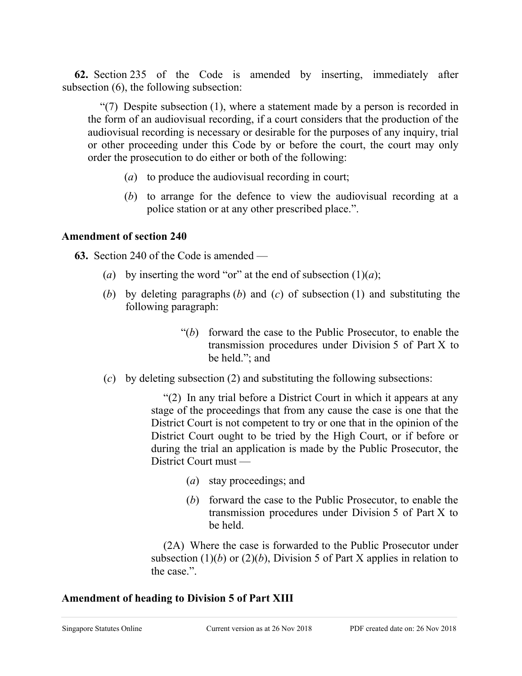**62.** Section 235 of the Code is amended by inserting, immediately after subsection (6), the following subsection:

"(7) Despite subsection (1), where a statement made by a person is recorded in the form of an audiovisual recording, if a court considers that the production of the audiovisual recording is necessary or desirable for the purposes of any inquiry, trial or other proceeding under this Code by or before the court, the court may only order the prosecution to do either or both of the following:

- (*a*) to produce the audiovisual recording in court;
- (*b*) to arrange for the defence to view the audiovisual recording at a police station or at any other prescribed place.".

## **Amendment of section 240**

**63.** Section 240 of the Code is amended —

- (*a*) by inserting the word "or" at the end of subsection  $(1)(a)$ ;
- (*b*) by deleting paragraphs (*b*) and (*c*) of subsection (1) and substituting the following paragraph:
	- "(*b*) forward the case to the Public Prosecutor, to enable the transmission procedures under Division 5 of Part X to be held."; and
- (*c*) by deleting subsection (2) and substituting the following subsections:

"(2) In any trial before a District Court in which it appears at any stage of the proceedings that from any cause the case is one that the District Court is not competent to try or one that in the opinion of the District Court ought to be tried by the High Court, or if before or during the trial an application is made by the Public Prosecutor, the District Court must —

- (*a*) stay proceedings; and
- (*b*) forward the case to the Public Prosecutor, to enable the transmission procedures under Division 5 of Part X to be held.

(2A) Where the case is forwarded to the Public Prosecutor under subsection  $(1)(b)$  or  $(2)(b)$ , Division 5 of Part X applies in relation to the case.".

## **Amendment of heading to Division 5 of Part XIII**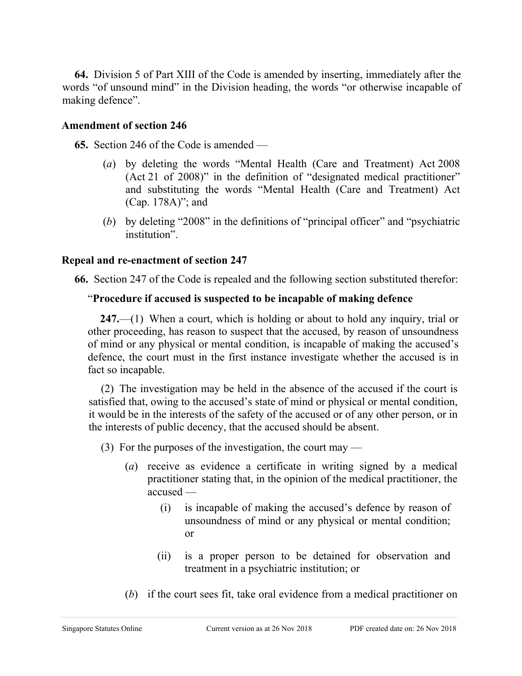**64.** Division 5 of Part XIII of the Code is amended by inserting, immediately after the words "of unsound mind" in the Division heading, the words "or otherwise incapable of making defence".

### **Amendment of section 246**

**65.** Section 246 of the Code is amended —

- (*a*) by deleting the words "Mental Health (Care and Treatment) Act 2008 (Act 21 of 2008)" in the definition of "designated medical practitioner" and substituting the words "Mental Health (Care and Treatment) Act (Cap. 178A)"; and
- (*b*) by deleting "2008" in the definitions of "principal officer" and "psychiatric institution".

### **Repeal and re-enactment of section 247**

**66.** Section 247 of the Code is repealed and the following section substituted therefor:

## "**Procedure if accused is suspected to be incapable of making defence**

**247.**—(1) When a court, which is holding or about to hold any inquiry, trial or other proceeding, has reason to suspect that the accused, by reason of unsoundness of mind or any physical or mental condition, is incapable of making the accused's defence, the court must in the first instance investigate whether the accused is in fact so incapable.

(2) The investigation may be held in the absence of the accused if the court is satisfied that, owing to the accused's state of mind or physical or mental condition, it would be in the interests of the safety of the accused or of any other person, or in the interests of public decency, that the accused should be absent.

(3) For the purposes of the investigation, the court may —

- (*a*) receive as evidence a certificate in writing signed by a medical practitioner stating that, in the opinion of the medical practitioner, the accused —
	- (i) is incapable of making the accused's defence by reason of unsoundness of mind or any physical or mental condition; or
	- (ii) is a proper person to be detained for observation and treatment in a psychiatric institution; or
- (*b*) if the court sees fit, take oral evidence from a medical practitioner on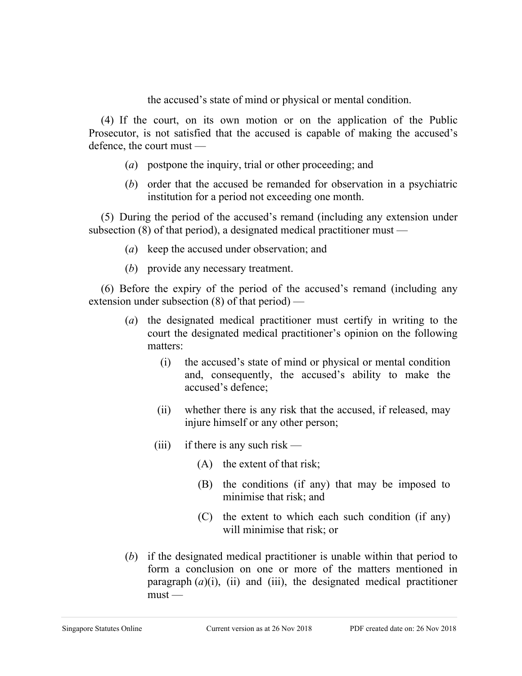the accused's state of mind or physical or mental condition.

(4) If the court, on its own motion or on the application of the Public Prosecutor, is not satisfied that the accused is capable of making the accused's defence, the court must —

- (*a*) postpone the inquiry, trial or other proceeding; and
- (*b*) order that the accused be remanded for observation in a psychiatric institution for a period not exceeding one month.

(5) During the period of the accused's remand (including any extension under subsection (8) of that period), a designated medical practitioner must —

- (*a*) keep the accused under observation; and
- (*b*) provide any necessary treatment.

(6) Before the expiry of the period of the accused's remand (including any extension under subsection (8) of that period) —

- (*a*) the designated medical practitioner must certify in writing to the court the designated medical practitioner's opinion on the following matters:
	- (i) the accused's state of mind or physical or mental condition and, consequently, the accused's ability to make the accused's defence;
	- (ii) whether there is any risk that the accused, if released, may injure himself or any other person;
	- (iii) if there is any such risk
		- (A) the extent of that risk;
		- (B) the conditions (if any) that may be imposed to minimise that risk; and
		- (C) the extent to which each such condition (if any) will minimise that risk; or
- (*b*) if the designated medical practitioner is unable within that period to form a conclusion on one or more of the matters mentioned in paragraph  $(a)(i)$ , (ii) and (iii), the designated medical practitioner  $must$ —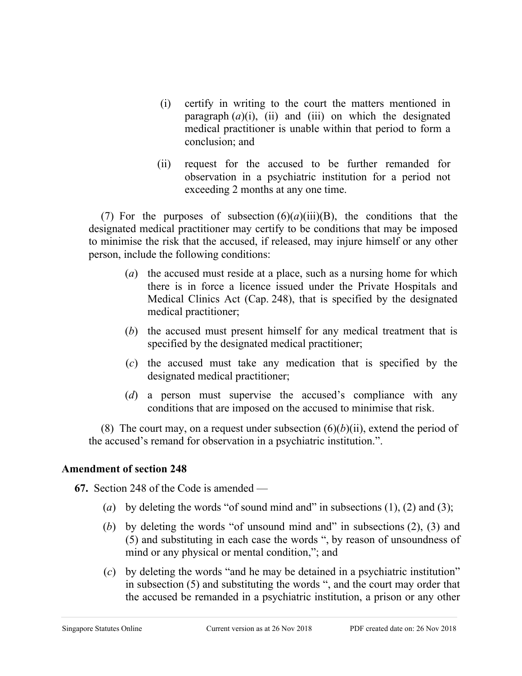- (i) certify in writing to the court the matters mentioned in paragraph  $(a)(i)$ ,  $(ii)$  and  $(iii)$  on which the designated medical practitioner is unable within that period to form a conclusion; and
- (ii) request for the accused to be further remanded for observation in a psychiatric institution for a period not exceeding 2 months at any one time.

(7) For the purposes of subsection  $(6)(a)(iii)(B)$ , the conditions that the designated medical practitioner may certify to be conditions that may be imposed to minimise the risk that the accused, if released, may injure himself or any other person, include the following conditions:

- (*a*) the accused must reside at a place, such as a nursing home for which there is in force a licence issued under the Private Hospitals and Medical Clinics Act (Cap. 248), that is specified by the designated medical practitioner;
- (*b*) the accused must present himself for any medical treatment that is specified by the designated medical practitioner;
- (*c*) the accused must take any medication that is specified by the designated medical practitioner;
- (*d*) a person must supervise the accused's compliance with any conditions that are imposed on the accused to minimise that risk.

(8) The court may, on a request under subsection  $(6)(b)(ii)$ , extend the period of the accused's remand for observation in a psychiatric institution.".

## **Amendment of section 248**

**67.** Section 248 of the Code is amended —

- (*a*) by deleting the words "of sound mind and" in subsections (1), (2) and (3);
- (*b*) by deleting the words "of unsound mind and" in subsections (2), (3) and (5) and substituting in each case the words ", by reason of unsoundness of mind or any physical or mental condition,"; and
- (*c*) by deleting the words "and he may be detained in a psychiatric institution" in subsection (5) and substituting the words ", and the court may order that the accused be remanded in a psychiatric institution, a prison or any other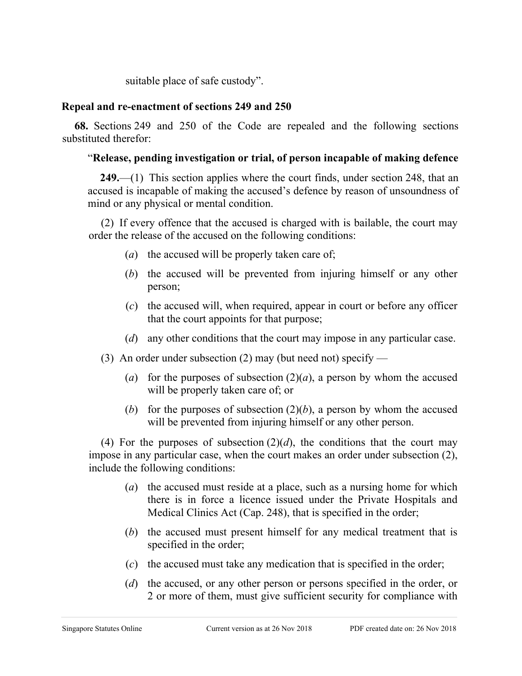suitable place of safe custody".

### **Repeal and re-enactment of sections 249 and 250**

**68.** Sections 249 and 250 of the Code are repealed and the following sections substituted therefor:

## "**Release, pending investigation or trial, of person incapable of making defence**

**249.**—(1) This section applies where the court finds, under section 248, that an accused is incapable of making the accused's defence by reason of unsoundness of mind or any physical or mental condition.

(2) If every offence that the accused is charged with is bailable, the court may order the release of the accused on the following conditions:

- (*a*) the accused will be properly taken care of;
- (*b*) the accused will be prevented from injuring himself or any other person;
- (*c*) the accused will, when required, appear in court or before any officer that the court appoints for that purpose;
- (*d*) any other conditions that the court may impose in any particular case.
- (3) An order under subsection (2) may (but need not) specify
	- (*a*) for the purposes of subsection  $(2)(a)$ , a person by whom the accused will be properly taken care of; or
	- (*b*) for the purposes of subsection  $(2)(b)$ , a person by whom the accused will be prevented from injuring himself or any other person.

(4) For the purposes of subsection  $(2)(d)$ , the conditions that the court may impose in any particular case, when the court makes an order under subsection (2), include the following conditions:

- (*a*) the accused must reside at a place, such as a nursing home for which there is in force a licence issued under the Private Hospitals and Medical Clinics Act (Cap. 248), that is specified in the order;
- (*b*) the accused must present himself for any medical treatment that is specified in the order;
- (*c*) the accused must take any medication that is specified in the order;
- (*d*) the accused, or any other person or persons specified in the order, or 2 or more of them, must give sufficient security for compliance with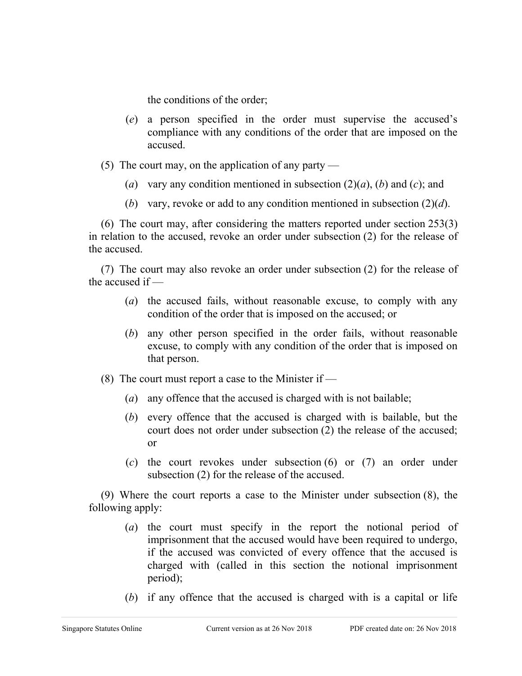the conditions of the order;

- (*e*) a person specified in the order must supervise the accused's compliance with any conditions of the order that are imposed on the accused.
- (5) The court may, on the application of any party
	- (*a*) vary any condition mentioned in subsection  $(2)(a)$ , (*b*) and (*c*); and
	- (*b*) vary, revoke or add to any condition mentioned in subsection (2)(*d*).

(6) The court may, after considering the matters reported under section 253(3) in relation to the accused, revoke an order under subsection (2) for the release of the accused.

(7) The court may also revoke an order under subsection (2) for the release of the accused if —

- (*a*) the accused fails, without reasonable excuse, to comply with any condition of the order that is imposed on the accused; or
- (*b*) any other person specified in the order fails, without reasonable excuse, to comply with any condition of the order that is imposed on that person.
- (8) The court must report a case to the Minister if  $-$ 
	- (*a*) any offence that the accused is charged with is not bailable;
	- (*b*) every offence that the accused is charged with is bailable, but the court does not order under subsection (2) the release of the accused; or
	- (*c*) the court revokes under subsection (6) or (7) an order under subsection (2) for the release of the accused.

(9) Where the court reports a case to the Minister under subsection (8), the following apply:

- (*a*) the court must specify in the report the notional period of imprisonment that the accused would have been required to undergo, if the accused was convicted of every offence that the accused is charged with (called in this section the notional imprisonment period);
- (*b*) if any offence that the accused is charged with is a capital or life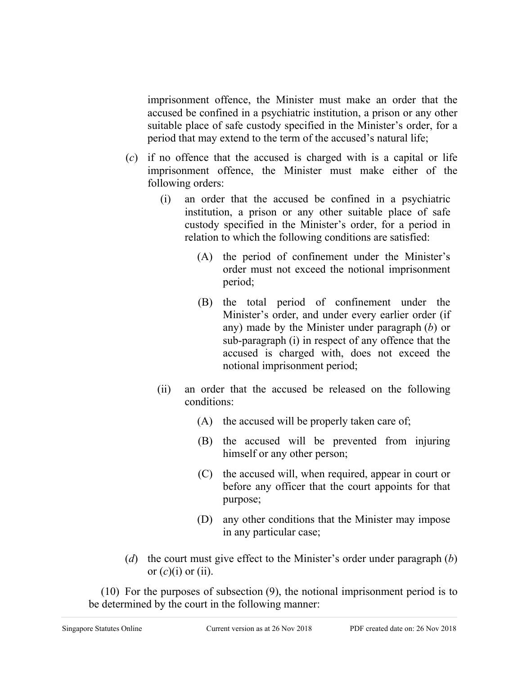imprisonment offence, the Minister must make an order that the accused be confined in a psychiatric institution, a prison or any other suitable place of safe custody specified in the Minister's order, for a period that may extend to the term of the accused's natural life;

- (*c*) if no offence that the accused is charged with is a capital or life imprisonment offence, the Minister must make either of the following orders:
	- (i) an order that the accused be confined in a psychiatric institution, a prison or any other suitable place of safe custody specified in the Minister's order, for a period in relation to which the following conditions are satisfied:
		- (A) the period of confinement under the Minister's order must not exceed the notional imprisonment period;
		- (B) the total period of confinement under the Minister's order, and under every earlier order (if any) made by the Minister under paragraph (*b*) or sub-paragraph (i) in respect of any offence that the accused is charged with, does not exceed the notional imprisonment period;
	- (ii) an order that the accused be released on the following conditions:
		- (A) the accused will be properly taken care of;
		- (B) the accused will be prevented from injuring himself or any other person;
		- (C) the accused will, when required, appear in court or before any officer that the court appoints for that purpose;
		- (D) any other conditions that the Minister may impose in any particular case;
- (*d*) the court must give effect to the Minister's order under paragraph (*b*) or  $(c)(i)$  or  $(ii)$ .

(10) For the purposes of subsection (9), the notional imprisonment period is to be determined by the court in the following manner: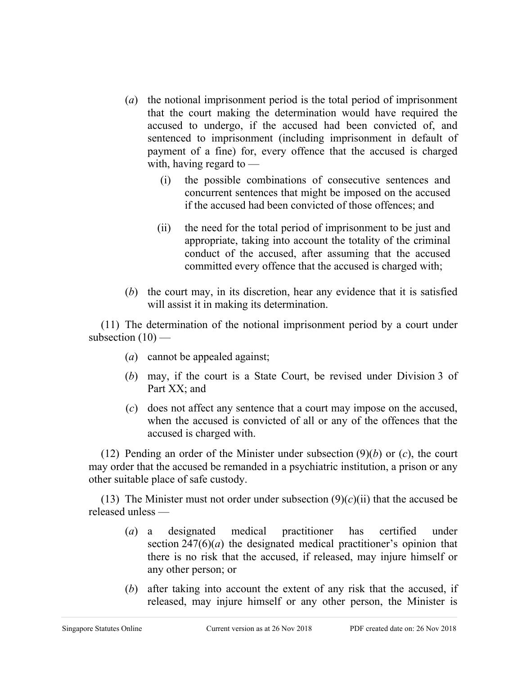- (*a*) the notional imprisonment period is the total period of imprisonment that the court making the determination would have required the accused to undergo, if the accused had been convicted of, and sentenced to imprisonment (including imprisonment in default of payment of a fine) for, every offence that the accused is charged with, having regard to —
	- (i) the possible combinations of consecutive sentences and concurrent sentences that might be imposed on the accused if the accused had been convicted of those offences; and
	- (ii) the need for the total period of imprisonment to be just and appropriate, taking into account the totality of the criminal conduct of the accused, after assuming that the accused committed every offence that the accused is charged with;
- (*b*) the court may, in its discretion, hear any evidence that it is satisfied will assist it in making its determination.

(11) The determination of the notional imprisonment period by a court under subsection  $(10)$  —

- (*a*) cannot be appealed against;
- (*b*) may, if the court is a State Court, be revised under Division 3 of Part XX; and
- (*c*) does not affect any sentence that a court may impose on the accused, when the accused is convicted of all or any of the offences that the accused is charged with.

(12) Pending an order of the Minister under subsection (9)(*b*) or (*c*), the court may order that the accused be remanded in a psychiatric institution, a prison or any other suitable place of safe custody.

(13) The Minister must not order under subsection  $(9)(c)(ii)$  that the accused be released unless —

- (*a*) a designated medical practitioner has certified under section  $247(6)(a)$  the designated medical practitioner's opinion that there is no risk that the accused, if released, may injure himself or any other person; or
- (*b*) after taking into account the extent of any risk that the accused, if released, may injure himself or any other person, the Minister is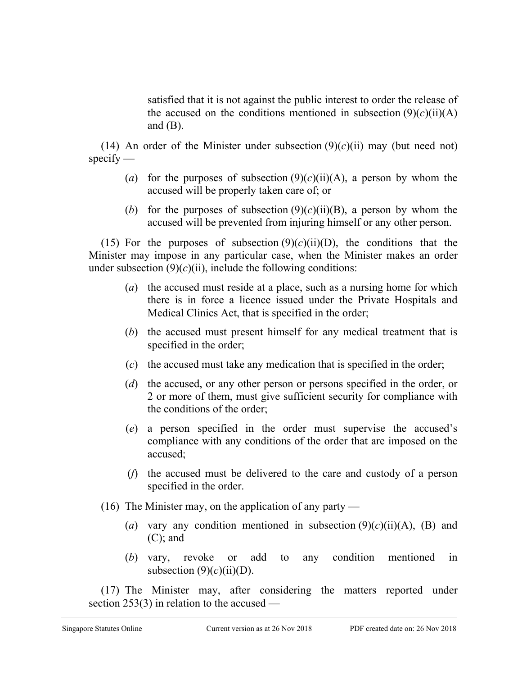satisfied that it is not against the public interest to order the release of the accused on the conditions mentioned in subsection  $(9)(c)(ii)(A)$ and  $(B)$ .

(14) An order of the Minister under subsection  $(9)(c)(ii)$  may (but need not)  $\text{specify}$  —

- (*a*) for the purposes of subsection  $(9)(c)(ii)(A)$ , a person by whom the accused will be properly taken care of; or
- (*b*) for the purposes of subsection  $(9)(c)(ii)(B)$ , a person by whom the accused will be prevented from injuring himself or any other person.

(15) For the purposes of subsection  $(9)(c)(ii)(D)$ , the conditions that the Minister may impose in any particular case, when the Minister makes an order under subsection  $(9)(c)(ii)$ , include the following conditions:

- (*a*) the accused must reside at a place, such as a nursing home for which there is in force a licence issued under the Private Hospitals and Medical Clinics Act, that is specified in the order;
- (*b*) the accused must present himself for any medical treatment that is specified in the order;
- (*c*) the accused must take any medication that is specified in the order;
- (*d*) the accused, or any other person or persons specified in the order, or 2 or more of them, must give sufficient security for compliance with the conditions of the order;
- (*e*) a person specified in the order must supervise the accused's compliance with any conditions of the order that are imposed on the accused;
- (*f*) the accused must be delivered to the care and custody of a person specified in the order.
- (16) The Minister may, on the application of any party
	- (*a*) vary any condition mentioned in subsection  $(9)(c)(ii)(A)$ , (B) and (C); and
	- (*b*) vary, revoke or add to any condition mentioned in subsection  $(9)(c)(ii)(D)$ .

(17) The Minister may, after considering the matters reported under section 253(3) in relation to the accused —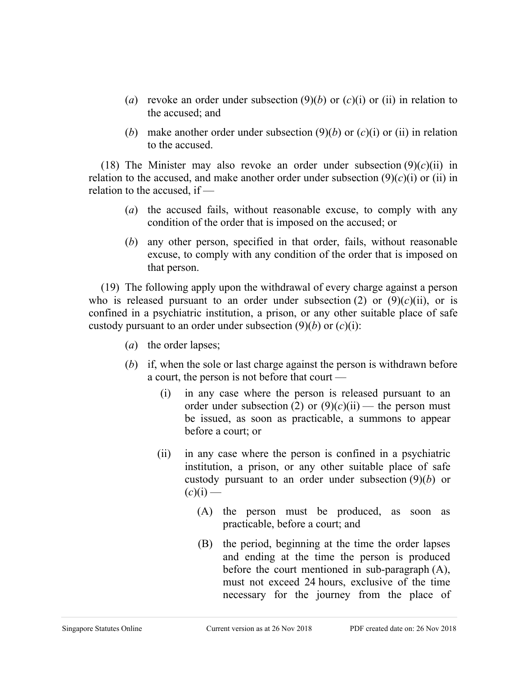- (*a*) revoke an order under subsection (9)(*b*) or (*c*)(i) or (ii) in relation to the accused; and
- (*b*) make another order under subsection  $(9)(b)$  or  $(c)(i)$  or (ii) in relation to the accused.

(18) The Minister may also revoke an order under subsection  $(9)(c)(ii)$  in relation to the accused, and make another order under subsection  $(9)(c)(i)$  or (ii) in relation to the accused, if —

- (*a*) the accused fails, without reasonable excuse, to comply with any condition of the order that is imposed on the accused; or
- (*b*) any other person, specified in that order, fails, without reasonable excuse, to comply with any condition of the order that is imposed on that person.

(19) The following apply upon the withdrawal of every charge against a person who is released pursuant to an order under subsection  $(2)$  or  $(9)(c)(ii)$ , or is confined in a psychiatric institution, a prison, or any other suitable place of safe custody pursuant to an order under subsection  $(9)(b)$  or  $(c)(i)$ :

- (*a*) the order lapses;
- (*b*) if, when the sole or last charge against the person is withdrawn before a court, the person is not before that court —
	- (i) in any case where the person is released pursuant to an order under subsection (2) or  $(9)(c)(ii)$  — the person must be issued, as soon as practicable, a summons to appear before a court; or
	- (ii) in any case where the person is confined in a psychiatric institution, a prison, or any other suitable place of safe custody pursuant to an order under subsection (9)(*b*) or  $(c)(i)$  —
		- (A) the person must be produced, as soon as practicable, before a court; and
		- (B) the period, beginning at the time the order lapses and ending at the time the person is produced before the court mentioned in sub-paragraph (A), must not exceed 24 hours, exclusive of the time necessary for the journey from the place of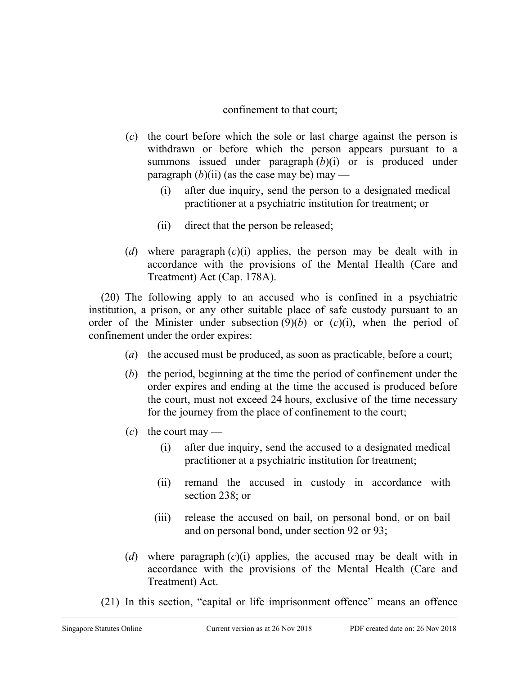### confinement to that court;

- (*c*) the court before which the sole or last charge against the person is withdrawn or before which the person appears pursuant to a summons issued under paragraph (*b*)(i) or is produced under paragraph  $(b)(ii)$  (as the case may be) may —
	- (i) after due inquiry, send the person to a designated medical practitioner at a psychiatric institution for treatment; or
	- (ii) direct that the person be released;
- (*d*) where paragraph (*c*)(i) applies, the person may be dealt with in accordance with the provisions of the Mental Health (Care and Treatment) Act (Cap. 178A).

(20) The following apply to an accused who is confined in a psychiatric institution, a prison, or any other suitable place of safe custody pursuant to an order of the Minister under subsection  $(9)(b)$  or  $(c)(i)$ , when the period of confinement under the order expires:

- (*a*) the accused must be produced, as soon as practicable, before a court;
- (*b*) the period, beginning at the time the period of confinement under the order expires and ending at the time the accused is produced before the court, must not exceed 24 hours, exclusive of the time necessary for the journey from the place of confinement to the court;
- $(c)$  the court may
	- (i) after due inquiry, send the accused to a designated medical practitioner at a psychiatric institution for treatment;
	- (ii) remand the accused in custody in accordance with section 238; or
	- (iii) release the accused on bail, on personal bond, or on bail and on personal bond, under section 92 or 93;
- (*d*) where paragraph (*c*)(i) applies, the accused may be dealt with in accordance with the provisions of the Mental Health (Care and Treatment) Act.
- (21) In this section, "capital or life imprisonment offence" means an offence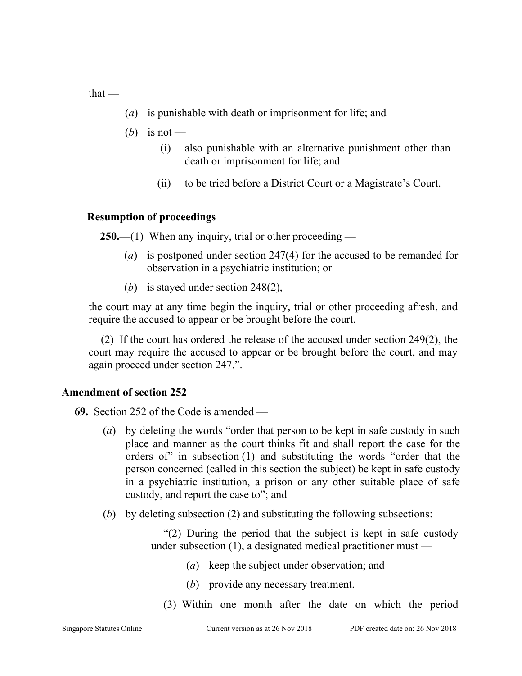that —

- (*a*) is punishable with death or imprisonment for life; and
- (*b*) is not
	- (i) also punishable with an alternative punishment other than death or imprisonment for life; and
	- (ii) to be tried before a District Court or a Magistrate's Court.

### **Resumption of proceedings**

**250.**—(1) When any inquiry, trial or other proceeding —

- (*a*) is postponed under section 247(4) for the accused to be remanded for observation in a psychiatric institution; or
- (*b*) is stayed under section 248(2),

the court may at any time begin the inquiry, trial or other proceeding afresh, and require the accused to appear or be brought before the court.

(2) If the court has ordered the release of the accused under section 249(2), the court may require the accused to appear or be brought before the court, and may again proceed under section 247.".

### **Amendment of section 252**

- **69.** Section 252 of the Code is amended
	- (*a*) by deleting the words "order that person to be kept in safe custody in such place and manner as the court thinks fit and shall report the case for the orders of" in subsection (1) and substituting the words "order that the person concerned (called in this section the subject) be kept in safe custody in a psychiatric institution, a prison or any other suitable place of safe custody, and report the case to"; and
	- (*b*) by deleting subsection (2) and substituting the following subsections:

"(2) During the period that the subject is kept in safe custody under subsection (1), a designated medical practitioner must —

- (*a*) keep the subject under observation; and
- (*b*) provide any necessary treatment.
- (3) Within one month after the date on which the period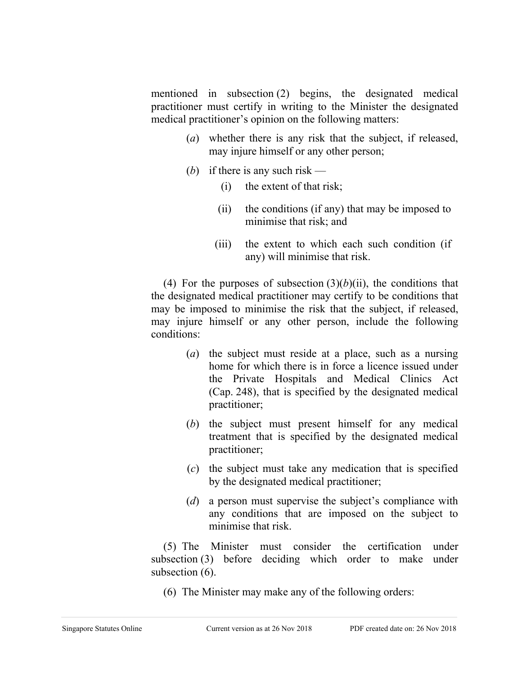mentioned in subsection (2) begins, the designated medical practitioner must certify in writing to the Minister the designated medical practitioner's opinion on the following matters:

- (*a*) whether there is any risk that the subject, if released, may injure himself or any other person;
- (b) if there is any such risk
	- (i) the extent of that risk;
	- (ii) the conditions (if any) that may be imposed to minimise that risk; and
	- (iii) the extent to which each such condition (if any) will minimise that risk.

(4) For the purposes of subsection  $(3)(b)(ii)$ , the conditions that the designated medical practitioner may certify to be conditions that may be imposed to minimise the risk that the subject, if released, may injure himself or any other person, include the following conditions:

- (*a*) the subject must reside at a place, such as a nursing home for which there is in force a licence issued under the Private Hospitals and Medical Clinics Act (Cap. 248), that is specified by the designated medical practitioner;
- (*b*) the subject must present himself for any medical treatment that is specified by the designated medical practitioner;
- (*c*) the subject must take any medication that is specified by the designated medical practitioner;
- (*d*) a person must supervise the subject's compliance with any conditions that are imposed on the subject to minimise that risk.

(5) The Minister must consider the certification under subsection (3) before deciding which order to make under subsection  $(6)$ .

(6) The Minister may make any of the following orders: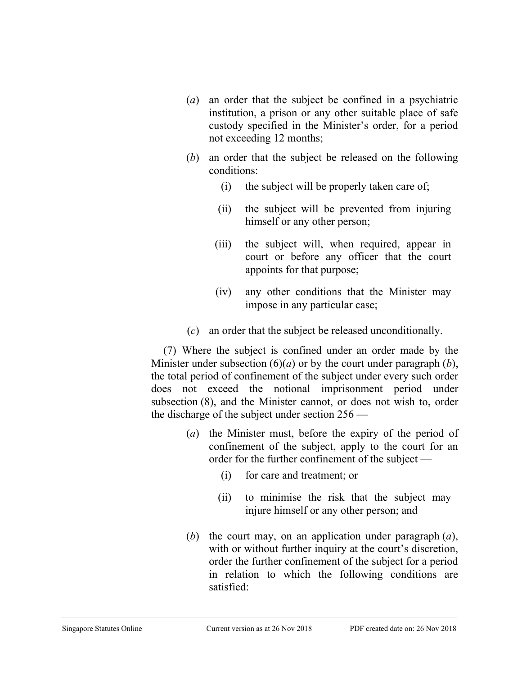- (*a*) an order that the subject be confined in a psychiatric institution, a prison or any other suitable place of safe custody specified in the Minister's order, for a period not exceeding 12 months;
- (*b*) an order that the subject be released on the following conditions:
	- (i) the subject will be properly taken care of;
	- (ii) the subject will be prevented from injuring himself or any other person;
	- (iii) the subject will, when required, appear in court or before any officer that the court appoints for that purpose;
	- (iv) any other conditions that the Minister may impose in any particular case;
- (*c*) an order that the subject be released unconditionally.

(7) Where the subject is confined under an order made by the Minister under subsection (6)(*a*) or by the court under paragraph (*b*), the total period of confinement of the subject under every such order does not exceed the notional imprisonment period under subsection (8), and the Minister cannot, or does not wish to, order the discharge of the subject under section 256 —

- (*a*) the Minister must, before the expiry of the period of confinement of the subject, apply to the court for an order for the further confinement of the subject —
	- (i) for care and treatment; or
	- (ii) to minimise the risk that the subject may injure himself or any other person; and
- (*b*) the court may, on an application under paragraph (*a*), with or without further inquiry at the court's discretion, order the further confinement of the subject for a period in relation to which the following conditions are satisfied: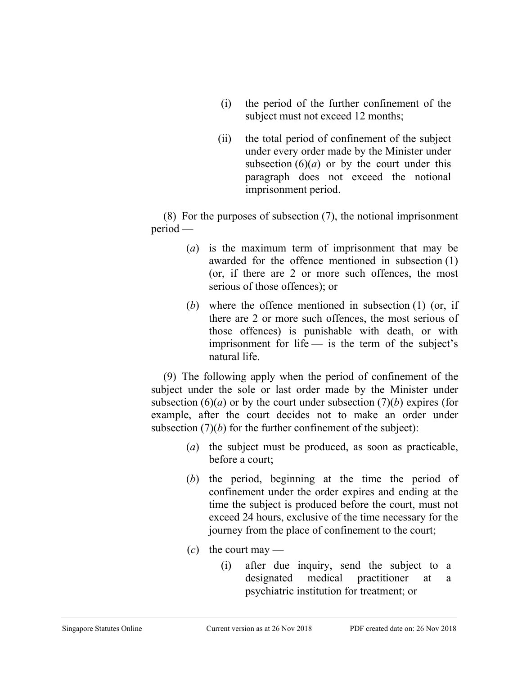- (i) the period of the further confinement of the subject must not exceed 12 months;
- (ii) the total period of confinement of the subject under every order made by the Minister under subsection  $(6)(a)$  or by the court under this paragraph does not exceed the notional imprisonment period.

(8) For the purposes of subsection (7), the notional imprisonment period —

- (*a*) is the maximum term of imprisonment that may be awarded for the offence mentioned in subsection (1) (or, if there are 2 or more such offences, the most serious of those offences); or
- (*b*) where the offence mentioned in subsection (1) (or, if there are 2 or more such offences, the most serious of those offences) is punishable with death, or with imprisonment for life  $-$  is the term of the subject's natural life.

(9) The following apply when the period of confinement of the subject under the sole or last order made by the Minister under subsection  $(6)(a)$  or by the court under subsection  $(7)(b)$  expires (for example, after the court decides not to make an order under subsection  $(7)(b)$  for the further confinement of the subject):

- (*a*) the subject must be produced, as soon as practicable, before a court;
- (*b*) the period, beginning at the time the period of confinement under the order expires and ending at the time the subject is produced before the court, must not exceed 24 hours, exclusive of the time necessary for the journey from the place of confinement to the court;
- $(c)$  the court may
	- (i) after due inquiry, send the subject to a designated medical practitioner at a psychiatric institution for treatment; or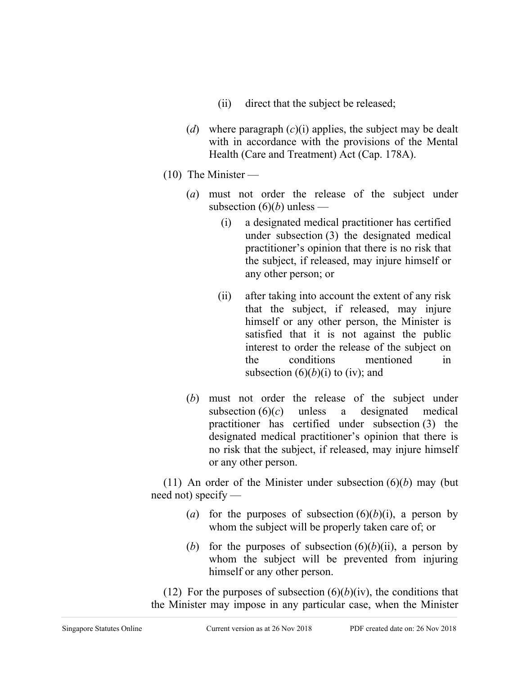- (ii) direct that the subject be released;
- (*d*) where paragraph (*c*)(i) applies, the subject may be dealt with in accordance with the provisions of the Mental Health (Care and Treatment) Act (Cap. 178A).
- $(10)$  The Minister
	- (*a*) must not order the release of the subject under subsection  $(6)(b)$  unless —
		- (i) a designated medical practitioner has certified under subsection (3) the designated medical practitioner's opinion that there is no risk that the subject, if released, may injure himself or any other person; or
		- (ii) after taking into account the extent of any risk that the subject, if released, may injure himself or any other person, the Minister is satisfied that it is not against the public interest to order the release of the subject on the conditions mentioned in subsection  $(6)(b)(i)$  to (iv); and
	- (*b*) must not order the release of the subject under subsection  $(6)(c)$  unless a designated medical practitioner has certified under subsection (3) the designated medical practitioner's opinion that there is no risk that the subject, if released, may injure himself or any other person.

(11) An order of the Minister under subsection  $(6)(b)$  may (but need not) specify —

- (*a*) for the purposes of subsection  $(6)(b)(i)$ , a person by whom the subject will be properly taken care of; or
- (*b*) for the purposes of subsection  $(6)(b)(ii)$ , a person by whom the subject will be prevented from injuring himself or any other person.

(12) For the purposes of subsection  $(6)(b)(iv)$ , the conditions that the Minister may impose in any particular case, when the Minister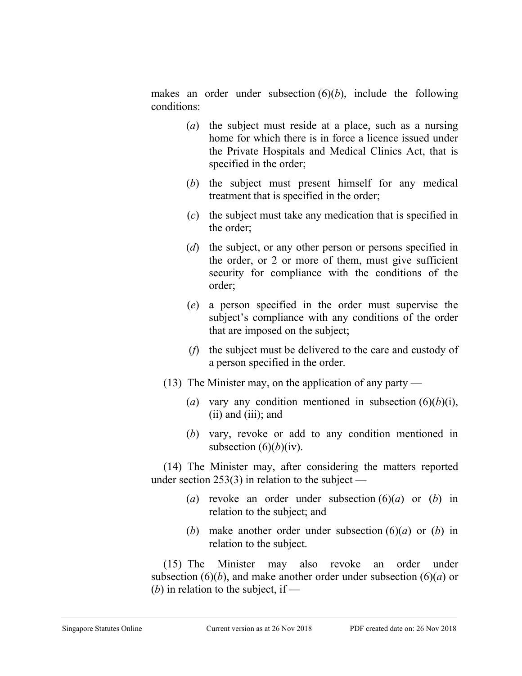makes an order under subsection (6)(*b*), include the following conditions:

- (*a*) the subject must reside at a place, such as a nursing home for which there is in force a licence issued under the Private Hospitals and Medical Clinics Act, that is specified in the order;
- (*b*) the subject must present himself for any medical treatment that is specified in the order;
- (*c*) the subject must take any medication that is specified in the order;
- (*d*) the subject, or any other person or persons specified in the order, or 2 or more of them, must give sufficient security for compliance with the conditions of the order;
- (*e*) a person specified in the order must supervise the subject's compliance with any conditions of the order that are imposed on the subject;
- (*f*) the subject must be delivered to the care and custody of a person specified in the order.
- (13) The Minister may, on the application of any party
	- (*a*) vary any condition mentioned in subsection  $(6)(b)(i)$ , (ii) and (iii); and
	- (*b*) vary, revoke or add to any condition mentioned in subsection  $(6)(b)(iv)$ .

(14) The Minister may, after considering the matters reported under section 253(3) in relation to the subject —

- (*a*) revoke an order under subsection (6)(*a*) or (*b*) in relation to the subject; and
- (*b*) make another order under subsection (6)(*a*) or (*b*) in relation to the subject.

(15) The Minister may also revoke an order under subsection  $(6)(b)$ , and make another order under subsection  $(6)(a)$  or (*b*) in relation to the subject, if —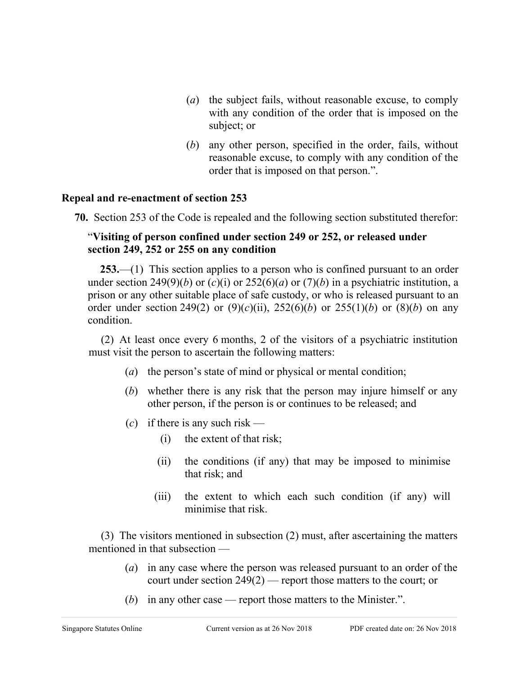- (*a*) the subject fails, without reasonable excuse, to comply with any condition of the order that is imposed on the subject; or
- (*b*) any other person, specified in the order, fails, without reasonable excuse, to comply with any condition of the order that is imposed on that person.".

### **Repeal and re-enactment of section 253**

**70.** Section 253 of the Code is repealed and the following section substituted therefor:

### "**Visiting of person confined under section 249 or 252, or released under section 249, 252 or 255 on any condition**

**253.**—(1) This section applies to a person who is confined pursuant to an order under section 249(9)(*b*) or (*c*)(*i*) or 252(6)(*a*) or (7)(*b*) in a psychiatric institution, a prison or any other suitable place of safe custody, or who is released pursuant to an order under section 249(2) or  $(9)(c)(ii)$ , 252(6)(*b*) or 255(1)(*b*) or (8)(*b*) on any condition.

(2) At least once every 6 months, 2 of the visitors of a psychiatric institution must visit the person to ascertain the following matters:

- (*a*) the person's state of mind or physical or mental condition;
- (*b*) whether there is any risk that the person may injure himself or any other person, if the person is or continues to be released; and
- $(c)$  if there is any such risk
	- (i) the extent of that risk;
	- (ii) the conditions (if any) that may be imposed to minimise that risk; and
	- (iii) the extent to which each such condition (if any) will minimise that risk.

(3) The visitors mentioned in subsection (2) must, after ascertaining the matters mentioned in that subsection —

- (*a*) in any case where the person was released pursuant to an order of the court under section 249(2) — report those matters to the court; or
- (*b*) in any other case report those matters to the Minister.".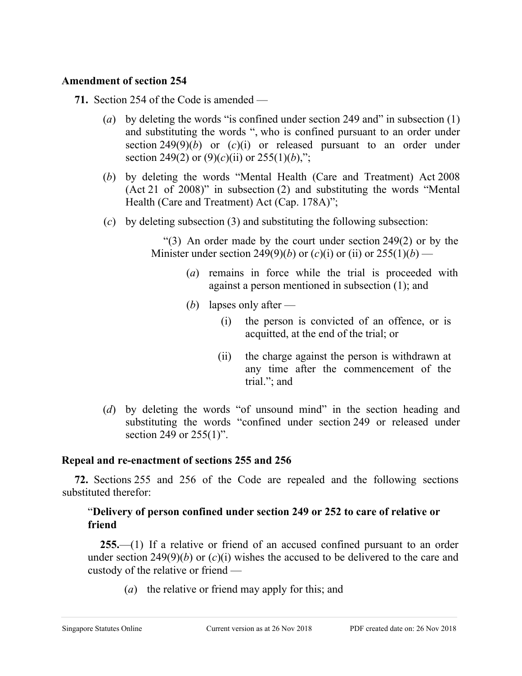### **Amendment of section 254**

- **71.** Section 254 of the Code is amended
	- (*a*) by deleting the words "is confined under section 249 and" in subsection (1) and substituting the words ", who is confined pursuant to an order under section 249(9)(*b*) or (*c*)(i) or released pursuant to an order under section 249(2) or  $(9)(c)(ii)$  or 255(1)(*b*),";
	- (*b*) by deleting the words "Mental Health (Care and Treatment) Act 2008 (Act 21 of 2008)" in subsection (2) and substituting the words "Mental Health (Care and Treatment) Act (Cap. 178A)";
	- (*c*) by deleting subsection (3) and substituting the following subsection:

"(3) An order made by the court under section 249(2) or by the Minister under section 249(9)(*b*) or (*c*)(*i*) or (*ii*) or 255(1)(*b*) —

- (*a*) remains in force while the trial is proceeded with against a person mentioned in subsection (1); and
- (*b*) lapses only after
	- (i) the person is convicted of an offence, or is acquitted, at the end of the trial; or
	- (ii) the charge against the person is withdrawn at any time after the commencement of the trial."; and
- (*d*) by deleting the words "of unsound mind" in the section heading and substituting the words "confined under section 249 or released under section 249 or 255(1)".

### **Repeal and re-enactment of sections 255 and 256**

**72.** Sections 255 and 256 of the Code are repealed and the following sections substituted therefor:

## "**Delivery of person confined under section 249 or 252 to care of relative or friend**

**255.**—(1) If a relative or friend of an accused confined pursuant to an order under section 249(9)(*b*) or (*c*)(i) wishes the accused to be delivered to the care and custody of the relative or friend —

(*a*) the relative or friend may apply for this; and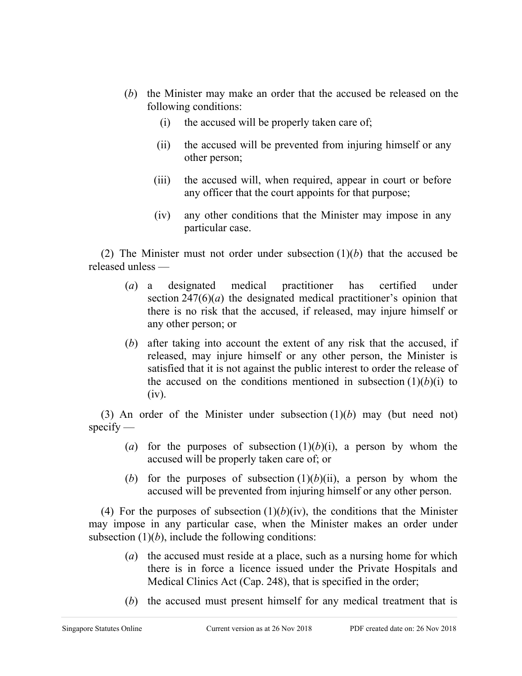- (*b*) the Minister may make an order that the accused be released on the following conditions:
	- (i) the accused will be properly taken care of;
	- (ii) the accused will be prevented from injuring himself or any other person;
	- (iii) the accused will, when required, appear in court or before any officer that the court appoints for that purpose;
	- (iv) any other conditions that the Minister may impose in any particular case.

(2) The Minister must not order under subsection (1)(*b*) that the accused be released unless —

- (*a*) a designated medical practitioner has certified under section  $247(6)(a)$  the designated medical practitioner's opinion that there is no risk that the accused, if released, may injure himself or any other person; or
- (*b*) after taking into account the extent of any risk that the accused, if released, may injure himself or any other person, the Minister is satisfied that it is not against the public interest to order the release of the accused on the conditions mentioned in subsection  $(1)(b)(i)$  to (iv).

(3) An order of the Minister under subsection (1)(*b*) may (but need not)  $specify$  —

- (*a*) for the purposes of subsection  $(1)(b)(i)$ , a person by whom the accused will be properly taken care of; or
- (*b*) for the purposes of subsection  $(1)(b)(ii)$ , a person by whom the accused will be prevented from injuring himself or any other person.

(4) For the purposes of subsection  $(1)(b)(iv)$ , the conditions that the Minister may impose in any particular case, when the Minister makes an order under subsection  $(1)(b)$ , include the following conditions:

- (*a*) the accused must reside at a place, such as a nursing home for which there is in force a licence issued under the Private Hospitals and Medical Clinics Act (Cap. 248), that is specified in the order;
- (*b*) the accused must present himself for any medical treatment that is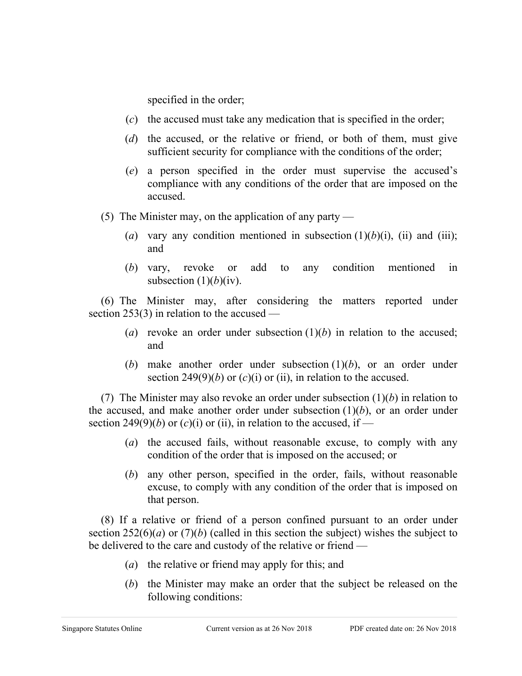specified in the order;

- (*c*) the accused must take any medication that is specified in the order;
- (*d*) the accused, or the relative or friend, or both of them, must give sufficient security for compliance with the conditions of the order;
- (*e*) a person specified in the order must supervise the accused's compliance with any conditions of the order that are imposed on the accused.
- (5) The Minister may, on the application of any party
	- (*a*) vary any condition mentioned in subsection  $(1)(b)(i)$ , (ii) and (iii); and
	- (*b*) vary, revoke or add to any condition mentioned in subsection  $(1)(b)(iv)$ .

(6) The Minister may, after considering the matters reported under section 253(3) in relation to the accused —

- (*a*) revoke an order under subsection  $(1)(b)$  in relation to the accused; and
- (*b*) make another order under subsection  $(1)(b)$ , or an order under section 249(9)(*b*) or  $(c)(i)$  or (ii), in relation to the accused.

(7) The Minister may also revoke an order under subsection (1)(*b*) in relation to the accused, and make another order under subsection  $(1)(b)$ , or an order under section 249(9)(*b*) or (*c*)(*i*) or (*ii*), in relation to the accused, if —

- (*a*) the accused fails, without reasonable excuse, to comply with any condition of the order that is imposed on the accused; or
- (*b*) any other person, specified in the order, fails, without reasonable excuse, to comply with any condition of the order that is imposed on that person.

(8) If a relative or friend of a person confined pursuant to an order under section  $252(6)(a)$  or  $(7)(b)$  (called in this section the subject) wishes the subject to be delivered to the care and custody of the relative or friend —

- (*a*) the relative or friend may apply for this; and
- (*b*) the Minister may make an order that the subject be released on the following conditions: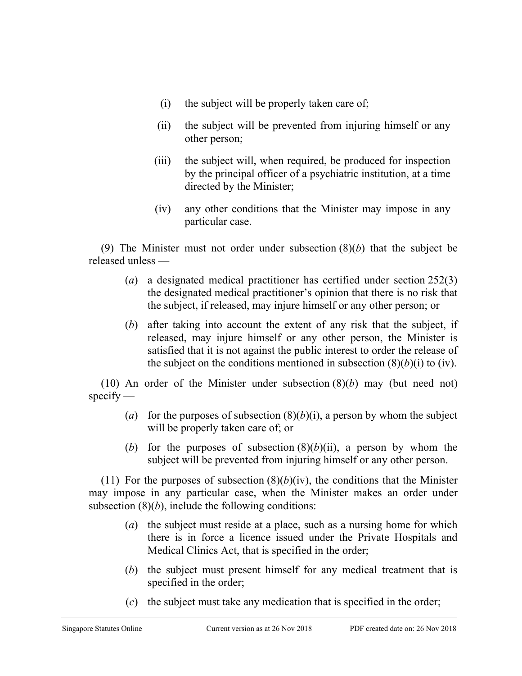- (i) the subject will be properly taken care of;
- (ii) the subject will be prevented from injuring himself or any other person;
- (iii) the subject will, when required, be produced for inspection by the principal officer of a psychiatric institution, at a time directed by the Minister;
- (iv) any other conditions that the Minister may impose in any particular case.

(9) The Minister must not order under subsection (8)(*b*) that the subject be released unless —

- (*a*) a designated medical practitioner has certified under section 252(3) the designated medical practitioner's opinion that there is no risk that the subject, if released, may injure himself or any other person; or
- (*b*) after taking into account the extent of any risk that the subject, if released, may injure himself or any other person, the Minister is satisfied that it is not against the public interest to order the release of the subject on the conditions mentioned in subsection  $(8)(b)(i)$  to (iv).

(10) An order of the Minister under subsection (8)(*b*) may (but need not)  $specify -$ 

- (*a*) for the purposes of subsection  $(8)(b)(i)$ , a person by whom the subject will be properly taken care of; or
- (*b*) for the purposes of subsection  $(8)(b)(ii)$ , a person by whom the subject will be prevented from injuring himself or any other person.

(11) For the purposes of subsection  $(8)(b)(iv)$ , the conditions that the Minister may impose in any particular case, when the Minister makes an order under subsection  $(8)(b)$ , include the following conditions:

- (*a*) the subject must reside at a place, such as a nursing home for which there is in force a licence issued under the Private Hospitals and Medical Clinics Act, that is specified in the order;
- (*b*) the subject must present himself for any medical treatment that is specified in the order;
- (*c*) the subject must take any medication that is specified in the order;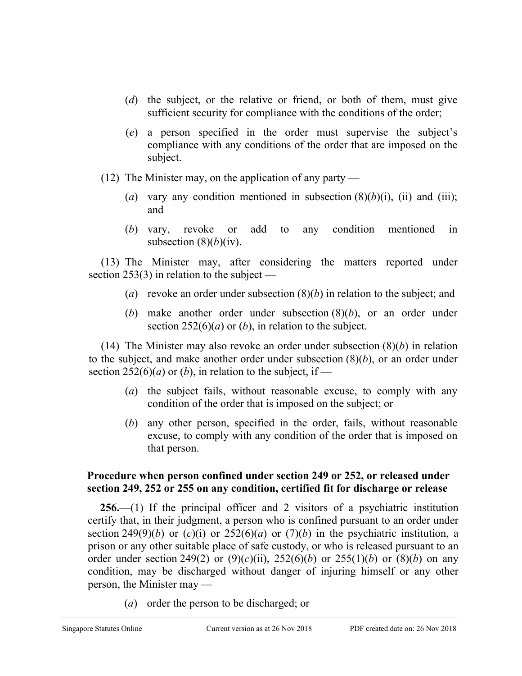- (*d*) the subject, or the relative or friend, or both of them, must give sufficient security for compliance with the conditions of the order;
- (*e*) a person specified in the order must supervise the subject's compliance with any conditions of the order that are imposed on the subject.
- (12) The Minister may, on the application of any party
	- (*a*) vary any condition mentioned in subsection  $(8)(b)(i)$ , (*ii*) and (*iii*); and
	- (*b*) vary, revoke or add to any condition mentioned in subsection  $(8)(b)(iv)$ .

(13) The Minister may, after considering the matters reported under section 253(3) in relation to the subject —

- (*a*) revoke an order under subsection (8)(*b*) in relation to the subject; and
- (*b*) make another order under subsection (8)(*b*), or an order under section  $252(6)(a)$  or (*b*), in relation to the subject.

(14) The Minister may also revoke an order under subsection (8)(*b*) in relation to the subject, and make another order under subsection (8)(*b*), or an order under section 252(6)(*a*) or (*b*), in relation to the subject, if —

- (*a*) the subject fails, without reasonable excuse, to comply with any condition of the order that is imposed on the subject; or
- (*b*) any other person, specified in the order, fails, without reasonable excuse, to comply with any condition of the order that is imposed on that person.

## **Procedure when person confined under section 249 or 252, or released under section 249, 252 or 255 on any condition, certified fit for discharge or release**

**256.**—(1) If the principal officer and 2 visitors of a psychiatric institution certify that, in their judgment, a person who is confined pursuant to an order under section 249(9)(*b*) or (*c*)(*i*) or 252(6)(*a*) or (7)(*b*) in the psychiatric institution, a prison or any other suitable place of safe custody, or who is released pursuant to an order under section 249(2) or  $(9)(c)(ii)$ , 252(6)(*b*) or 255(1)(*b*) or (8)(*b*) on any condition, may be discharged without danger of injuring himself or any other person, the Minister may —

(*a*) order the person to be discharged; or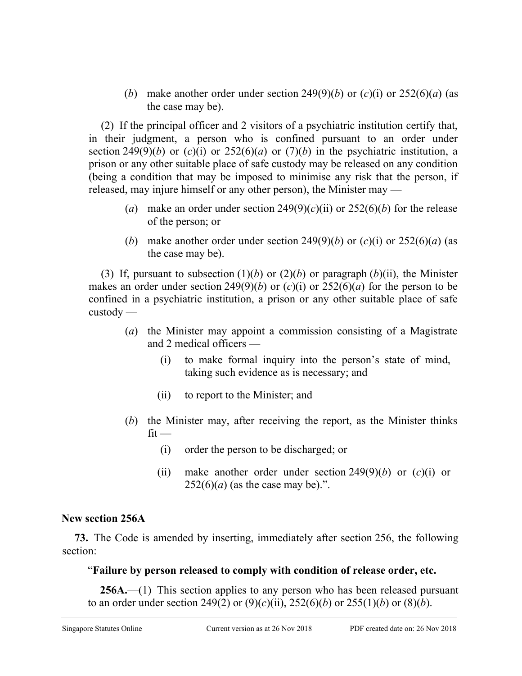(*b*) make another order under section 249(9)(*b*) or (*c*)(i) or 252(6)(*a*) (as the case may be).

(2) If the principal officer and 2 visitors of a psychiatric institution certify that, in their judgment, a person who is confined pursuant to an order under section 249(9)(*b*) or (*c*)(i) or 252(6)(*a*) or (7)(*b*) in the psychiatric institution, a prison or any other suitable place of safe custody may be released on any condition (being a condition that may be imposed to minimise any risk that the person, if released, may injure himself or any other person), the Minister may —

- (*a*) make an order under section  $249(9)(c)(ii)$  or  $252(6)(b)$  for the release of the person; or
- (*b*) make another order under section 249(9)(*b*) or (*c*)(i) or 252(6)(*a*) (as the case may be).

(3) If, pursuant to subsection  $(1)(b)$  or  $(2)(b)$  or paragraph  $(b)(ii)$ , the Minister makes an order under section 249(9)(*b*) or  $(c)(i)$  or  $252(6)(a)$  for the person to be confined in a psychiatric institution, a prison or any other suitable place of safe custody —

- (*a*) the Minister may appoint a commission consisting of a Magistrate and 2 medical officers —
	- (i) to make formal inquiry into the person's state of mind, taking such evidence as is necessary; and
	- (ii) to report to the Minister; and
- (*b*) the Minister may, after receiving the report, as the Minister thinks  $fit -$ 
	- (i) order the person to be discharged; or
	- (ii) make another order under section  $249(9)(b)$  or  $(c)(i)$  or  $252(6)(a)$  (as the case may be).".

## **New section 256A**

**73.** The Code is amended by inserting, immediately after section 256, the following section:

# "**Failure by person released to comply with condition of release order, etc.**

**256A.**—(1) This section applies to any person who has been released pursuant to an order under section 249(2) or  $(9)(c)(ii)$ , 252(6)(*b*) or 255(1)(*b*) or (8)(*b*).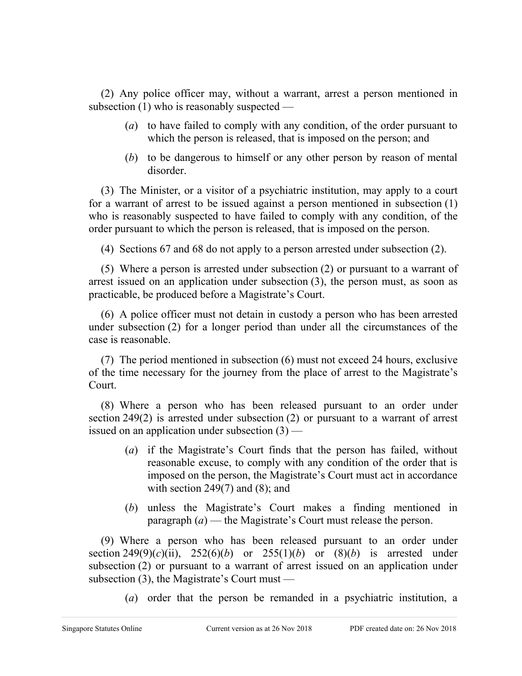(2) Any police officer may, without a warrant, arrest a person mentioned in subsection (1) who is reasonably suspected —

- (*a*) to have failed to comply with any condition, of the order pursuant to which the person is released, that is imposed on the person; and
- (*b*) to be dangerous to himself or any other person by reason of mental disorder.

(3) The Minister, or a visitor of a psychiatric institution, may apply to a court for a warrant of arrest to be issued against a person mentioned in subsection (1) who is reasonably suspected to have failed to comply with any condition, of the order pursuant to which the person is released, that is imposed on the person.

(4) Sections 67 and 68 do not apply to a person arrested under subsection (2).

(5) Where a person is arrested under subsection (2) or pursuant to a warrant of arrest issued on an application under subsection (3), the person must, as soon as practicable, be produced before a Magistrate's Court.

(6) A police officer must not detain in custody a person who has been arrested under subsection (2) for a longer period than under all the circumstances of the case is reasonable.

(7) The period mentioned in subsection (6) must not exceed 24 hours, exclusive of the time necessary for the journey from the place of arrest to the Magistrate's Court.

(8) Where a person who has been released pursuant to an order under section 249(2) is arrested under subsection (2) or pursuant to a warrant of arrest issued on an application under subsection  $(3)$  —

- (*a*) if the Magistrate's Court finds that the person has failed, without reasonable excuse, to comply with any condition of the order that is imposed on the person, the Magistrate's Court must act in accordance with section  $249(7)$  and  $(8)$ ; and
- (*b*) unless the Magistrate's Court makes a finding mentioned in paragraph (*a*) — the Magistrate's Court must release the person.

(9) Where a person who has been released pursuant to an order under section  $249(9)(c)(ii)$ ,  $252(6)(b)$  or  $255(1)(b)$  or  $(8)(b)$  is arrested under subsection (2) or pursuant to a warrant of arrest issued on an application under subsection (3), the Magistrate's Court must —

(*a*) order that the person be remanded in a psychiatric institution, a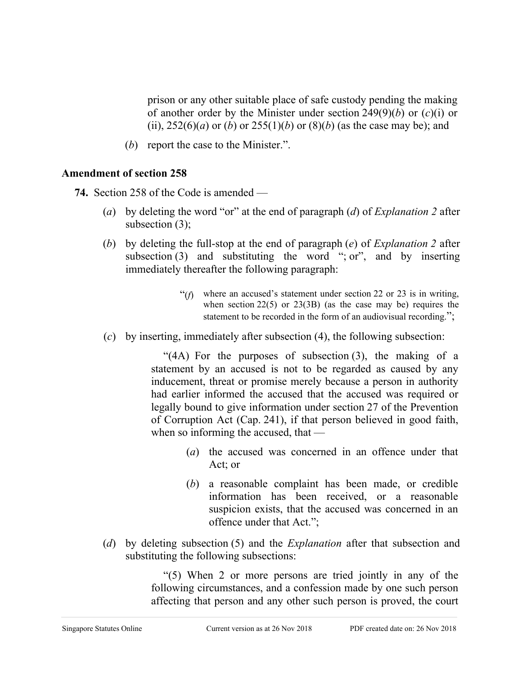prison or any other suitable place of safe custody pending the making of another order by the Minister under section 249(9)(*b*) or (*c*)(i) or (ii),  $252(6)(a)$  or (*b*) or  $255(1)(b)$  or  $(8)(b)$  (as the case may be); and

(*b*) report the case to the Minister.".

### **Amendment of section 258**

**74.** Section 258 of the Code is amended —

- (*a*) by deleting the word "or" at the end of paragraph (*d*) of *Explanation 2* after subsection (3);
- (*b*) by deleting the full-stop at the end of paragraph (*e*) of *Explanation 2* after subsection (3) and substituting the word "; or", and by inserting immediately thereafter the following paragraph:
	- " $(f)$  where an accused's statement under section 22 or 23 is in writing, when section  $22(5)$  or  $23(3B)$  (as the case may be) requires the statement to be recorded in the form of an audiovisual recording.";
- (*c*) by inserting, immediately after subsection (4), the following subsection:

"(4A) For the purposes of subsection (3), the making of a statement by an accused is not to be regarded as caused by any inducement, threat or promise merely because a person in authority had earlier informed the accused that the accused was required or legally bound to give information under section 27 of the Prevention of Corruption Act (Cap. 241), if that person believed in good faith, when so informing the accused, that —

- (*a*) the accused was concerned in an offence under that Act; or
- (*b*) a reasonable complaint has been made, or credible information has been received, or a reasonable suspicion exists, that the accused was concerned in an offence under that Act.";
- (*d*) by deleting subsection (5) and the *Explanation* after that subsection and substituting the following subsections:

"(5) When 2 or more persons are tried jointly in any of the following circumstances, and a confession made by one such person affecting that person and any other such person is proved, the court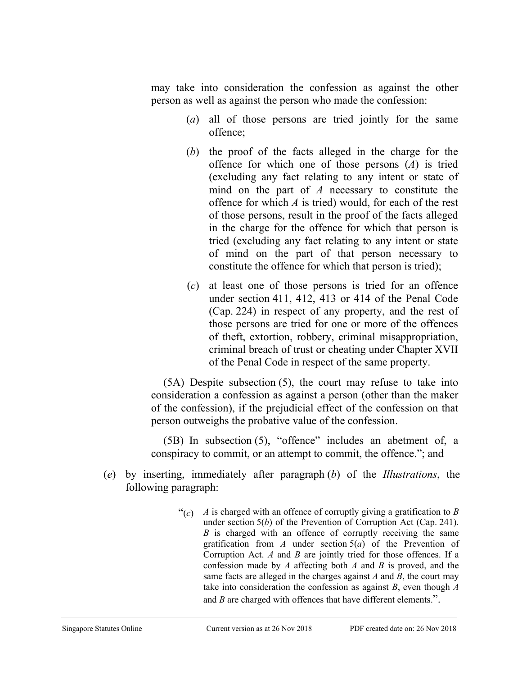may take into consideration the confession as against the other person as well as against the person who made the confession:

- (*a*) all of those persons are tried jointly for the same offence;
- (*b*) the proof of the facts alleged in the charge for the offence for which one of those persons (*A*) is tried (excluding any fact relating to any intent or state of mind on the part of *A* necessary to constitute the offence for which *A* is tried) would, for each of the rest of those persons, result in the proof of the facts alleged in the charge for the offence for which that person is tried (excluding any fact relating to any intent or state of mind on the part of that person necessary to constitute the offence for which that person is tried);
- (*c*) at least one of those persons is tried for an offence under section 411, 412, 413 or 414 of the Penal Code (Cap. 224) in respect of any property, and the rest of those persons are tried for one or more of the offences of theft, extortion, robbery, criminal misappropriation, criminal breach of trust or cheating under Chapter XVII of the Penal Code in respect of the same property.

(5A) Despite subsection (5), the court may refuse to take into consideration a confession as against a person (other than the maker of the confession), if the prejudicial effect of the confession on that person outweighs the probative value of the confession.

(5B) In subsection (5), "offence" includes an abetment of, a conspiracy to commit, or an attempt to commit, the offence."; and

- (*e*) by inserting, immediately after paragraph (*b*) of the *Illustrations*, the following paragraph:
	- " $(c)$  *A* is charged with an offence of corruptly giving a gratification to *B* under section 5(*b*) of the Prevention of Corruption Act (Cap. 241). *B* is charged with an offence of corruptly receiving the same gratification from *A* under section 5(*a*) of the Prevention of Corruption Act. *A* and *B* are jointly tried for those offences. If a confession made by *A* affecting both *A* and *B* is proved, and the same facts are alleged in the charges against *A* and *B*, the court may take into consideration the confession as against *B*, even though *A* and *B* are charged with offences that have different elements.".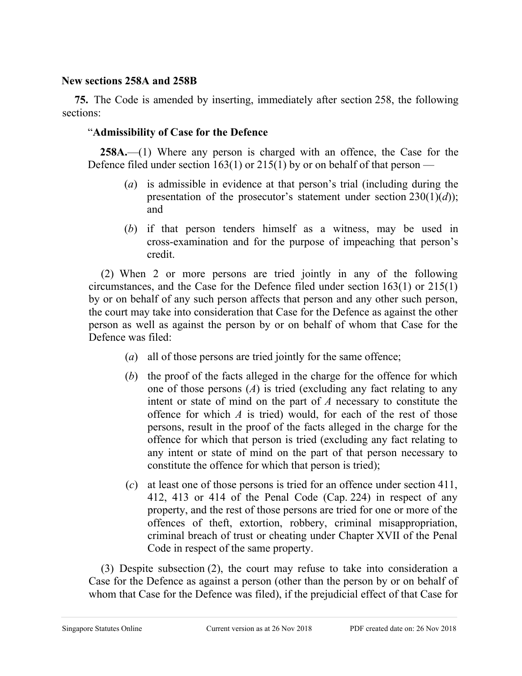### **New sections 258A and 258B**

**75.** The Code is amended by inserting, immediately after section 258, the following sections:

### "**Admissibility of Case for the Defence**

**258A.**—(1) Where any person is charged with an offence, the Case for the Defence filed under section 163(1) or 215(1) by or on behalf of that person —

- (*a*) is admissible in evidence at that person's trial (including during the presentation of the prosecutor's statement under section 230(1)(*d*)); and
- (*b*) if that person tenders himself as a witness, may be used in cross-examination and for the purpose of impeaching that person's credit.

(2) When 2 or more persons are tried jointly in any of the following circumstances, and the Case for the Defence filed under section 163(1) or 215(1) by or on behalf of any such person affects that person and any other such person, the court may take into consideration that Case for the Defence as against the other person as well as against the person by or on behalf of whom that Case for the Defence was filed:

- (*a*) all of those persons are tried jointly for the same offence;
- (*b*) the proof of the facts alleged in the charge for the offence for which one of those persons (*A*) is tried (excluding any fact relating to any intent or state of mind on the part of *A* necessary to constitute the offence for which *A* is tried) would, for each of the rest of those persons, result in the proof of the facts alleged in the charge for the offence for which that person is tried (excluding any fact relating to any intent or state of mind on the part of that person necessary to constitute the offence for which that person is tried);
- (*c*) at least one of those persons is tried for an offence under section 411, 412, 413 or 414 of the Penal Code (Cap. 224) in respect of any property, and the rest of those persons are tried for one or more of the offences of theft, extortion, robbery, criminal misappropriation, criminal breach of trust or cheating under Chapter XVII of the Penal Code in respect of the same property.

(3) Despite subsection (2), the court may refuse to take into consideration a Case for the Defence as against a person (other than the person by or on behalf of whom that Case for the Defence was filed), if the prejudicial effect of that Case for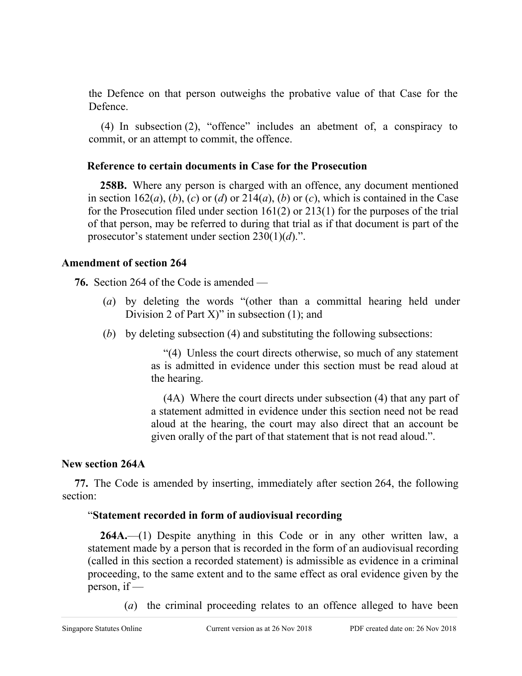the Defence on that person outweighs the probative value of that Case for the Defence.

(4) In subsection (2), "offence" includes an abetment of, a conspiracy to commit, or an attempt to commit, the offence.

### **Reference to certain documents in Case for the Prosecution**

**258B.** Where any person is charged with an offence, any document mentioned in section  $162(a)$ , (*b*), (*c*) or (*d*) or  $214(a)$ , (*b*) or (*c*), which is contained in the Case for the Prosecution filed under section 161(2) or 213(1) for the purposes of the trial of that person, may be referred to during that trial as if that document is part of the prosecutor's statement under section 230(1)(*d*).".

### **Amendment of section 264**

**76.** Section 264 of the Code is amended —

- (*a*) by deleting the words "(other than a committal hearing held under Division 2 of Part  $X$ )" in subsection (1); and
- (*b*) by deleting subsection (4) and substituting the following subsections:

"(4) Unless the court directs otherwise, so much of any statement as is admitted in evidence under this section must be read aloud at the hearing.

(4A) Where the court directs under subsection (4) that any part of a statement admitted in evidence under this section need not be read aloud at the hearing, the court may also direct that an account be given orally of the part of that statement that is not read aloud.".

# **New section 264A**

**77.** The Code is amended by inserting, immediately after section 264, the following section:

## "**Statement recorded in form of audiovisual recording**

**264A.**—(1) Despite anything in this Code or in any other written law, a statement made by a person that is recorded in the form of an audiovisual recording (called in this section a recorded statement) is admissible as evidence in a criminal proceeding, to the same extent and to the same effect as oral evidence given by the person, if —

(*a*) the criminal proceeding relates to an offence alleged to have been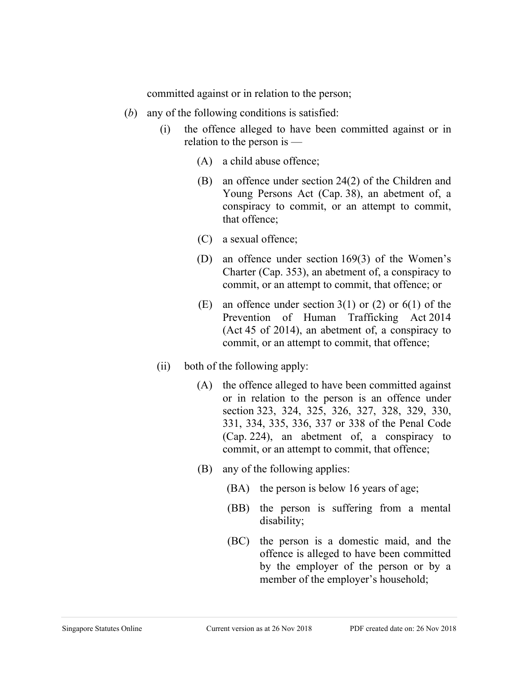committed against or in relation to the person;

- (*b*) any of the following conditions is satisfied:
	- (i) the offence alleged to have been committed against or in relation to the person is —
		- (A) a child abuse offence;
		- (B) an offence under section 24(2) of the Children and Young Persons Act (Cap. 38), an abetment of, a conspiracy to commit, or an attempt to commit, that offence;
		- (C) a sexual offence;
		- (D) an offence under section 169(3) of the Women's Charter (Cap. 353), an abetment of, a conspiracy to commit, or an attempt to commit, that offence; or
		- (E) an offence under section  $3(1)$  or  $(2)$  or  $6(1)$  of the Prevention of Human Trafficking Act 2014 (Act 45 of 2014), an abetment of, a conspiracy to commit, or an attempt to commit, that offence;
	- (ii) both of the following apply:
		- (A) the offence alleged to have been committed against or in relation to the person is an offence under section 323, 324, 325, 326, 327, 328, 329, 330, 331, 334, 335, 336, 337 or 338 of the Penal Code (Cap. 224), an abetment of, a conspiracy to commit, or an attempt to commit, that offence;
		- (B) any of the following applies:
			- (BA) the person is below 16 years of age;
			- (BB) the person is suffering from a mental disability;
			- (BC) the person is a domestic maid, and the offence is alleged to have been committed by the employer of the person or by a member of the employer's household;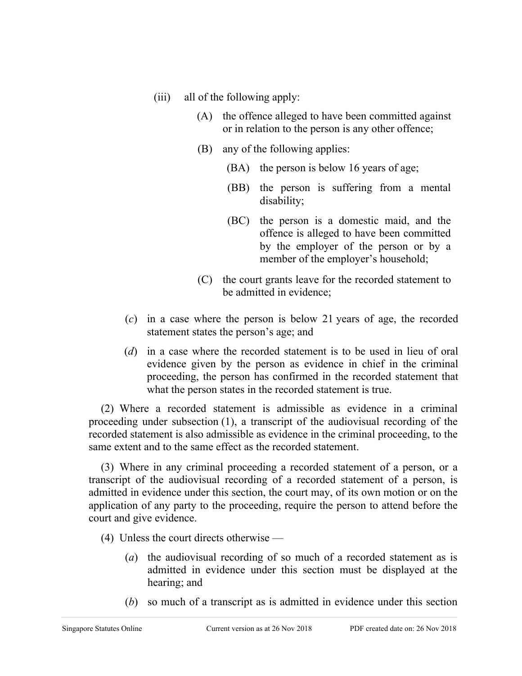- (iii) all of the following apply:
	- (A) the offence alleged to have been committed against or in relation to the person is any other offence;
	- (B) any of the following applies:
		- (BA) the person is below 16 years of age;
		- (BB) the person is suffering from a mental disability;
		- (BC) the person is a domestic maid, and the offence is alleged to have been committed by the employer of the person or by a member of the employer's household;
	- (C) the court grants leave for the recorded statement to be admitted in evidence;
- (*c*) in a case where the person is below 21 years of age, the recorded statement states the person's age; and
- (*d*) in a case where the recorded statement is to be used in lieu of oral evidence given by the person as evidence in chief in the criminal proceeding, the person has confirmed in the recorded statement that what the person states in the recorded statement is true.

(2) Where a recorded statement is admissible as evidence in a criminal proceeding under subsection (1), a transcript of the audiovisual recording of the recorded statement is also admissible as evidence in the criminal proceeding, to the same extent and to the same effect as the recorded statement.

(3) Where in any criminal proceeding a recorded statement of a person, or a transcript of the audiovisual recording of a recorded statement of a person, is admitted in evidence under this section, the court may, of its own motion or on the application of any party to the proceeding, require the person to attend before the court and give evidence.

- (4) Unless the court directs otherwise
	- (*a*) the audiovisual recording of so much of a recorded statement as is admitted in evidence under this section must be displayed at the hearing; and
	- (*b*) so much of a transcript as is admitted in evidence under this section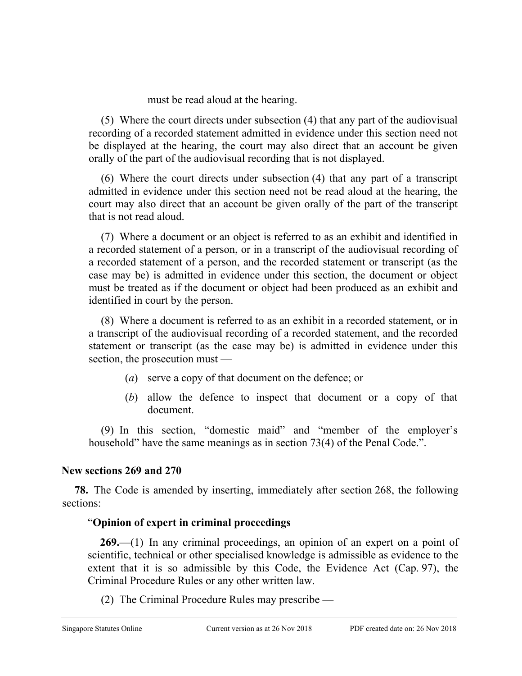must be read aloud at the hearing.

(5) Where the court directs under subsection (4) that any part of the audiovisual recording of a recorded statement admitted in evidence under this section need not be displayed at the hearing, the court may also direct that an account be given orally of the part of the audiovisual recording that is not displayed.

(6) Where the court directs under subsection (4) that any part of a transcript admitted in evidence under this section need not be read aloud at the hearing, the court may also direct that an account be given orally of the part of the transcript that is not read aloud.

(7) Where a document or an object is referred to as an exhibit and identified in a recorded statement of a person, or in a transcript of the audiovisual recording of a recorded statement of a person, and the recorded statement or transcript (as the case may be) is admitted in evidence under this section, the document or object must be treated as if the document or object had been produced as an exhibit and identified in court by the person.

(8) Where a document is referred to as an exhibit in a recorded statement, or in a transcript of the audiovisual recording of a recorded statement, and the recorded statement or transcript (as the case may be) is admitted in evidence under this section, the prosecution must —

- (*a*) serve a copy of that document on the defence; or
- (*b*) allow the defence to inspect that document or a copy of that document.

(9) In this section, "domestic maid" and "member of the employer's household" have the same meanings as in section 73(4) of the Penal Code.".

## **New sections 269 and 270**

**78.** The Code is amended by inserting, immediately after section 268, the following sections:

# "**Opinion of expert in criminal proceedings**

**269.**—(1) In any criminal proceedings, an opinion of an expert on a point of scientific, technical or other specialised knowledge is admissible as evidence to the extent that it is so admissible by this Code, the Evidence Act (Cap. 97), the Criminal Procedure Rules or any other written law.

(2) The Criminal Procedure Rules may prescribe —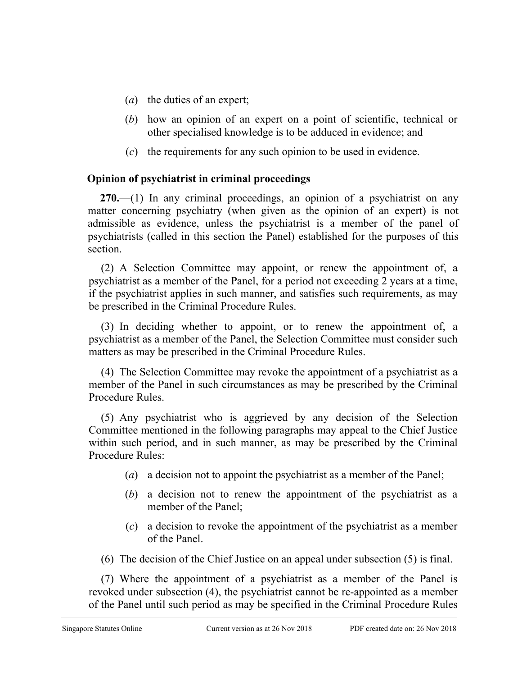- (*a*) the duties of an expert;
- (*b*) how an opinion of an expert on a point of scientific, technical or other specialised knowledge is to be adduced in evidence; and
- (*c*) the requirements for any such opinion to be used in evidence.

## **Opinion of psychiatrist in criminal proceedings**

**270.**—(1) In any criminal proceedings, an opinion of a psychiatrist on any matter concerning psychiatry (when given as the opinion of an expert) is not admissible as evidence, unless the psychiatrist is a member of the panel of psychiatrists (called in this section the Panel) established for the purposes of this section.

(2) A Selection Committee may appoint, or renew the appointment of, a psychiatrist as a member of the Panel, for a period not exceeding 2 years at a time, if the psychiatrist applies in such manner, and satisfies such requirements, as may be prescribed in the Criminal Procedure Rules.

(3) In deciding whether to appoint, or to renew the appointment of, a psychiatrist as a member of the Panel, the Selection Committee must consider such matters as may be prescribed in the Criminal Procedure Rules.

(4) The Selection Committee may revoke the appointment of a psychiatrist as a member of the Panel in such circumstances as may be prescribed by the Criminal Procedure Rules.

(5) Any psychiatrist who is aggrieved by any decision of the Selection Committee mentioned in the following paragraphs may appeal to the Chief Justice within such period, and in such manner, as may be prescribed by the Criminal Procedure Rules:

- (*a*) a decision not to appoint the psychiatrist as a member of the Panel;
- (*b*) a decision not to renew the appointment of the psychiatrist as a member of the Panel;
- (*c*) a decision to revoke the appointment of the psychiatrist as a member of the Panel.
- (6) The decision of the Chief Justice on an appeal under subsection (5) is final.

(7) Where the appointment of a psychiatrist as a member of the Panel is revoked under subsection (4), the psychiatrist cannot be re-appointed as a member of the Panel until such period as may be specified in the Criminal Procedure Rules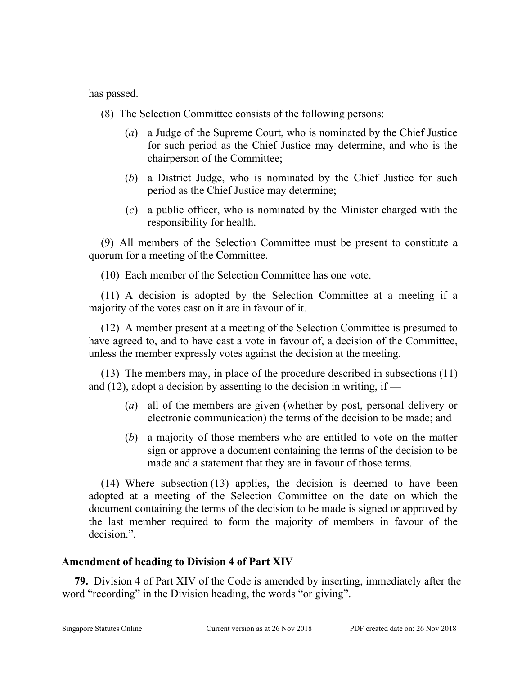has passed.

- (8) The Selection Committee consists of the following persons:
	- (*a*) a Judge of the Supreme Court, who is nominated by the Chief Justice for such period as the Chief Justice may determine, and who is the chairperson of the Committee;
	- (*b*) a District Judge, who is nominated by the Chief Justice for such period as the Chief Justice may determine;
	- (*c*) a public officer, who is nominated by the Minister charged with the responsibility for health.

(9) All members of the Selection Committee must be present to constitute a quorum for a meeting of the Committee.

(10) Each member of the Selection Committee has one vote.

(11) A decision is adopted by the Selection Committee at a meeting if a majority of the votes cast on it are in favour of it.

(12) A member present at a meeting of the Selection Committee is presumed to have agreed to, and to have cast a vote in favour of, a decision of the Committee, unless the member expressly votes against the decision at the meeting.

(13) The members may, in place of the procedure described in subsections (11) and (12), adopt a decision by assenting to the decision in writing, if —

- (*a*) all of the members are given (whether by post, personal delivery or electronic communication) the terms of the decision to be made; and
- (*b*) a majority of those members who are entitled to vote on the matter sign or approve a document containing the terms of the decision to be made and a statement that they are in favour of those terms.

(14) Where subsection (13) applies, the decision is deemed to have been adopted at a meeting of the Selection Committee on the date on which the document containing the terms of the decision to be made is signed or approved by the last member required to form the majority of members in favour of the decision.".

# **Amendment of heading to Division 4 of Part XIV**

**79.** Division 4 of Part XIV of the Code is amended by inserting, immediately after the word "recording" in the Division heading, the words "or giving".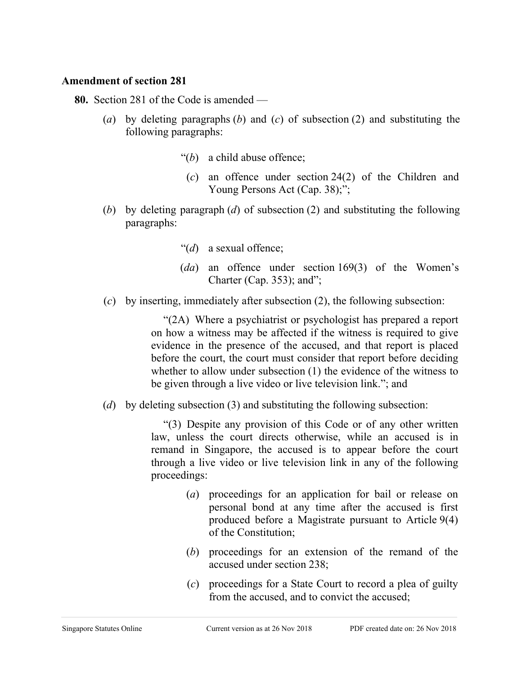#### **Amendment of section 281**

**80.** Section 281 of the Code is amended —

- (*a*) by deleting paragraphs (*b*) and (*c*) of subsection (2) and substituting the following paragraphs:
	- "(*b*) a child abuse offence;
	- (*c*) an offence under section 24(2) of the Children and Young Persons Act (Cap. 38);";
- (*b*) by deleting paragraph (*d*) of subsection (2) and substituting the following paragraphs:
	- "(*d*) a sexual offence;
	- (*da*) an offence under section 169(3) of the Women's Charter (Cap. 353); and";
- (*c*) by inserting, immediately after subsection (2), the following subsection:

"(2A) Where a psychiatrist or psychologist has prepared a report on how a witness may be affected if the witness is required to give evidence in the presence of the accused, and that report is placed before the court, the court must consider that report before deciding whether to allow under subsection (1) the evidence of the witness to be given through a live video or live television link."; and

(*d*) by deleting subsection (3) and substituting the following subsection:

"(3) Despite any provision of this Code or of any other written law, unless the court directs otherwise, while an accused is in remand in Singapore, the accused is to appear before the court through a live video or live television link in any of the following proceedings:

- (*a*) proceedings for an application for bail or release on personal bond at any time after the accused is first produced before a Magistrate pursuant to Article 9(4) of the Constitution;
- (*b*) proceedings for an extension of the remand of the accused under section 238;
- (*c*) proceedings for a State Court to record a plea of guilty from the accused, and to convict the accused;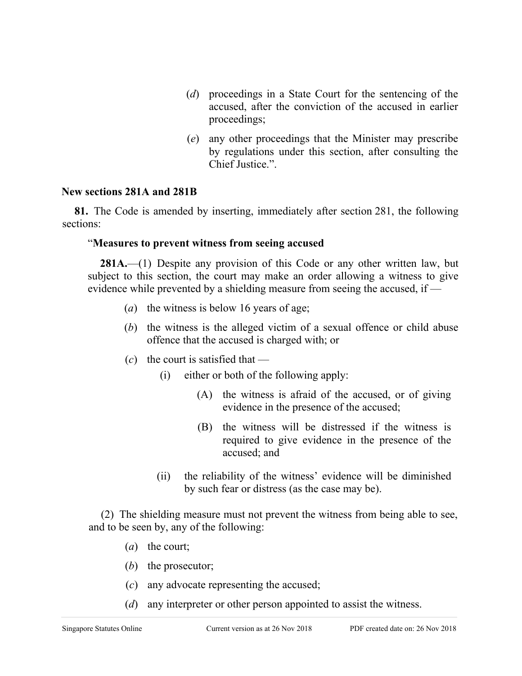- (*d*) proceedings in a State Court for the sentencing of the accused, after the conviction of the accused in earlier proceedings;
- (*e*) any other proceedings that the Minister may prescribe by regulations under this section, after consulting the Chief Justice.".

### **New sections 281A and 281B**

**81.** The Code is amended by inserting, immediately after section 281, the following sections:

### "**Measures to prevent witness from seeing accused**

**281A.**—(1) Despite any provision of this Code or any other written law, but subject to this section, the court may make an order allowing a witness to give evidence while prevented by a shielding measure from seeing the accused, if —

- (*a*) the witness is below 16 years of age;
- (*b*) the witness is the alleged victim of a sexual offence or child abuse offence that the accused is charged with; or
- $(c)$  the court is satisfied that
	- (i) either or both of the following apply:
		- (A) the witness is afraid of the accused, or of giving evidence in the presence of the accused;
		- (B) the witness will be distressed if the witness is required to give evidence in the presence of the accused; and
	- (ii) the reliability of the witness' evidence will be diminished by such fear or distress (as the case may be).

(2) The shielding measure must not prevent the witness from being able to see, and to be seen by, any of the following:

- (*a*) the court;
- (*b*) the prosecutor;
- (*c*) any advocate representing the accused;
- (*d*) any interpreter or other person appointed to assist the witness.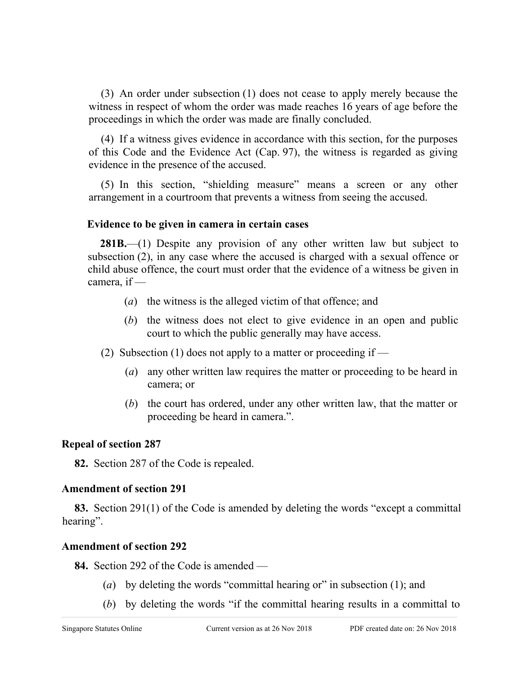(3) An order under subsection (1) does not cease to apply merely because the witness in respect of whom the order was made reaches 16 years of age before the proceedings in which the order was made are finally concluded.

(4) If a witness gives evidence in accordance with this section, for the purposes of this Code and the Evidence Act (Cap. 97), the witness is regarded as giving evidence in the presence of the accused.

(5) In this section, "shielding measure" means a screen or any other arrangement in a courtroom that prevents a witness from seeing the accused.

## **Evidence to be given in camera in certain cases**

**281B.**—(1) Despite any provision of any other written law but subject to subsection (2), in any case where the accused is charged with a sexual offence or child abuse offence, the court must order that the evidence of a witness be given in camera, if —

- (*a*) the witness is the alleged victim of that offence; and
- (*b*) the witness does not elect to give evidence in an open and public court to which the public generally may have access.
- (2) Subsection (1) does not apply to a matter or proceeding if
	- (*a*) any other written law requires the matter or proceeding to be heard in camera; or
	- (*b*) the court has ordered, under any other written law, that the matter or proceeding be heard in camera.".

## **Repeal of section 287**

**82.** Section 287 of the Code is repealed.

## **Amendment of section 291**

**83.** Section 291(1) of the Code is amended by deleting the words "except a committal hearing".

## **Amendment of section 292**

**84.** Section 292 of the Code is amended —

- (*a*) by deleting the words "committal hearing or" in subsection (1); and
- (*b*) by deleting the words "if the committal hearing results in a committal to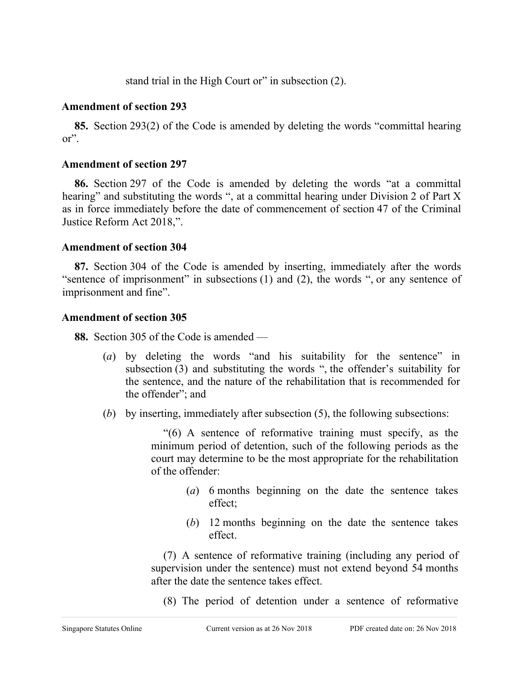stand trial in the High Court or" in subsection (2).

### **Amendment of section 293**

**85.** Section 293(2) of the Code is amended by deleting the words "committal hearing or".

### **Amendment of section 297**

**86.** Section 297 of the Code is amended by deleting the words "at a committal hearing" and substituting the words ", at a committal hearing under Division 2 of Part X as in force immediately before the date of commencement of section 47 of the Criminal Justice Reform Act 2018,".

### **Amendment of section 304**

**87.** Section 304 of the Code is amended by inserting, immediately after the words "sentence of imprisonment" in subsections (1) and (2), the words ", or any sentence of imprisonment and fine".

### **Amendment of section 305**

**88.** Section 305 of the Code is amended —

- (*a*) by deleting the words "and his suitability for the sentence" in subsection (3) and substituting the words ", the offender's suitability for the sentence, and the nature of the rehabilitation that is recommended for the offender"; and
- (*b*) by inserting, immediately after subsection (5), the following subsections:

"(6) A sentence of reformative training must specify, as the minimum period of detention, such of the following periods as the court may determine to be the most appropriate for the rehabilitation of the offender:

- (*a*) 6 months beginning on the date the sentence takes effect;
- (*b*) 12 months beginning on the date the sentence takes effect.

(7) A sentence of reformative training (including any period of supervision under the sentence) must not extend beyond 54 months after the date the sentence takes effect.

(8) The period of detention under a sentence of reformative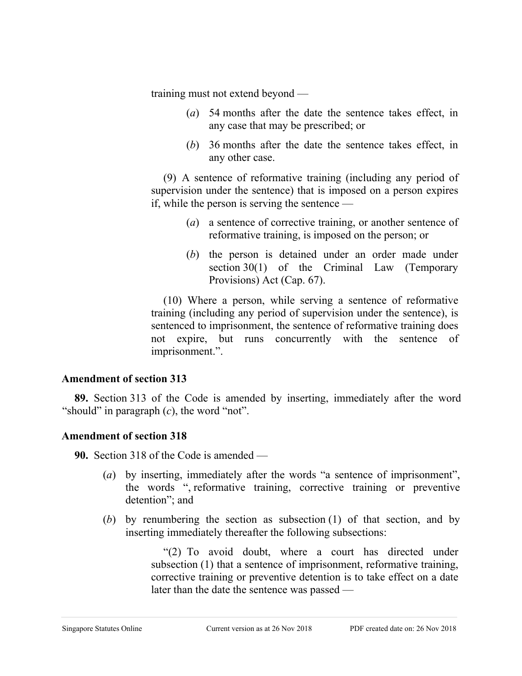training must not extend beyond —

- (*a*) 54 months after the date the sentence takes effect, in any case that may be prescribed; or
- (*b*) 36 months after the date the sentence takes effect, in any other case.

(9) A sentence of reformative training (including any period of supervision under the sentence) that is imposed on a person expires if, while the person is serving the sentence —

- (*a*) a sentence of corrective training, or another sentence of reformative training, is imposed on the person; or
- (*b*) the person is detained under an order made under section 30(1) of the Criminal Law (Temporary Provisions) Act (Cap. 67).

(10) Where a person, while serving a sentence of reformative training (including any period of supervision under the sentence), is sentenced to imprisonment, the sentence of reformative training does not expire, but runs concurrently with the sentence of imprisonment.".

## **Amendment of section 313**

**89.** Section 313 of the Code is amended by inserting, immediately after the word "should" in paragraph (*c*), the word "not".

## **Amendment of section 318**

**90.** Section 318 of the Code is amended —

- (*a*) by inserting, immediately after the words "a sentence of imprisonment", the words ", reformative training, corrective training or preventive detention"; and
- (*b*) by renumbering the section as subsection (1) of that section, and by inserting immediately thereafter the following subsections:

"(2) To avoid doubt, where a court has directed under subsection (1) that a sentence of imprisonment, reformative training, corrective training or preventive detention is to take effect on a date later than the date the sentence was passed —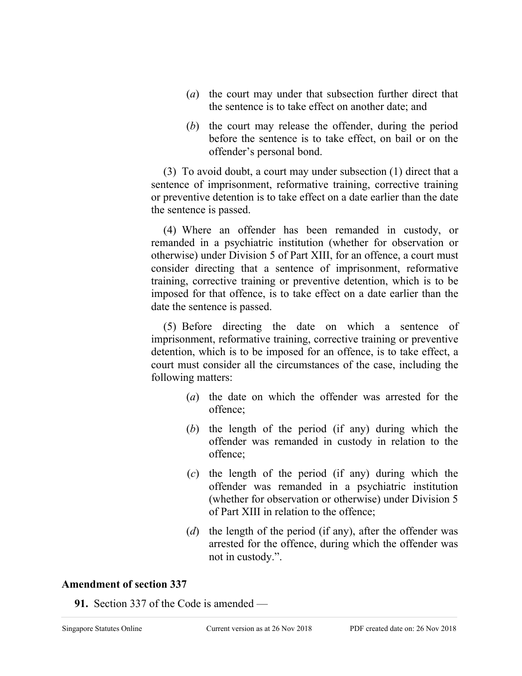- (*a*) the court may under that subsection further direct that the sentence is to take effect on another date; and
- (*b*) the court may release the offender, during the period before the sentence is to take effect, on bail or on the offender's personal bond.

(3) To avoid doubt, a court may under subsection (1) direct that a sentence of imprisonment, reformative training, corrective training or preventive detention is to take effect on a date earlier than the date the sentence is passed.

(4) Where an offender has been remanded in custody, or remanded in a psychiatric institution (whether for observation or otherwise) under Division 5 of Part XIII, for an offence, a court must consider directing that a sentence of imprisonment, reformative training, corrective training or preventive detention, which is to be imposed for that offence, is to take effect on a date earlier than the date the sentence is passed.

(5) Before directing the date on which a sentence of imprisonment, reformative training, corrective training or preventive detention, which is to be imposed for an offence, is to take effect, a court must consider all the circumstances of the case, including the following matters:

- (*a*) the date on which the offender was arrested for the offence;
- (*b*) the length of the period (if any) during which the offender was remanded in custody in relation to the offence;
- (*c*) the length of the period (if any) during which the offender was remanded in a psychiatric institution (whether for observation or otherwise) under Division 5 of Part XIII in relation to the offence;
- (*d*) the length of the period (if any), after the offender was arrested for the offence, during which the offender was not in custody.".

## **Amendment of section 337**

**91.** Section 337 of the Code is amended —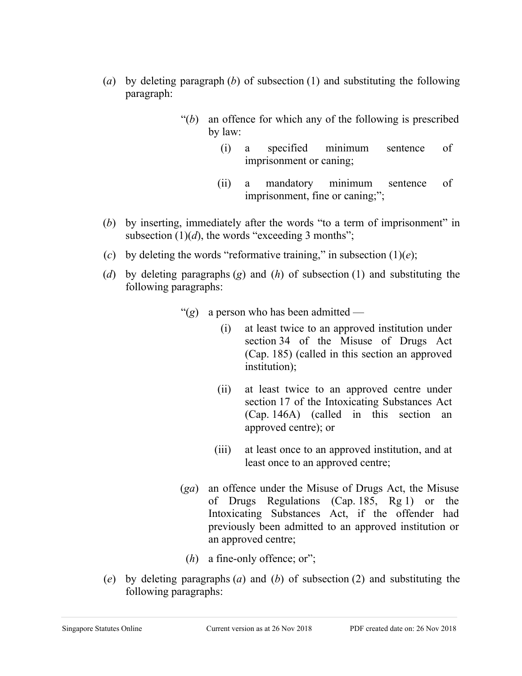- (*a*) by deleting paragraph (*b*) of subsection (1) and substituting the following paragraph:
	- "(*b*) an offence for which any of the following is prescribed by law:
		- (i) a specified minimum sentence of imprisonment or caning;
		- (ii) a mandatory minimum sentence of imprisonment, fine or caning;";
- (*b*) by inserting, immediately after the words "to a term of imprisonment" in subsection  $(1)(d)$ , the words "exceeding 3 months";
- (*c*) by deleting the words "reformative training," in subsection  $(1)(e)$ ;
- (*d*) by deleting paragraphs (*g*) and (*h*) of subsection (1) and substituting the following paragraphs:
	- "(*g*) a person who has been admitted
		- (i) at least twice to an approved institution under section 34 of the Misuse of Drugs Act (Cap. 185) (called in this section an approved institution);
		- (ii) at least twice to an approved centre under section 17 of the Intoxicating Substances Act (Cap. 146A) (called in this section an approved centre); or
		- (iii) at least once to an approved institution, and at least once to an approved centre;
	- (*ga*) an offence under the Misuse of Drugs Act, the Misuse of Drugs Regulations (Cap. 185, Rg 1) or the Intoxicating Substances Act, if the offender had previously been admitted to an approved institution or an approved centre;
		- (*h*) a fine-only offence; or";
- (*e*) by deleting paragraphs (*a*) and (*b*) of subsection (2) and substituting the following paragraphs: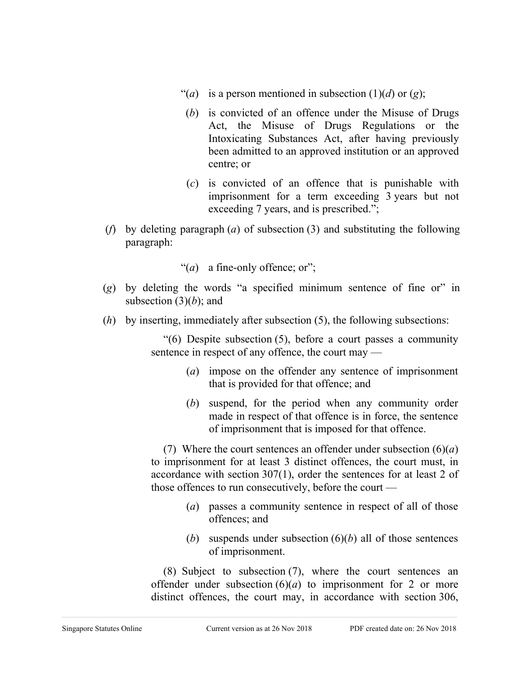- "(*a*) is a person mentioned in subsection  $(1)(d)$  or  $(g)$ ;
- (*b*) is convicted of an offence under the Misuse of Drugs Act, the Misuse of Drugs Regulations or the Intoxicating Substances Act, after having previously been admitted to an approved institution or an approved centre; or
- (*c*) is convicted of an offence that is punishable with imprisonment for a term exceeding 3 years but not exceeding 7 years, and is prescribed.";
- (*f*) by deleting paragraph (*a*) of subsection (3) and substituting the following paragraph:
	- "(*a*) a fine-only offence; or";
- (*g*) by deleting the words "a specified minimum sentence of fine or" in subsection (3)(*b*); and
- (*h*) by inserting, immediately after subsection (5), the following subsections:

"(6) Despite subsection (5), before a court passes a community sentence in respect of any offence, the court may —

- (*a*) impose on the offender any sentence of imprisonment that is provided for that offence; and
- (*b*) suspend, for the period when any community order made in respect of that offence is in force, the sentence of imprisonment that is imposed for that offence.

(7) Where the court sentences an offender under subsection (6)(*a*) to imprisonment for at least 3 distinct offences, the court must, in accordance with section 307(1), order the sentences for at least 2 of those offences to run consecutively, before the court —

- (*a*) passes a community sentence in respect of all of those offences; and
- (*b*) suspends under subsection (6)(*b*) all of those sentences of imprisonment.

(8) Subject to subsection (7), where the court sentences an offender under subsection  $(6)(a)$  to imprisonment for 2 or more distinct offences, the court may, in accordance with section 306,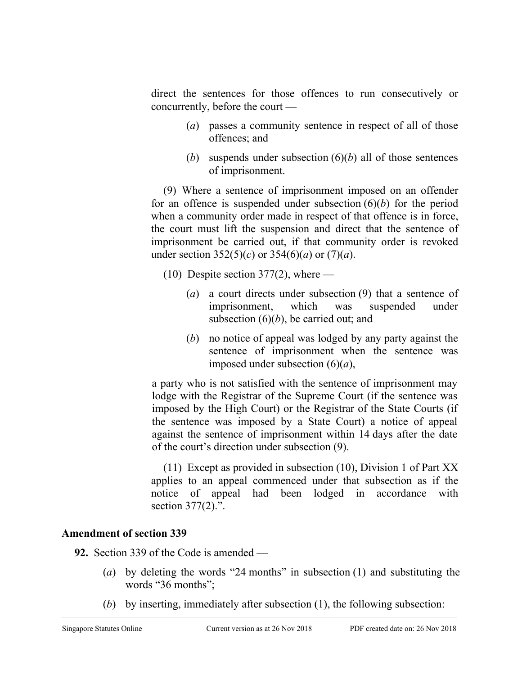direct the sentences for those offences to run consecutively or concurrently, before the court —

- (*a*) passes a community sentence in respect of all of those offences; and
- (*b*) suspends under subsection (6)(*b*) all of those sentences of imprisonment.

(9) Where a sentence of imprisonment imposed on an offender for an offence is suspended under subsection (6)(*b*) for the period when a community order made in respect of that offence is in force, the court must lift the suspension and direct that the sentence of imprisonment be carried out, if that community order is revoked under section  $352(5)(c)$  or  $354(6)(a)$  or  $(7)(a)$ .

 $(10)$  Despite section 377 $(2)$ , where —

- (*a*) a court directs under subsection (9) that a sentence of imprisonment, which was suspended under subsection (6)(*b*), be carried out; and
- (*b*) no notice of appeal was lodged by any party against the sentence of imprisonment when the sentence was imposed under subsection (6)(*a*),

a party who is not satisfied with the sentence of imprisonment may lodge with the Registrar of the Supreme Court (if the sentence was imposed by the High Court) or the Registrar of the State Courts (if the sentence was imposed by a State Court) a notice of appeal against the sentence of imprisonment within 14 days after the date of the court's direction under subsection (9).

(11) Except as provided in subsection (10), Division 1 of Part XX applies to an appeal commenced under that subsection as if the notice of appeal had been lodged in accordance with section 377(2).".

## **Amendment of section 339**

**92.** Section 339 of the Code is amended —

- (*a*) by deleting the words "24 months" in subsection (1) and substituting the words "36 months";
- (*b*) by inserting, immediately after subsection (1), the following subsection: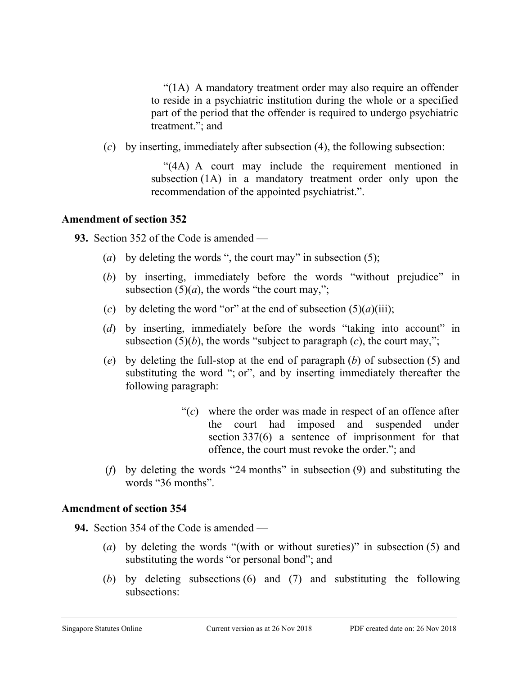"(1A) A mandatory treatment order may also require an offender to reside in a psychiatric institution during the whole or a specified part of the period that the offender is required to undergo psychiatric treatment."; and

(*c*) by inserting, immediately after subsection (4), the following subsection:

"(4A) A court may include the requirement mentioned in subsection (1A) in a mandatory treatment order only upon the recommendation of the appointed psychiatrist.".

#### **Amendment of section 352**

**93.** Section 352 of the Code is amended —

- (*a*) by deleting the words ", the court may" in subsection (5);
- (*b*) by inserting, immediately before the words "without prejudice" in subsection  $(5)(a)$ , the words "the court may,";
- (*c*) by deleting the word "or" at the end of subsection  $(5)(a)(iii)$ ;
- (*d*) by inserting, immediately before the words "taking into account" in subsection  $(5)(b)$ , the words "subject to paragraph  $(c)$ , the court may,";
- (*e*) by deleting the full-stop at the end of paragraph (*b*) of subsection (5) and substituting the word "; or", and by inserting immediately thereafter the following paragraph:
	- "(*c*) where the order was made in respect of an offence after the court had imposed and suspended under section 337(6) a sentence of imprisonment for that offence, the court must revoke the order."; and
- (*f*) by deleting the words "24 months" in subsection (9) and substituting the words "36 months".

# **Amendment of section 354**

**94.** Section 354 of the Code is amended —

- (*a*) by deleting the words "(with or without sureties)" in subsection (5) and substituting the words "or personal bond"; and
- (*b*) by deleting subsections (6) and (7) and substituting the following subsections: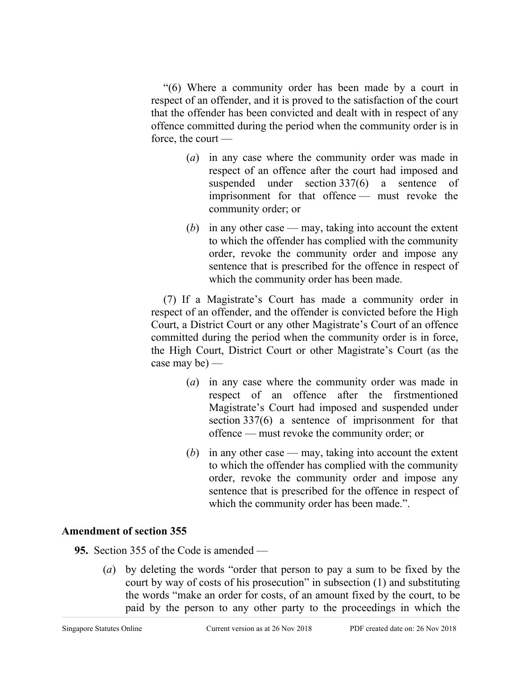"(6) Where a community order has been made by a court in respect of an offender, and it is proved to the satisfaction of the court that the offender has been convicted and dealt with in respect of any offence committed during the period when the community order is in force, the court —

- (*a*) in any case where the community order was made in respect of an offence after the court had imposed and suspended under section 337(6) a sentence of imprisonment for that offence — must revoke the community order; or
- (*b*) in any other case may, taking into account the extent to which the offender has complied with the community order, revoke the community order and impose any sentence that is prescribed for the offence in respect of which the community order has been made.

(7) If a Magistrate's Court has made a community order in respect of an offender, and the offender is convicted before the High Court, a District Court or any other Magistrate's Court of an offence committed during the period when the community order is in force, the High Court, District Court or other Magistrate's Court (as the case may be) —

- (*a*) in any case where the community order was made in respect of an offence after the firstmentioned Magistrate's Court had imposed and suspended under section 337(6) a sentence of imprisonment for that offence — must revoke the community order; or
- (*b*) in any other case may, taking into account the extent to which the offender has complied with the community order, revoke the community order and impose any sentence that is prescribed for the offence in respect of which the community order has been made.".

#### **Amendment of section 355**

**95.** Section 355 of the Code is amended —

(*a*) by deleting the words "order that person to pay a sum to be fixed by the court by way of costs of his prosecution" in subsection (1) and substituting the words "make an order for costs, of an amount fixed by the court, to be paid by the person to any other party to the proceedings in which the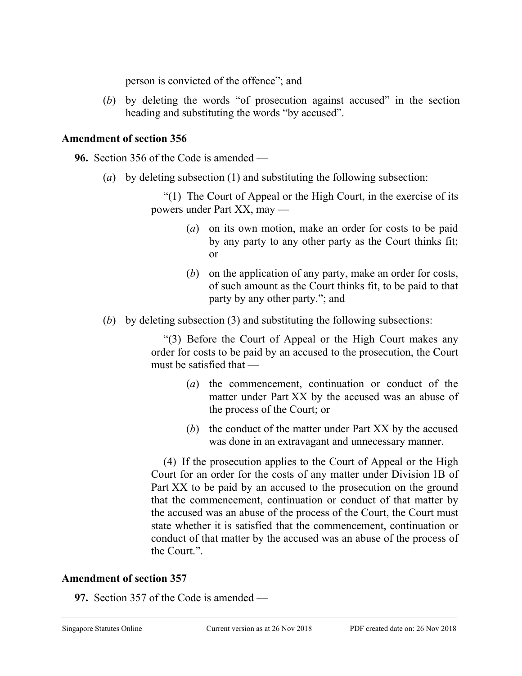person is convicted of the offence"; and

(*b*) by deleting the words "of prosecution against accused" in the section heading and substituting the words "by accused".

# **Amendment of section 356**

**96.** Section 356 of the Code is amended —

(*a*) by deleting subsection (1) and substituting the following subsection:

"(1) The Court of Appeal or the High Court, in the exercise of its powers under Part XX, may —

- (*a*) on its own motion, make an order for costs to be paid by any party to any other party as the Court thinks fit; or
- (*b*) on the application of any party, make an order for costs, of such amount as the Court thinks fit, to be paid to that party by any other party."; and
- (*b*) by deleting subsection (3) and substituting the following subsections:

"(3) Before the Court of Appeal or the High Court makes any order for costs to be paid by an accused to the prosecution, the Court must be satisfied that —

- (*a*) the commencement, continuation or conduct of the matter under Part XX by the accused was an abuse of the process of the Court; or
- (*b*) the conduct of the matter under Part XX by the accused was done in an extravagant and unnecessary manner.

(4) If the prosecution applies to the Court of Appeal or the High Court for an order for the costs of any matter under Division 1B of Part XX to be paid by an accused to the prosecution on the ground that the commencement, continuation or conduct of that matter by the accused was an abuse of the process of the Court, the Court must state whether it is satisfied that the commencement, continuation or conduct of that matter by the accused was an abuse of the process of the Court.".

# **Amendment of section 357**

**97.** Section 357 of the Code is amended —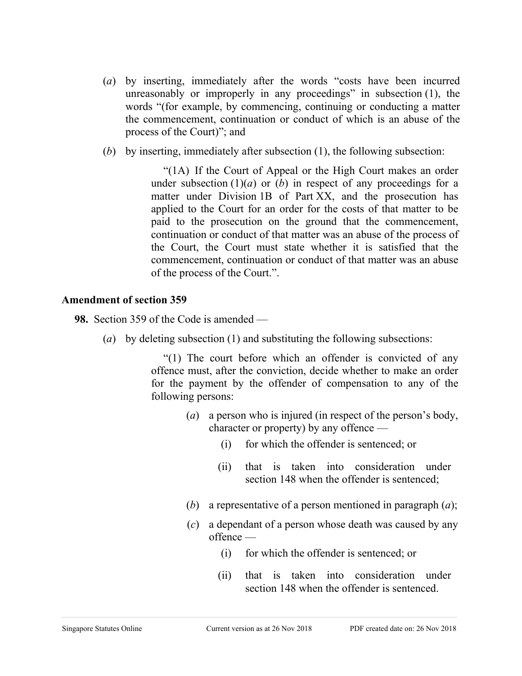- (*a*) by inserting, immediately after the words "costs have been incurred unreasonably or improperly in any proceedings" in subsection (1), the words "(for example, by commencing, continuing or conducting a matter the commencement, continuation or conduct of which is an abuse of the process of the Court)"; and
- (*b*) by inserting, immediately after subsection (1), the following subsection:

"(1A) If the Court of Appeal or the High Court makes an order under subsection  $(1)(a)$  or  $(b)$  in respect of any proceedings for a matter under Division 1B of Part XX, and the prosecution has applied to the Court for an order for the costs of that matter to be paid to the prosecution on the ground that the commencement, continuation or conduct of that matter was an abuse of the process of the Court, the Court must state whether it is satisfied that the commencement, continuation or conduct of that matter was an abuse of the process of the Court.".

#### **Amendment of section 359**

**98.** Section 359 of the Code is amended —

(*a*) by deleting subsection (1) and substituting the following subsections:

"(1) The court before which an offender is convicted of any offence must, after the conviction, decide whether to make an order for the payment by the offender of compensation to any of the following persons:

- (*a*) a person who is injured (in respect of the person's body, character or property) by any offence —
	- (i) for which the offender is sentenced; or
	- (ii) that is taken into consideration under section 148 when the offender is sentenced;
- (*b*) a representative of a person mentioned in paragraph (*a*);
- (*c*) a dependant of a person whose death was caused by any offence —
	- (i) for which the offender is sentenced; or
	- (ii) that is taken into consideration under section 148 when the offender is sentenced.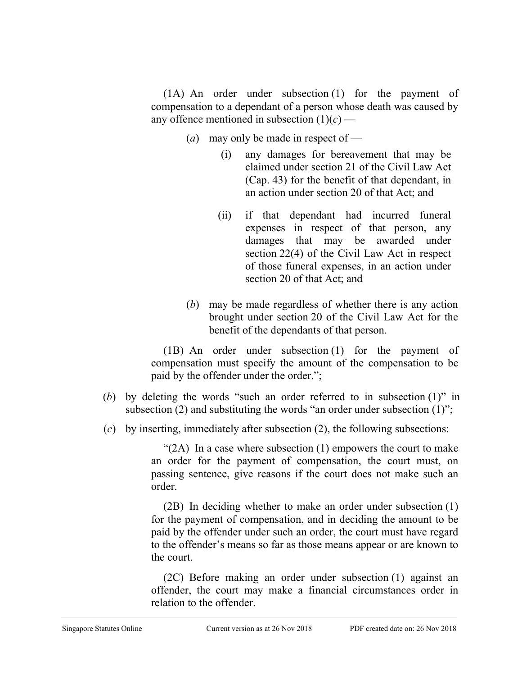(1A) An order under subsection (1) for the payment of compensation to a dependant of a person whose death was caused by any offence mentioned in subsection  $(1)(c)$  —

- (*a*) may only be made in respect of
	- (i) any damages for bereavement that may be claimed under section 21 of the Civil Law Act (Cap. 43) for the benefit of that dependant, in an action under section 20 of that Act; and
	- (ii) if that dependant had incurred funeral expenses in respect of that person, any damages that may be awarded under section 22(4) of the Civil Law Act in respect of those funeral expenses, in an action under section 20 of that Act; and
- (*b*) may be made regardless of whether there is any action brought under section 20 of the Civil Law Act for the benefit of the dependants of that person.

(1B) An order under subsection (1) for the payment of compensation must specify the amount of the compensation to be paid by the offender under the order.";

- (*b*) by deleting the words "such an order referred to in subsection (1)" in subsection (2) and substituting the words "an order under subsection (1)";
- (*c*) by inserting, immediately after subsection (2), the following subsections:

" $(2A)$  In a case where subsection  $(1)$  empowers the court to make an order for the payment of compensation, the court must, on passing sentence, give reasons if the court does not make such an order.

(2B) In deciding whether to make an order under subsection (1) for the payment of compensation, and in deciding the amount to be paid by the offender under such an order, the court must have regard to the offender's means so far as those means appear or are known to the court.

(2C) Before making an order under subsection (1) against an offender, the court may make a financial circumstances order in relation to the offender.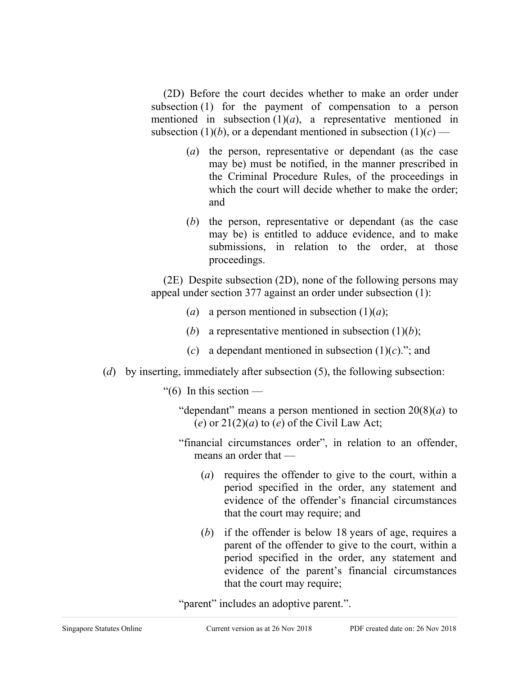(2D) Before the court decides whether to make an order under subsection (1) for the payment of compensation to a person mentioned in subsection  $(1)(a)$ , a representative mentioned in subsection (1)(*b*), or a dependant mentioned in subsection (1)(*c*) —

- (*a*) the person, representative or dependant (as the case may be) must be notified, in the manner prescribed in the Criminal Procedure Rules, of the proceedings in which the court will decide whether to make the order: and
- (*b*) the person, representative or dependant (as the case may be) is entitled to adduce evidence, and to make submissions, in relation to the order, at those proceedings.

(2E) Despite subsection (2D), none of the following persons may appeal under section 377 against an order under subsection (1):

- (*a*) a person mentioned in subsection  $(1)(a)$ ;
- (*b*) a representative mentioned in subsection  $(1)(b)$ ;
- (*c*) a dependant mentioned in subsection (1)(*c*)."; and
- (*d*) by inserting, immediately after subsection (5), the following subsection:
	- "(6) In this section  $-$ 
		- "dependant" means a person mentioned in section  $20(8)(a)$  to (*e*) or  $21(2)(a)$  to (*e*) of the Civil Law Act;
		- "financial circumstances order", in relation to an offender, means an order that —
			- (*a*) requires the offender to give to the court, within a period specified in the order, any statement and evidence of the offender's financial circumstances that the court may require; and
			- (*b*) if the offender is below 18 years of age, requires a parent of the offender to give to the court, within a period specified in the order, any statement and evidence of the parent's financial circumstances that the court may require;

"parent" includes an adoptive parent.".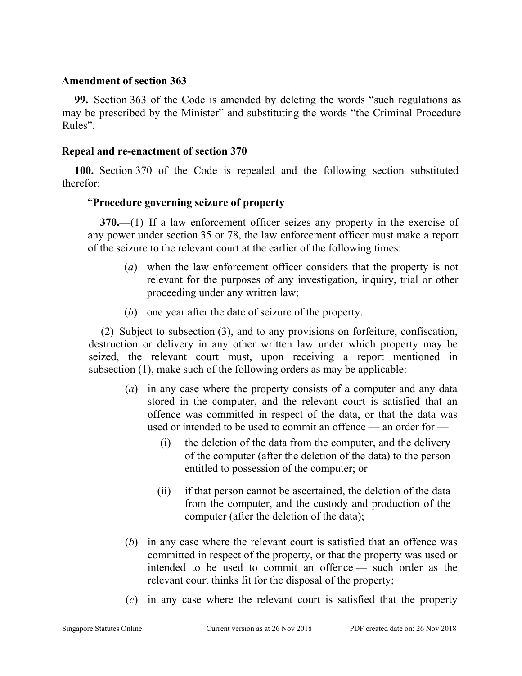#### **Amendment of section 363**

**99.** Section 363 of the Code is amended by deleting the words "such regulations as may be prescribed by the Minister" and substituting the words "the Criminal Procedure Rules".

#### **Repeal and re-enactment of section 370**

**100.** Section 370 of the Code is repealed and the following section substituted therefor:

#### "**Procedure governing seizure of property**

**370.**—(1) If a law enforcement officer seizes any property in the exercise of any power under section 35 or 78, the law enforcement officer must make a report of the seizure to the relevant court at the earlier of the following times:

- (*a*) when the law enforcement officer considers that the property is not relevant for the purposes of any investigation, inquiry, trial or other proceeding under any written law;
- (*b*) one year after the date of seizure of the property.

(2) Subject to subsection (3), and to any provisions on forfeiture, confiscation, destruction or delivery in any other written law under which property may be seized, the relevant court must, upon receiving a report mentioned in subsection (1), make such of the following orders as may be applicable:

- (*a*) in any case where the property consists of a computer and any data stored in the computer, and the relevant court is satisfied that an offence was committed in respect of the data, or that the data was used or intended to be used to commit an offence — an order for —
	- (i) the deletion of the data from the computer, and the delivery of the computer (after the deletion of the data) to the person entitled to possession of the computer; or
	- (ii) if that person cannot be ascertained, the deletion of the data from the computer, and the custody and production of the computer (after the deletion of the data);
- (*b*) in any case where the relevant court is satisfied that an offence was committed in respect of the property, or that the property was used or intended to be used to commit an offence — such order as the relevant court thinks fit for the disposal of the property;
- (*c*) in any case where the relevant court is satisfied that the property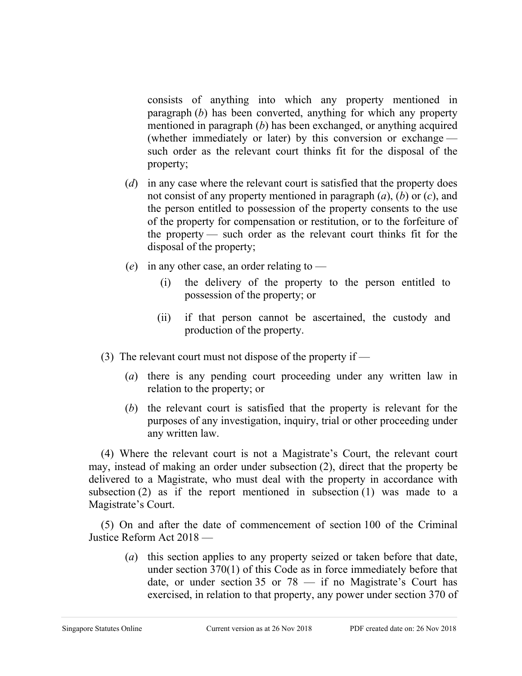consists of anything into which any property mentioned in paragraph (*b*) has been converted, anything for which any property mentioned in paragraph (*b*) has been exchanged, or anything acquired (whether immediately or later) by this conversion or exchange such order as the relevant court thinks fit for the disposal of the property;

- (*d*) in any case where the relevant court is satisfied that the property does not consist of any property mentioned in paragraph (*a*), (*b*) or (*c*), and the person entitled to possession of the property consents to the use of the property for compensation or restitution, or to the forfeiture of the property — such order as the relevant court thinks fit for the disposal of the property;
- (*e*) in any other case, an order relating to
	- (i) the delivery of the property to the person entitled to possession of the property; or
	- (ii) if that person cannot be ascertained, the custody and production of the property.
- (3) The relevant court must not dispose of the property if
	- (*a*) there is any pending court proceeding under any written law in relation to the property; or
	- (*b*) the relevant court is satisfied that the property is relevant for the purposes of any investigation, inquiry, trial or other proceeding under any written law.

(4) Where the relevant court is not a Magistrate's Court, the relevant court may, instead of making an order under subsection (2), direct that the property be delivered to a Magistrate, who must deal with the property in accordance with subsection (2) as if the report mentioned in subsection (1) was made to a Magistrate's Court.

(5) On and after the date of commencement of section 100 of the Criminal Justice Reform Act 2018 —

(*a*) this section applies to any property seized or taken before that date, under section 370(1) of this Code as in force immediately before that date, or under section 35 or  $78 - i$  if no Magistrate's Court has exercised, in relation to that property, any power under section 370 of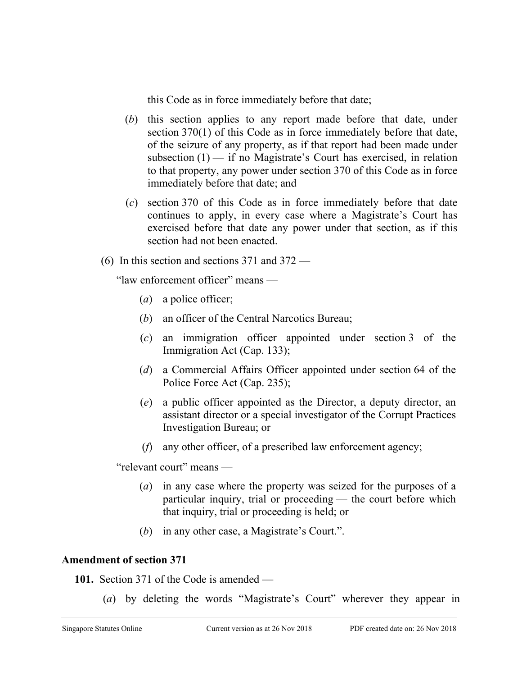this Code as in force immediately before that date;

- (*b*) this section applies to any report made before that date, under section 370(1) of this Code as in force immediately before that date, of the seizure of any property, as if that report had been made under subsection  $(1)$  — if no Magistrate's Court has exercised, in relation to that property, any power under section 370 of this Code as in force immediately before that date; and
- (*c*) section 370 of this Code as in force immediately before that date continues to apply, in every case where a Magistrate's Court has exercised before that date any power under that section, as if this section had not been enacted.
- (6) In this section and sections 371 and 372 —

"law enforcement officer" means —

- (*a*) a police officer;
- (*b*) an officer of the Central Narcotics Bureau;
- (*c*) an immigration officer appointed under section 3 of the Immigration Act (Cap. 133);
- (*d*) a Commercial Affairs Officer appointed under section 64 of the Police Force Act (Cap. 235);
- (*e*) a public officer appointed as the Director, a deputy director, an assistant director or a special investigator of the Corrupt Practices Investigation Bureau; or
- (*f*) any other officer, of a prescribed law enforcement agency;

"relevant court" means —

- (*a*) in any case where the property was seized for the purposes of a particular inquiry, trial or proceeding — the court before which that inquiry, trial or proceeding is held; or
- (*b*) in any other case, a Magistrate's Court.".

# **Amendment of section 371**

- **101.** Section 371 of the Code is amended
	- (*a*) by deleting the words "Magistrate's Court" wherever they appear in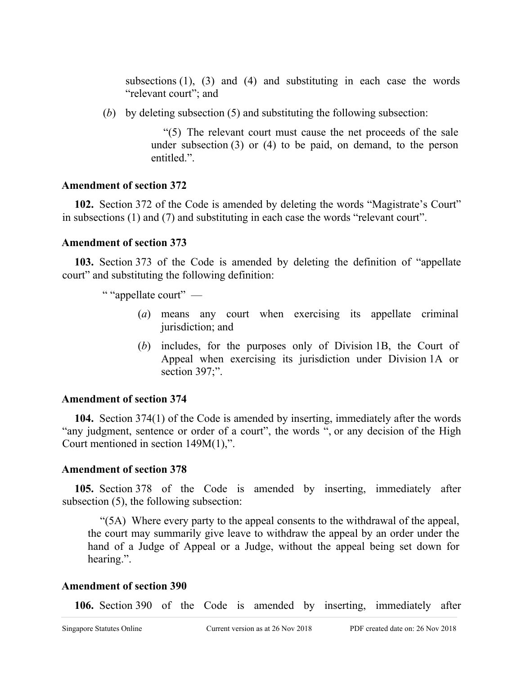subsections  $(1)$ ,  $(3)$  and  $(4)$  and substituting in each case the words "relevant court"; and

(*b*) by deleting subsection (5) and substituting the following subsection:

"(5) The relevant court must cause the net proceeds of the sale under subsection (3) or (4) to be paid, on demand, to the person entitled.".

#### **Amendment of section 372**

**102.** Section 372 of the Code is amended by deleting the words "Magistrate's Court" in subsections (1) and (7) and substituting in each case the words "relevant court".

#### **Amendment of section 373**

**103.** Section 373 of the Code is amended by deleting the definition of "appellate court" and substituting the following definition:

" "appellate court" —

- (*a*) means any court when exercising its appellate criminal jurisdiction; and
- (*b*) includes, for the purposes only of Division 1B, the Court of Appeal when exercising its jurisdiction under Division 1A or section 397;".

#### **Amendment of section 374**

**104.** Section 374(1) of the Code is amended by inserting, immediately after the words "any judgment, sentence or order of a court", the words ", or any decision of the High Court mentioned in section 149M(1),".

#### **Amendment of section 378**

**105.** Section 378 of the Code is amended by inserting, immediately after subsection (5), the following subsection:

"(5A) Where every party to the appeal consents to the withdrawal of the appeal, the court may summarily give leave to withdraw the appeal by an order under the hand of a Judge of Appeal or a Judge, without the appeal being set down for hearing.".

#### **Amendment of section 390**

**106.** Section 390 of the Code is amended by inserting, immediately after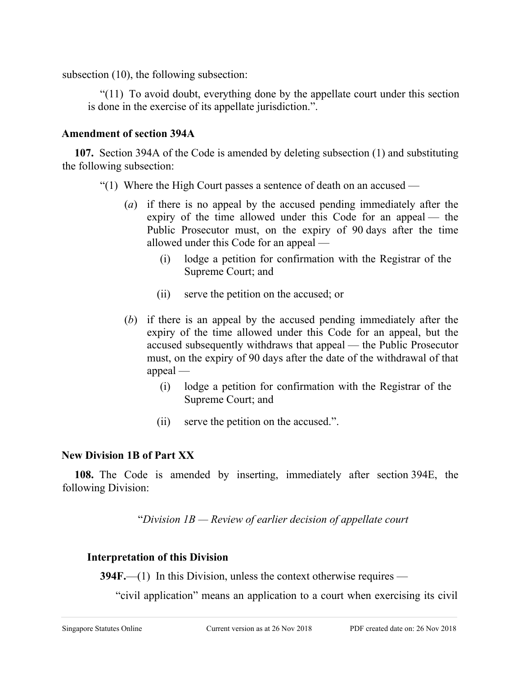subsection (10), the following subsection:

"(11) To avoid doubt, everything done by the appellate court under this section is done in the exercise of its appellate jurisdiction.".

# **Amendment of section 394A**

**107.** Section 394A of the Code is amended by deleting subsection (1) and substituting the following subsection:

- "(1) Where the High Court passes a sentence of death on an accused
	- (*a*) if there is no appeal by the accused pending immediately after the expiry of the time allowed under this Code for an appeal — the Public Prosecutor must, on the expiry of 90 days after the time allowed under this Code for an appeal —
		- (i) lodge a petition for confirmation with the Registrar of the Supreme Court; and
		- (ii) serve the petition on the accused; or
	- (*b*) if there is an appeal by the accused pending immediately after the expiry of the time allowed under this Code for an appeal, but the accused subsequently withdraws that appeal — the Public Prosecutor must, on the expiry of 90 days after the date of the withdrawal of that appeal —
		- (i) lodge a petition for confirmation with the Registrar of the Supreme Court; and
		- (ii) serve the petition on the accused.".

# **New Division 1B of Part XX**

**108.** The Code is amended by inserting, immediately after section 394E, the following Division:

"*Division 1B — Review of earlier decision of appellate court*

# **Interpretation of this Division**

**394F.**—(1) In this Division, unless the context otherwise requires —

"civil application" means an application to a court when exercising its civil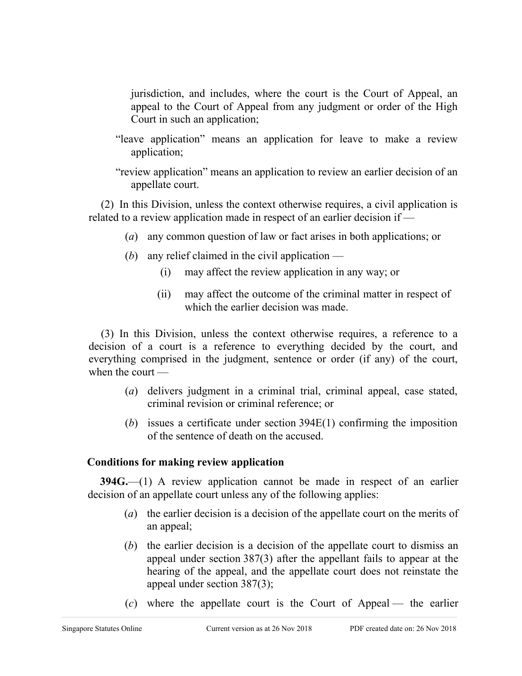jurisdiction, and includes, where the court is the Court of Appeal, an appeal to the Court of Appeal from any judgment or order of the High Court in such an application;

- "leave application" means an application for leave to make a review application;
- "review application" means an application to review an earlier decision of an appellate court.

(2) In this Division, unless the context otherwise requires, a civil application is related to a review application made in respect of an earlier decision if —

- (*a*) any common question of law or fact arises in both applications; or
- (*b*) any relief claimed in the civil application
	- (i) may affect the review application in any way; or
	- (ii) may affect the outcome of the criminal matter in respect of which the earlier decision was made.

(3) In this Division, unless the context otherwise requires, a reference to a decision of a court is a reference to everything decided by the court, and everything comprised in the judgment, sentence or order (if any) of the court, when the court —

- (*a*) delivers judgment in a criminal trial, criminal appeal, case stated, criminal revision or criminal reference; or
- (*b*) issues a certificate under section 394E(1) confirming the imposition of the sentence of death on the accused.

# **Conditions for making review application**

**394G.**—(1) A review application cannot be made in respect of an earlier decision of an appellate court unless any of the following applies:

- (*a*) the earlier decision is a decision of the appellate court on the merits of an appeal;
- (*b*) the earlier decision is a decision of the appellate court to dismiss an appeal under section 387(3) after the appellant fails to appear at the hearing of the appeal, and the appellate court does not reinstate the appeal under section 387(3);
- (*c*) where the appellate court is the Court of Appeal the earlier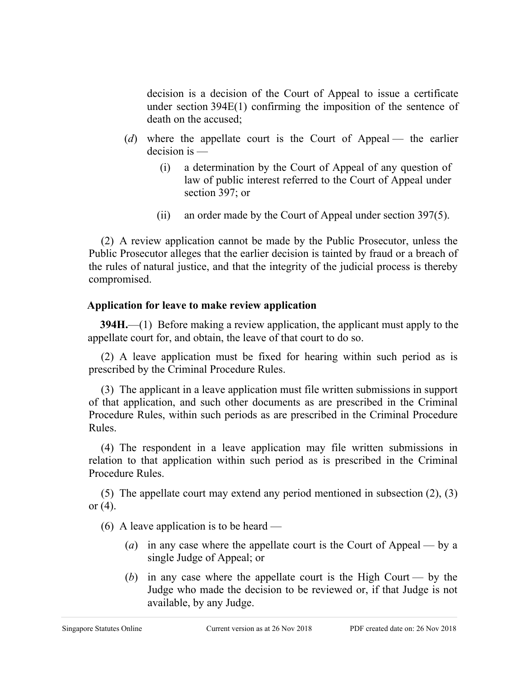decision is a decision of the Court of Appeal to issue a certificate under section 394E(1) confirming the imposition of the sentence of death on the accused;

- (*d*) where the appellate court is the Court of Appeal the earlier decision is —
	- (i) a determination by the Court of Appeal of any question of law of public interest referred to the Court of Appeal under section 397; or
	- (ii) an order made by the Court of Appeal under section 397(5).

(2) A review application cannot be made by the Public Prosecutor, unless the Public Prosecutor alleges that the earlier decision is tainted by fraud or a breach of the rules of natural justice, and that the integrity of the judicial process is thereby compromised.

# **Application for leave to make review application**

**394H.**—(1) Before making a review application, the applicant must apply to the appellate court for, and obtain, the leave of that court to do so.

(2) A leave application must be fixed for hearing within such period as is prescribed by the Criminal Procedure Rules.

(3) The applicant in a leave application must file written submissions in support of that application, and such other documents as are prescribed in the Criminal Procedure Rules, within such periods as are prescribed in the Criminal Procedure Rules.

(4) The respondent in a leave application may file written submissions in relation to that application within such period as is prescribed in the Criminal Procedure Rules.

(5) The appellate court may extend any period mentioned in subsection (2), (3) or (4).

(6) A leave application is to be heard —

- (*a*) in any case where the appellate court is the Court of Appeal by a single Judge of Appeal; or
- (*b*) in any case where the appellate court is the High Court by the Judge who made the decision to be reviewed or, if that Judge is not available, by any Judge.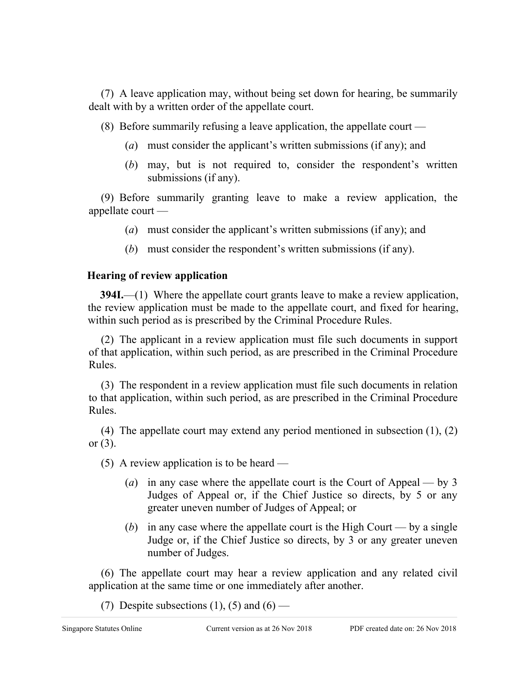(7) A leave application may, without being set down for hearing, be summarily dealt with by a written order of the appellate court.

(8) Before summarily refusing a leave application, the appellate court —

- (*a*) must consider the applicant's written submissions (if any); and
- (*b*) may, but is not required to, consider the respondent's written submissions (if any).

(9) Before summarily granting leave to make a review application, the appellate court —

- (*a*) must consider the applicant's written submissions (if any); and
- (*b*) must consider the respondent's written submissions (if any).

# **Hearing of review application**

**394I.**—(1) Where the appellate court grants leave to make a review application, the review application must be made to the appellate court, and fixed for hearing, within such period as is prescribed by the Criminal Procedure Rules.

(2) The applicant in a review application must file such documents in support of that application, within such period, as are prescribed in the Criminal Procedure Rules.

(3) The respondent in a review application must file such documents in relation to that application, within such period, as are prescribed in the Criminal Procedure Rules.

(4) The appellate court may extend any period mentioned in subsection (1), (2) or (3).

(5) A review application is to be heard —

- (*a*) in any case where the appellate court is the Court of Appeal by 3 Judges of Appeal or, if the Chief Justice so directs, by 5 or any greater uneven number of Judges of Appeal; or
- (*b*) in any case where the appellate court is the High Court by a single Judge or, if the Chief Justice so directs, by 3 or any greater uneven number of Judges.

(6) The appellate court may hear a review application and any related civil application at the same time or one immediately after another.

(7) Despite subsections (1), (5) and (6) —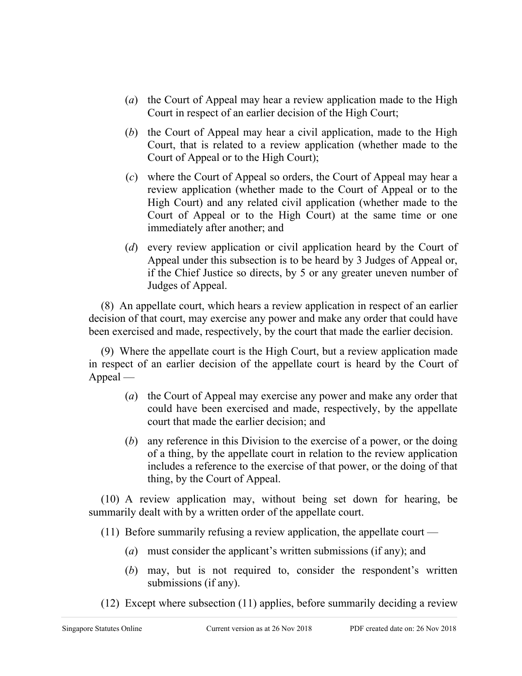- (*a*) the Court of Appeal may hear a review application made to the High Court in respect of an earlier decision of the High Court;
- (*b*) the Court of Appeal may hear a civil application, made to the High Court, that is related to a review application (whether made to the Court of Appeal or to the High Court);
- (*c*) where the Court of Appeal so orders, the Court of Appeal may hear a review application (whether made to the Court of Appeal or to the High Court) and any related civil application (whether made to the Court of Appeal or to the High Court) at the same time or one immediately after another; and
- (*d*) every review application or civil application heard by the Court of Appeal under this subsection is to be heard by 3 Judges of Appeal or, if the Chief Justice so directs, by 5 or any greater uneven number of Judges of Appeal.

(8) An appellate court, which hears a review application in respect of an earlier decision of that court, may exercise any power and make any order that could have been exercised and made, respectively, by the court that made the earlier decision.

(9) Where the appellate court is the High Court, but a review application made in respect of an earlier decision of the appellate court is heard by the Court of Appeal —

- (*a*) the Court of Appeal may exercise any power and make any order that could have been exercised and made, respectively, by the appellate court that made the earlier decision; and
- (*b*) any reference in this Division to the exercise of a power, or the doing of a thing, by the appellate court in relation to the review application includes a reference to the exercise of that power, or the doing of that thing, by the Court of Appeal.

(10) A review application may, without being set down for hearing, be summarily dealt with by a written order of the appellate court.

(11) Before summarily refusing a review application, the appellate court —

- (*a*) must consider the applicant's written submissions (if any); and
- (*b*) may, but is not required to, consider the respondent's written submissions (if any).
- (12) Except where subsection (11) applies, before summarily deciding a review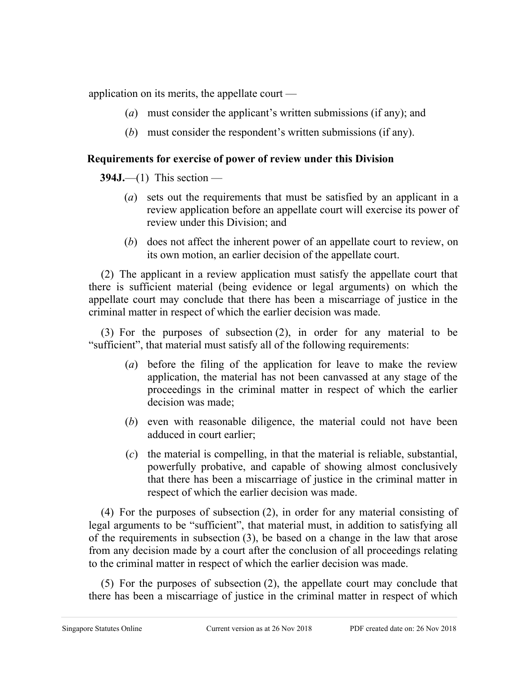application on its merits, the appellate court —

- (*a*) must consider the applicant's written submissions (if any); and
- (*b*) must consider the respondent's written submissions (if any).

# **Requirements for exercise of power of review under this Division**

**394J.**—(1) This section —

- (*a*) sets out the requirements that must be satisfied by an applicant in a review application before an appellate court will exercise its power of review under this Division; and
- (*b*) does not affect the inherent power of an appellate court to review, on its own motion, an earlier decision of the appellate court.

(2) The applicant in a review application must satisfy the appellate court that there is sufficient material (being evidence or legal arguments) on which the appellate court may conclude that there has been a miscarriage of justice in the criminal matter in respect of which the earlier decision was made.

(3) For the purposes of subsection (2), in order for any material to be "sufficient", that material must satisfy all of the following requirements:

- (*a*) before the filing of the application for leave to make the review application, the material has not been canvassed at any stage of the proceedings in the criminal matter in respect of which the earlier decision was made;
- (*b*) even with reasonable diligence, the material could not have been adduced in court earlier;
- (*c*) the material is compelling, in that the material is reliable, substantial, powerfully probative, and capable of showing almost conclusively that there has been a miscarriage of justice in the criminal matter in respect of which the earlier decision was made.

(4) For the purposes of subsection (2), in order for any material consisting of legal arguments to be "sufficient", that material must, in addition to satisfying all of the requirements in subsection (3), be based on a change in the law that arose from any decision made by a court after the conclusion of all proceedings relating to the criminal matter in respect of which the earlier decision was made.

(5) For the purposes of subsection (2), the appellate court may conclude that there has been a miscarriage of justice in the criminal matter in respect of which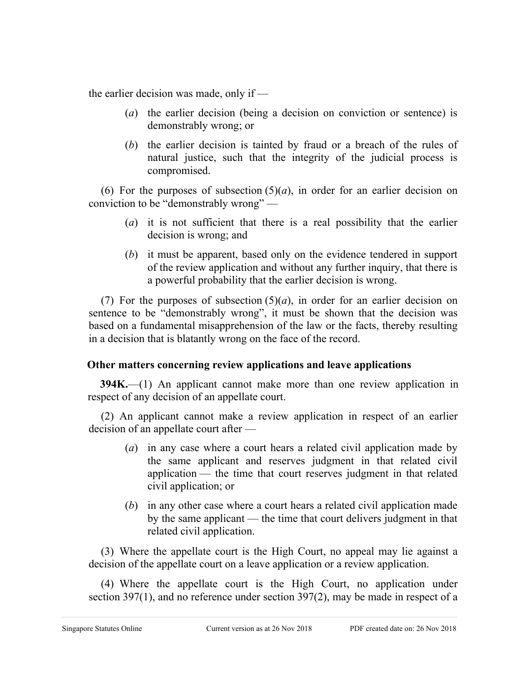the earlier decision was made, only if —

- (*a*) the earlier decision (being a decision on conviction or sentence) is demonstrably wrong; or
- (*b*) the earlier decision is tainted by fraud or a breach of the rules of natural justice, such that the integrity of the judicial process is compromised.

(6) For the purposes of subsection  $(5)(a)$ , in order for an earlier decision on conviction to be "demonstrably wrong" —

- (*a*) it is not sufficient that there is a real possibility that the earlier decision is wrong; and
- (*b*) it must be apparent, based only on the evidence tendered in support of the review application and without any further inquiry, that there is a powerful probability that the earlier decision is wrong.

(7) For the purposes of subsection  $(5)(a)$ , in order for an earlier decision on sentence to be "demonstrably wrong", it must be shown that the decision was based on a fundamental misapprehension of the law or the facts, thereby resulting in a decision that is blatantly wrong on the face of the record.

# **Other matters concerning review applications and leave applications**

**394K.**—(1) An applicant cannot make more than one review application in respect of any decision of an appellate court.

(2) An applicant cannot make a review application in respect of an earlier decision of an appellate court after —

- (*a*) in any case where a court hears a related civil application made by the same applicant and reserves judgment in that related civil application — the time that court reserves judgment in that related civil application; or
- (*b*) in any other case where a court hears a related civil application made by the same applicant — the time that court delivers judgment in that related civil application.

(3) Where the appellate court is the High Court, no appeal may lie against a decision of the appellate court on a leave application or a review application.

(4) Where the appellate court is the High Court, no application under section 397(1), and no reference under section 397(2), may be made in respect of a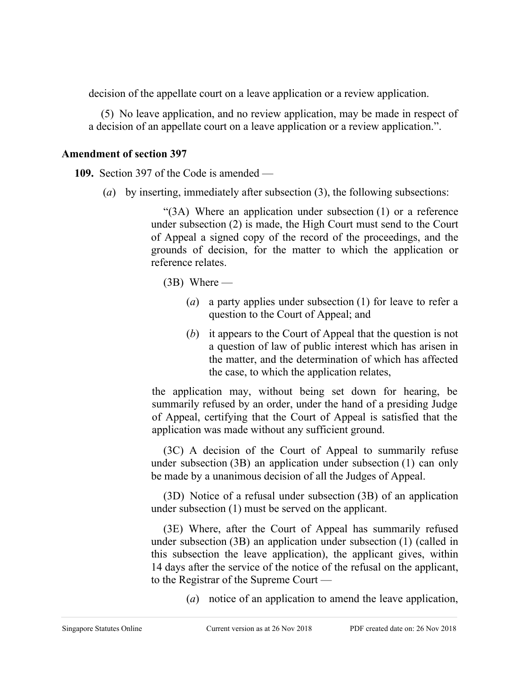decision of the appellate court on a leave application or a review application.

(5) No leave application, and no review application, may be made in respect of a decision of an appellate court on a leave application or a review application.".

# **Amendment of section 397**

**109.** Section 397 of the Code is amended —

(*a*) by inserting, immediately after subsection (3), the following subsections:

"(3A) Where an application under subsection (1) or a reference under subsection (2) is made, the High Court must send to the Court of Appeal a signed copy of the record of the proceedings, and the grounds of decision, for the matter to which the application or reference relates.

(3B) Where —

- (*a*) a party applies under subsection (1) for leave to refer a question to the Court of Appeal; and
- (*b*) it appears to the Court of Appeal that the question is not a question of law of public interest which has arisen in the matter, and the determination of which has affected the case, to which the application relates,

the application may, without being set down for hearing, be summarily refused by an order, under the hand of a presiding Judge of Appeal, certifying that the Court of Appeal is satisfied that the application was made without any sufficient ground.

(3C) A decision of the Court of Appeal to summarily refuse under subsection (3B) an application under subsection (1) can only be made by a unanimous decision of all the Judges of Appeal.

(3D) Notice of a refusal under subsection (3B) of an application under subsection (1) must be served on the applicant.

(3E) Where, after the Court of Appeal has summarily refused under subsection (3B) an application under subsection (1) (called in this subsection the leave application), the applicant gives, within 14 days after the service of the notice of the refusal on the applicant, to the Registrar of the Supreme Court —

(*a*) notice of an application to amend the leave application,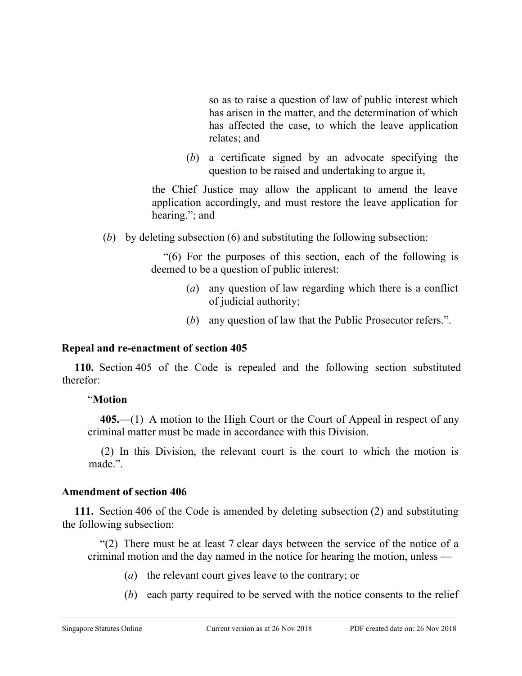so as to raise a question of law of public interest which has arisen in the matter, and the determination of which has affected the case, to which the leave application relates; and

(*b*) a certificate signed by an advocate specifying the question to be raised and undertaking to argue it,

the Chief Justice may allow the applicant to amend the leave application accordingly, and must restore the leave application for hearing."; and

(*b*) by deleting subsection (6) and substituting the following subsection:

"(6) For the purposes of this section, each of the following is deemed to be a question of public interest:

- (*a*) any question of law regarding which there is a conflict of judicial authority;
- (*b*) any question of law that the Public Prosecutor refers.".

# **Repeal and re-enactment of section 405**

**110.** Section 405 of the Code is repealed and the following section substituted therefor:

# "**Motion**

**405.**—(1) A motion to the High Court or the Court of Appeal in respect of any criminal matter must be made in accordance with this Division.

(2) In this Division, the relevant court is the court to which the motion is made.".

# **Amendment of section 406**

**111.** Section 406 of the Code is amended by deleting subsection (2) and substituting the following subsection:

"(2) There must be at least 7 clear days between the service of the notice of a criminal motion and the day named in the notice for hearing the motion, unless —

- (*a*) the relevant court gives leave to the contrary; or
- (*b*) each party required to be served with the notice consents to the relief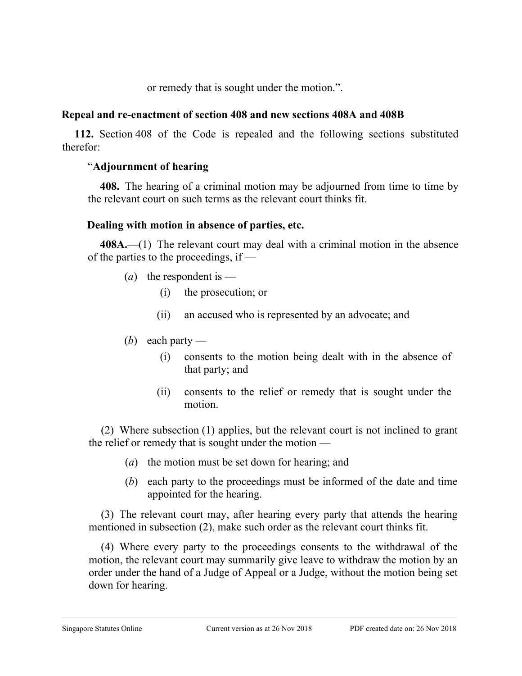or remedy that is sought under the motion.".

#### **Repeal and re-enactment of section 408 and new sections 408A and 408B**

**112.** Section 408 of the Code is repealed and the following sections substituted therefor:

# "**Adjournment of hearing**

**408.** The hearing of a criminal motion may be adjourned from time to time by the relevant court on such terms as the relevant court thinks fit.

# **Dealing with motion in absence of parties, etc.**

**408A.**—(1) The relevant court may deal with a criminal motion in the absence of the parties to the proceedings, if —

- (*a*) the respondent is
	- (i) the prosecution; or
	- (ii) an accused who is represented by an advocate; and
- (*b*) each party
	- (i) consents to the motion being dealt with in the absence of that party; and
	- (ii) consents to the relief or remedy that is sought under the motion.

(2) Where subsection (1) applies, but the relevant court is not inclined to grant the relief or remedy that is sought under the motion —

- (*a*) the motion must be set down for hearing; and
- (*b*) each party to the proceedings must be informed of the date and time appointed for the hearing.

(3) The relevant court may, after hearing every party that attends the hearing mentioned in subsection (2), make such order as the relevant court thinks fit.

(4) Where every party to the proceedings consents to the withdrawal of the motion, the relevant court may summarily give leave to withdraw the motion by an order under the hand of a Judge of Appeal or a Judge, without the motion being set down for hearing.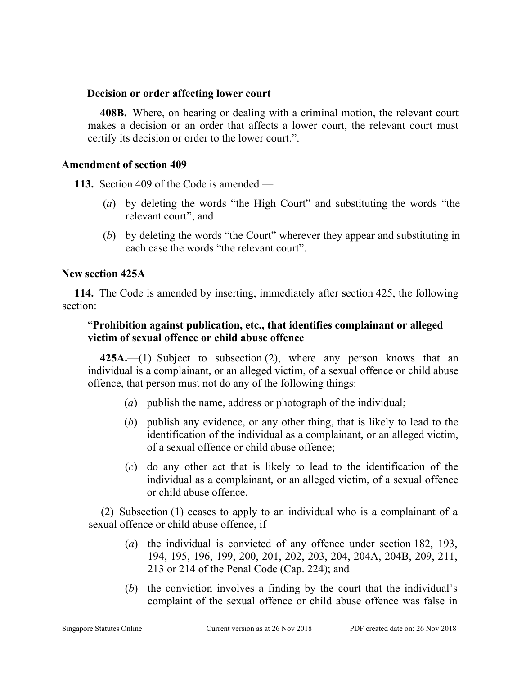#### **Decision or order affecting lower court**

**408B.** Where, on hearing or dealing with a criminal motion, the relevant court makes a decision or an order that affects a lower court, the relevant court must certify its decision or order to the lower court.".

#### **Amendment of section 409**

**113.** Section 409 of the Code is amended —

- (*a*) by deleting the words "the High Court" and substituting the words "the relevant court"; and
- (*b*) by deleting the words "the Court" wherever they appear and substituting in each case the words "the relevant court".

#### **New section 425A**

**114.** The Code is amended by inserting, immediately after section 425, the following section:

#### "**Prohibition against publication, etc., that identifies complainant or alleged victim of sexual offence or child abuse offence**

**425A.**—(1) Subject to subsection (2), where any person knows that an individual is a complainant, or an alleged victim, of a sexual offence or child abuse offence, that person must not do any of the following things:

- (*a*) publish the name, address or photograph of the individual;
- (*b*) publish any evidence, or any other thing, that is likely to lead to the identification of the individual as a complainant, or an alleged victim, of a sexual offence or child abuse offence;
- (*c*) do any other act that is likely to lead to the identification of the individual as a complainant, or an alleged victim, of a sexual offence or child abuse offence.

(2) Subsection (1) ceases to apply to an individual who is a complainant of a sexual offence or child abuse offence, if —

- (*a*) the individual is convicted of any offence under section 182, 193, 194, 195, 196, 199, 200, 201, 202, 203, 204, 204A, 204B, 209, 211, 213 or 214 of the Penal Code (Cap. 224); and
- (*b*) the conviction involves a finding by the court that the individual's complaint of the sexual offence or child abuse offence was false in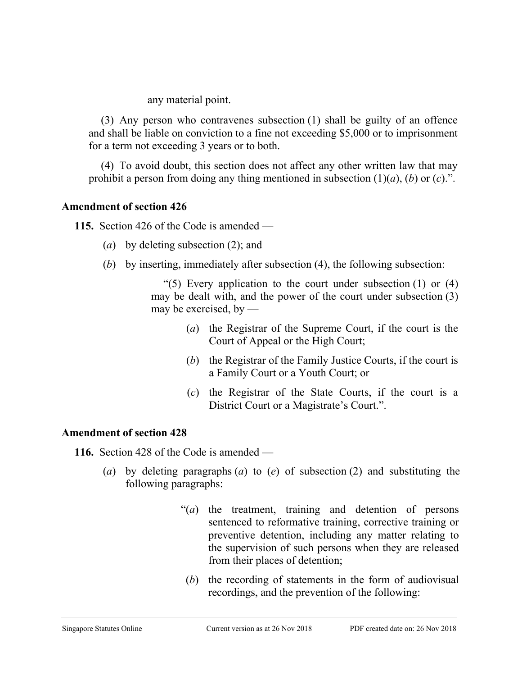any material point.

(3) Any person who contravenes subsection (1) shall be guilty of an offence and shall be liable on conviction to a fine not exceeding \$5,000 or to imprisonment for a term not exceeding 3 years or to both.

(4) To avoid doubt, this section does not affect any other written law that may prohibit a person from doing any thing mentioned in subsection (1)(*a*), (*b*) or (*c*).".

#### **Amendment of section 426**

**115.** Section 426 of the Code is amended —

- (*a*) by deleting subsection (2); and
- (*b*) by inserting, immediately after subsection (4), the following subsection:

"(5) Every application to the court under subsection  $(1)$  or  $(4)$ may be dealt with, and the power of the court under subsection (3) may be exercised, by —

- (*a*) the Registrar of the Supreme Court, if the court is the Court of Appeal or the High Court;
- (*b*) the Registrar of the Family Justice Courts, if the court is a Family Court or a Youth Court; or
- (*c*) the Registrar of the State Courts, if the court is a District Court or a Magistrate's Court.".

# **Amendment of section 428**

**116.** Section 428 of the Code is amended —

- (*a*) by deleting paragraphs (*a*) to (*e*) of subsection (2) and substituting the following paragraphs:
	- "(*a*) the treatment, training and detention of persons sentenced to reformative training, corrective training or preventive detention, including any matter relating to the supervision of such persons when they are released from their places of detention;
	- (*b*) the recording of statements in the form of audiovisual recordings, and the prevention of the following: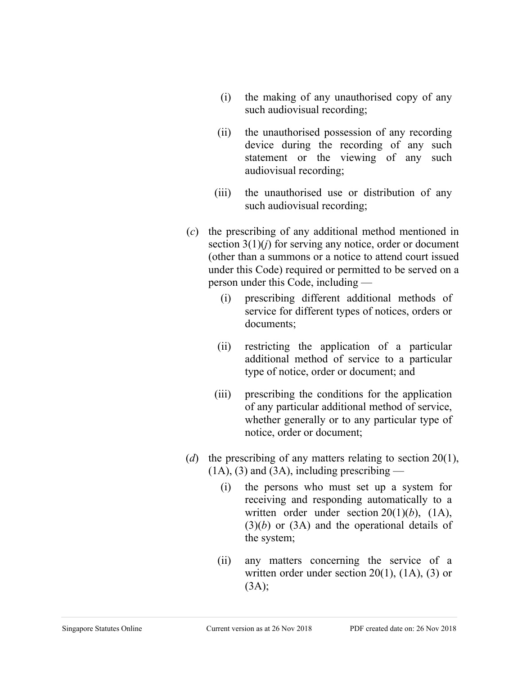- (i) the making of any unauthorised copy of any such audiovisual recording;
- (ii) the unauthorised possession of any recording device during the recording of any such statement or the viewing of any such audiovisual recording;
- (iii) the unauthorised use or distribution of any such audiovisual recording;
- (*c*) the prescribing of any additional method mentioned in section 3(1)(*j*) for serving any notice, order or document (other than a summons or a notice to attend court issued under this Code) required or permitted to be served on a person under this Code, including —
	- (i) prescribing different additional methods of service for different types of notices, orders or documents;
	- (ii) restricting the application of a particular additional method of service to a particular type of notice, order or document; and
	- (iii) prescribing the conditions for the application of any particular additional method of service, whether generally or to any particular type of notice, order or document;
- (*d*) the prescribing of any matters relating to section 20(1),  $(1A)$ ,  $(3)$  and  $(3A)$ , including prescribing —
	- (i) the persons who must set up a system for receiving and responding automatically to a written order under section 20(1)(*b*), (1A), (3)(*b*) or (3A) and the operational details of the system;
	- (ii) any matters concerning the service of a written order under section  $20(1)$ ,  $(1A)$ ,  $(3)$  or  $(3A);$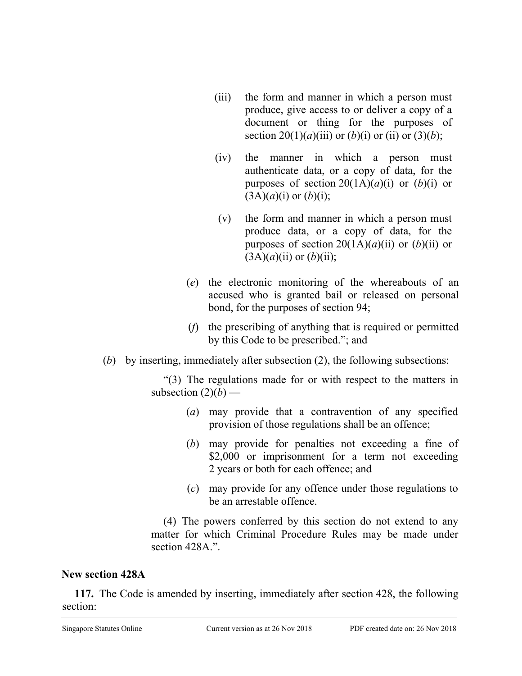- (iii) the form and manner in which a person must produce, give access to or deliver a copy of a document or thing for the purposes of section 20(1)(*a*)(iii) or (*b*)(*i*) or (ii) or (3)(*b*);
- (iv) the manner in which a person must authenticate data, or a copy of data, for the purposes of section  $20(1A)(a)(i)$  or  $(b)(i)$  or  $(3A)(a)(i)$  or  $(b)(i)$ ;
- (v) the form and manner in which a person must produce data, or a copy of data, for the purposes of section  $20(1A)(a)(ii)$  or  $(b)(ii)$  or  $(3A)(a)(ii)$  or  $(b)(ii)$ ;
- (*e*) the electronic monitoring of the whereabouts of an accused who is granted bail or released on personal bond, for the purposes of section 94;
- (*f*) the prescribing of anything that is required or permitted by this Code to be prescribed."; and
- (*b*) by inserting, immediately after subsection (2), the following subsections:

"(3) The regulations made for or with respect to the matters in subsection  $(2)(b)$  —

- (*a*) may provide that a contravention of any specified provision of those regulations shall be an offence;
- (*b*) may provide for penalties not exceeding a fine of \$2,000 or imprisonment for a term not exceeding 2 years or both for each offence; and
- (*c*) may provide for any offence under those regulations to be an arrestable offence.

(4) The powers conferred by this section do not extend to any matter for which Criminal Procedure Rules may be made under section 428A.".

# **New section 428A**

**117.** The Code is amended by inserting, immediately after section 428, the following section: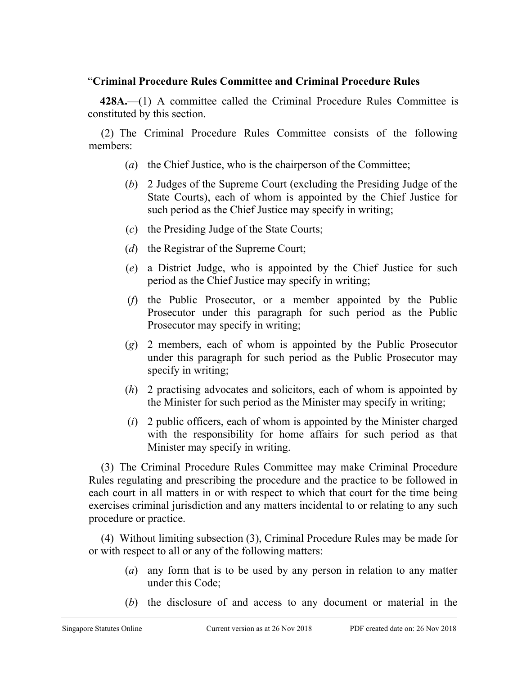# "**Criminal Procedure Rules Committee and Criminal Procedure Rules**

**428A.**—(1) A committee called the Criminal Procedure Rules Committee is constituted by this section.

(2) The Criminal Procedure Rules Committee consists of the following members:

- (*a*) the Chief Justice, who is the chairperson of the Committee;
- (*b*) 2 Judges of the Supreme Court (excluding the Presiding Judge of the State Courts), each of whom is appointed by the Chief Justice for such period as the Chief Justice may specify in writing;
- (*c*) the Presiding Judge of the State Courts;
- (*d*) the Registrar of the Supreme Court;
- (*e*) a District Judge, who is appointed by the Chief Justice for such period as the Chief Justice may specify in writing;
- (*f*) the Public Prosecutor, or a member appointed by the Public Prosecutor under this paragraph for such period as the Public Prosecutor may specify in writing;
- (*g*) 2 members, each of whom is appointed by the Public Prosecutor under this paragraph for such period as the Public Prosecutor may specify in writing;
- (*h*) 2 practising advocates and solicitors, each of whom is appointed by the Minister for such period as the Minister may specify in writing;
- (*i*) 2 public officers, each of whom is appointed by the Minister charged with the responsibility for home affairs for such period as that Minister may specify in writing.

(3) The Criminal Procedure Rules Committee may make Criminal Procedure Rules regulating and prescribing the procedure and the practice to be followed in each court in all matters in or with respect to which that court for the time being exercises criminal jurisdiction and any matters incidental to or relating to any such procedure or practice.

(4) Without limiting subsection (3), Criminal Procedure Rules may be made for or with respect to all or any of the following matters:

- (*a*) any form that is to be used by any person in relation to any matter under this Code;
- (*b*) the disclosure of and access to any document or material in the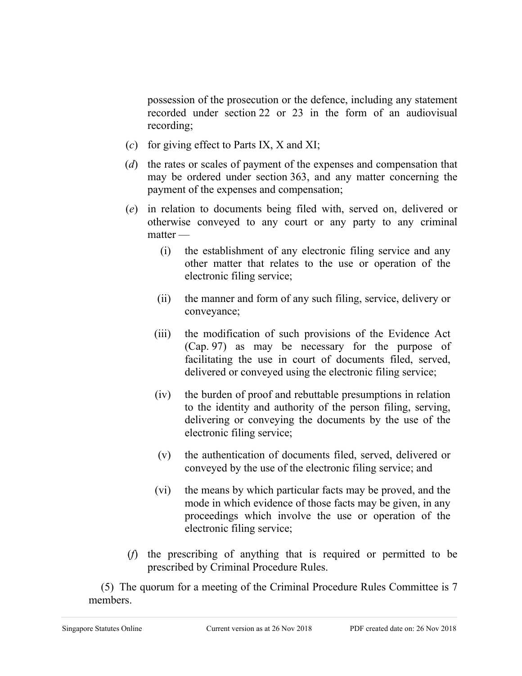possession of the prosecution or the defence, including any statement recorded under section 22 or 23 in the form of an audiovisual recording;

- (*c*) for giving effect to Parts IX, X and XI;
- (*d*) the rates or scales of payment of the expenses and compensation that may be ordered under section 363, and any matter concerning the payment of the expenses and compensation;
- (*e*) in relation to documents being filed with, served on, delivered or otherwise conveyed to any court or any party to any criminal matter —
	- (i) the establishment of any electronic filing service and any other matter that relates to the use or operation of the electronic filing service;
	- (ii) the manner and form of any such filing, service, delivery or conveyance;
	- (iii) the modification of such provisions of the Evidence Act (Cap. 97) as may be necessary for the purpose of facilitating the use in court of documents filed, served, delivered or conveyed using the electronic filing service;
	- (iv) the burden of proof and rebuttable presumptions in relation to the identity and authority of the person filing, serving, delivering or conveying the documents by the use of the electronic filing service;
	- (v) the authentication of documents filed, served, delivered or conveyed by the use of the electronic filing service; and
	- (vi) the means by which particular facts may be proved, and the mode in which evidence of those facts may be given, in any proceedings which involve the use or operation of the electronic filing service;
- (*f*) the prescribing of anything that is required or permitted to be prescribed by Criminal Procedure Rules.

(5) The quorum for a meeting of the Criminal Procedure Rules Committee is 7 members.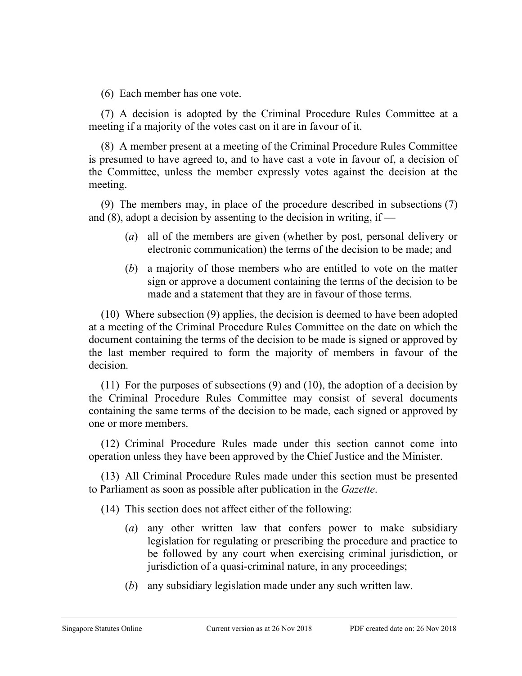(6) Each member has one vote.

(7) A decision is adopted by the Criminal Procedure Rules Committee at a meeting if a majority of the votes cast on it are in favour of it.

(8) A member present at a meeting of the Criminal Procedure Rules Committee is presumed to have agreed to, and to have cast a vote in favour of, a decision of the Committee, unless the member expressly votes against the decision at the meeting.

(9) The members may, in place of the procedure described in subsections (7) and  $(8)$ , adopt a decision by assenting to the decision in writing, if —

- (*a*) all of the members are given (whether by post, personal delivery or electronic communication) the terms of the decision to be made; and
- (*b*) a majority of those members who are entitled to vote on the matter sign or approve a document containing the terms of the decision to be made and a statement that they are in favour of those terms.

(10) Where subsection (9) applies, the decision is deemed to have been adopted at a meeting of the Criminal Procedure Rules Committee on the date on which the document containing the terms of the decision to be made is signed or approved by the last member required to form the majority of members in favour of the decision.

(11) For the purposes of subsections (9) and (10), the adoption of a decision by the Criminal Procedure Rules Committee may consist of several documents containing the same terms of the decision to be made, each signed or approved by one or more members.

(12) Criminal Procedure Rules made under this section cannot come into operation unless they have been approved by the Chief Justice and the Minister.

(13) All Criminal Procedure Rules made under this section must be presented to Parliament as soon as possible after publication in the *Gazette*.

(14) This section does not affect either of the following:

- (*a*) any other written law that confers power to make subsidiary legislation for regulating or prescribing the procedure and practice to be followed by any court when exercising criminal jurisdiction, or jurisdiction of a quasi-criminal nature, in any proceedings;
- (*b*) any subsidiary legislation made under any such written law.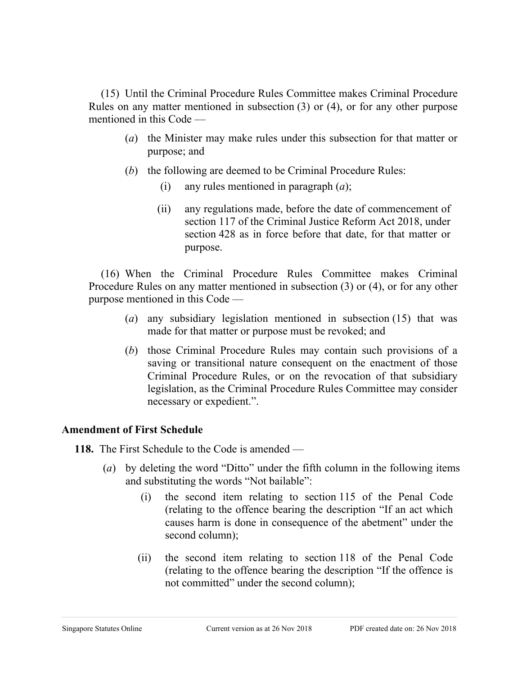(15) Until the Criminal Procedure Rules Committee makes Criminal Procedure Rules on any matter mentioned in subsection (3) or (4), or for any other purpose mentioned in this Code —

- (*a*) the Minister may make rules under this subsection for that matter or purpose; and
- (*b*) the following are deemed to be Criminal Procedure Rules:
	- (i) any rules mentioned in paragraph (*a*);
	- (ii) any regulations made, before the date of commencement of section 117 of the Criminal Justice Reform Act 2018, under section 428 as in force before that date, for that matter or purpose.

(16) When the Criminal Procedure Rules Committee makes Criminal Procedure Rules on any matter mentioned in subsection (3) or (4), or for any other purpose mentioned in this Code —

- (*a*) any subsidiary legislation mentioned in subsection (15) that was made for that matter or purpose must be revoked; and
- (*b*) those Criminal Procedure Rules may contain such provisions of a saving or transitional nature consequent on the enactment of those Criminal Procedure Rules, or on the revocation of that subsidiary legislation, as the Criminal Procedure Rules Committee may consider necessary or expedient.".

# **Amendment of First Schedule**

**118.** The First Schedule to the Code is amended —

- (*a*) by deleting the word "Ditto" under the fifth column in the following items and substituting the words "Not bailable":
	- (i) the second item relating to section 115 of the Penal Code (relating to the offence bearing the description "If an act which causes harm is done in consequence of the abetment" under the second column);
	- (ii) the second item relating to section 118 of the Penal Code (relating to the offence bearing the description "If the offence is not committed" under the second column);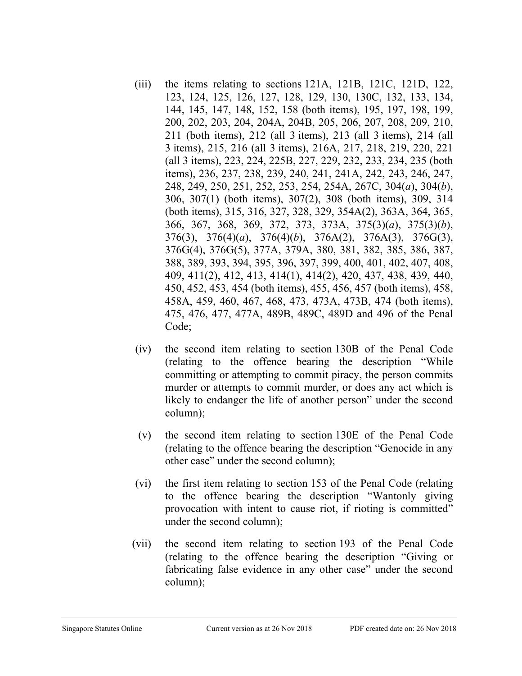- (iii) the items relating to sections 121A, 121B, 121C, 121D, 122, 123, 124, 125, 126, 127, 128, 129, 130, 130C, 132, 133, 134, 144, 145, 147, 148, 152, 158 (both items), 195, 197, 198, 199, 200, 202, 203, 204, 204A, 204B, 205, 206, 207, 208, 209, 210, 211 (both items), 212 (all 3 items), 213 (all 3 items), 214 (all 3 items), 215, 216 (all 3 items), 216A, 217, 218, 219, 220, 221 (all 3 items), 223, 224, 225B, 227, 229, 232, 233, 234, 235 (both items), 236, 237, 238, 239, 240, 241, 241A, 242, 243, 246, 247, 248, 249, 250, 251, 252, 253, 254, 254A, 267C, 304(*a*), 304(*b*), 306, 307(1) (both items), 307(2), 308 (both items), 309, 314 (both items), 315, 316, 327, 328, 329, 354A(2), 363A, 364, 365, 366, 367, 368, 369, 372, 373, 373A, 375(3)(*a*), 375(3)(*b*), 376(3), 376(4)(*a*), 376(4)(*b*), 376A(2), 376A(3), 376G(3), 376G(4), 376G(5), 377A, 379A, 380, 381, 382, 385, 386, 387, 388, 389, 393, 394, 395, 396, 397, 399, 400, 401, 402, 407, 408, 409, 411(2), 412, 413, 414(1), 414(2), 420, 437, 438, 439, 440, 450, 452, 453, 454 (both items), 455, 456, 457 (both items), 458, 458A, 459, 460, 467, 468, 473, 473A, 473B, 474 (both items), 475, 476, 477, 477A, 489B, 489C, 489D and 496 of the Penal Code;
- (iv) the second item relating to section 130B of the Penal Code (relating to the offence bearing the description "While committing or attempting to commit piracy, the person commits murder or attempts to commit murder, or does any act which is likely to endanger the life of another person" under the second column);
- (v) the second item relating to section 130E of the Penal Code (relating to the offence bearing the description "Genocide in any other case" under the second column);
- (vi) the first item relating to section 153 of the Penal Code (relating to the offence bearing the description "Wantonly giving provocation with intent to cause riot, if rioting is committed" under the second column);
- (vii) the second item relating to section 193 of the Penal Code (relating to the offence bearing the description "Giving or fabricating false evidence in any other case" under the second column);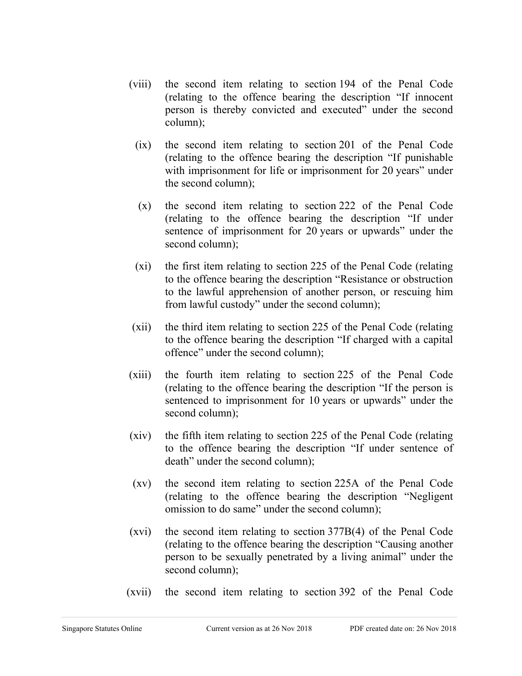- (viii) the second item relating to section 194 of the Penal Code (relating to the offence bearing the description "If innocent person is thereby convicted and executed" under the second column);
	- (ix) the second item relating to section 201 of the Penal Code (relating to the offence bearing the description "If punishable with imprisonment for life or imprisonment for 20 years" under the second column);
	- (x) the second item relating to section 222 of the Penal Code (relating to the offence bearing the description "If under sentence of imprisonment for 20 years or upwards" under the second column);
	- (xi) the first item relating to section 225 of the Penal Code (relating to the offence bearing the description "Resistance or obstruction to the lawful apprehension of another person, or rescuing him from lawful custody" under the second column);
- (xii) the third item relating to section 225 of the Penal Code (relating to the offence bearing the description "If charged with a capital offence" under the second column);
- (xiii) the fourth item relating to section 225 of the Penal Code (relating to the offence bearing the description "If the person is sentenced to imprisonment for 10 years or upwards" under the second column);
- (xiv) the fifth item relating to section 225 of the Penal Code (relating to the offence bearing the description "If under sentence of death" under the second column);
- (xv) the second item relating to section 225A of the Penal Code (relating to the offence bearing the description "Negligent omission to do same" under the second column);
- (xvi) the second item relating to section 377B(4) of the Penal Code (relating to the offence bearing the description "Causing another person to be sexually penetrated by a living animal" under the second column);
- (xvii) the second item relating to section 392 of the Penal Code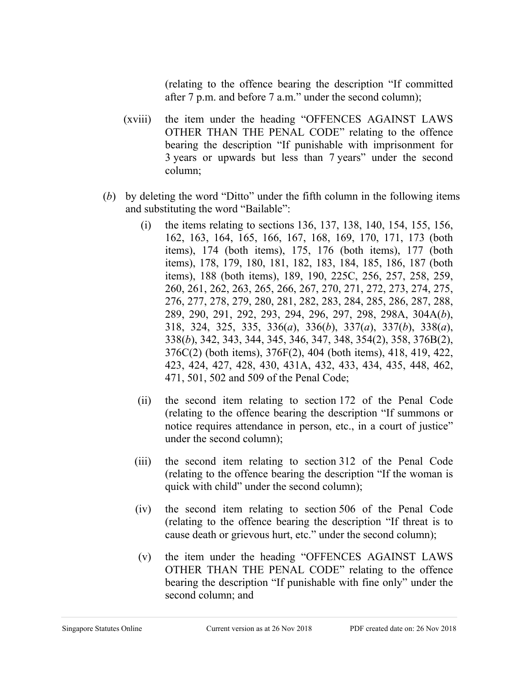(relating to the offence bearing the description "If committed after 7 p.m. and before 7 a.m." under the second column);

- (xviii) the item under the heading "OFFENCES AGAINST LAWS OTHER THAN THE PENAL CODE" relating to the offence bearing the description "If punishable with imprisonment for 3 years or upwards but less than 7 years" under the second column;
- (*b*) by deleting the word "Ditto" under the fifth column in the following items and substituting the word "Bailable":
	- (i) the items relating to sections 136, 137, 138, 140, 154, 155, 156, 162, 163, 164, 165, 166, 167, 168, 169, 170, 171, 173 (both items), 174 (both items), 175, 176 (both items), 177 (both items), 178, 179, 180, 181, 182, 183, 184, 185, 186, 187 (both items), 188 (both items), 189, 190, 225C, 256, 257, 258, 259, 260, 261, 262, 263, 265, 266, 267, 270, 271, 272, 273, 274, 275, 276, 277, 278, 279, 280, 281, 282, 283, 284, 285, 286, 287, 288, 289, 290, 291, 292, 293, 294, 296, 297, 298, 298A, 304A(*b*), 318, 324, 325, 335, 336(*a*), 336(*b*), 337(*a*), 337(*b*), 338(*a*), 338(*b*), 342, 343, 344, 345, 346, 347, 348, 354(2), 358, 376B(2), 376C(2) (both items), 376F(2), 404 (both items), 418, 419, 422, 423, 424, 427, 428, 430, 431A, 432, 433, 434, 435, 448, 462, 471, 501, 502 and 509 of the Penal Code;
	- (ii) the second item relating to section 172 of the Penal Code (relating to the offence bearing the description "If summons or notice requires attendance in person, etc., in a court of justice" under the second column);
	- (iii) the second item relating to section 312 of the Penal Code (relating to the offence bearing the description "If the woman is quick with child" under the second column);
	- (iv) the second item relating to section 506 of the Penal Code (relating to the offence bearing the description "If threat is to cause death or grievous hurt, etc." under the second column);
	- (v) the item under the heading "OFFENCES AGAINST LAWS OTHER THAN THE PENAL CODE" relating to the offence bearing the description "If punishable with fine only" under the second column; and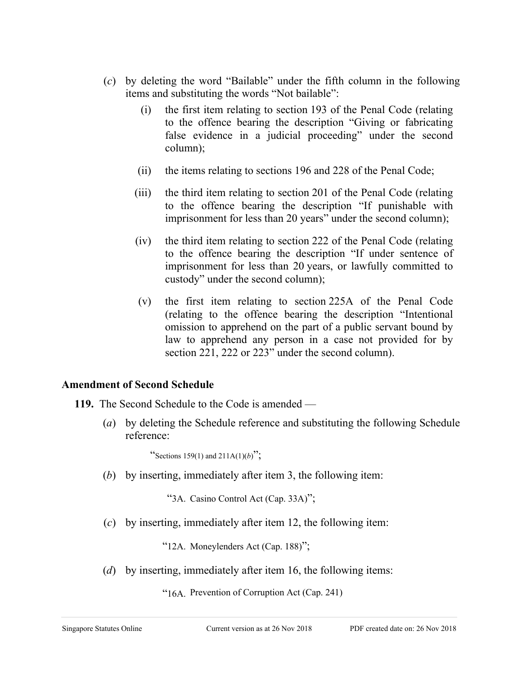- (*c*) by deleting the word "Bailable" under the fifth column in the following items and substituting the words "Not bailable":
	- (i) the first item relating to section 193 of the Penal Code (relating to the offence bearing the description "Giving or fabricating false evidence in a judicial proceeding" under the second column);
	- (ii) the items relating to sections 196 and 228 of the Penal Code;
	- (iii) the third item relating to section 201 of the Penal Code (relating to the offence bearing the description "If punishable with imprisonment for less than 20 years" under the second column);
	- (iv) the third item relating to section 222 of the Penal Code (relating to the offence bearing the description "If under sentence of imprisonment for less than 20 years, or lawfully committed to custody" under the second column);
	- (v) the first item relating to section 225A of the Penal Code (relating to the offence bearing the description "Intentional omission to apprehend on the part of a public servant bound by law to apprehend any person in a case not provided for by section 221, 222 or 223" under the second column).

# **Amendment of Second Schedule**

**119.** The Second Schedule to the Code is amended —

(*a*) by deleting the Schedule reference and substituting the following Schedule reference:

"Sections 159(1) and  $211A(1)(b)$ ";

(*b*) by inserting, immediately after item 3, the following item:

"3A. Casino Control Act (Cap. 33A)";

(*c*) by inserting, immediately after item 12, the following item:

"12A. Moneylenders Act (Cap. 188)";

(*d*) by inserting, immediately after item 16, the following items:

"16A. Prevention of Corruption Act (Cap. 241)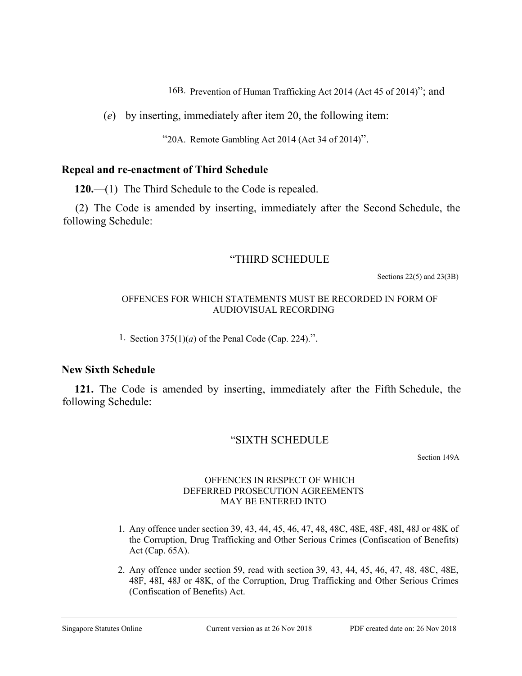16B. Prevention of Human Trafficking Act 2014 (Act 45 of 2014)"; and

(*e*) by inserting, immediately after item 20, the following item:

"20A. Remote Gambling Act 2014 (Act 34 of 2014)".

# **Repeal and re-enactment of Third Schedule**

**120.**—(1) The Third Schedule to the Code is repealed.

(2) The Code is amended by inserting, immediately after the Second Schedule, the following Schedule:

# "THIRD SCHEDULE

Sections 22(5) and 23(3B)

#### OFFENCES FOR WHICH STATEMENTS MUST BE RECORDED IN FORM OF AUDIOVISUAL RECORDING

1. Section  $375(1)(a)$  of the Penal Code (Cap. 224).".

# **New Sixth Schedule**

**121.** The Code is amended by inserting, immediately after the Fifth Schedule, the following Schedule:

# "SIXTH SCHEDULE

Section 149A

#### OFFENCES IN RESPECT OF WHICH DEFERRED PROSECUTION AGREEMENTS MAY BE ENTERED INTO

- 1. Any offence under section 39, 43, 44, 45, 46, 47, 48, 48C, 48E, 48F, 48I, 48J or 48K of the Corruption, Drug Trafficking and Other Serious Crimes (Confiscation of Benefits) Act (Cap. 65A).
- 2. Any offence under section 59, read with section 39, 43, 44, 45, 46, 47, 48, 48C, 48E, 48F, 48I, 48J or 48K, of the Corruption, Drug Trafficking and Other Serious Crimes (Confiscation of Benefits) Act.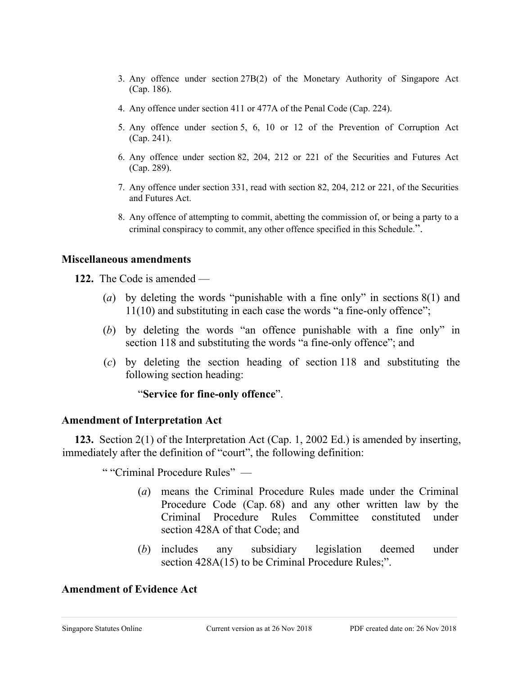- 3. Any offence under section 27B(2) of the Monetary Authority of Singapore Act (Cap. 186).
- 4. Any offence under section 411 or 477A of the Penal Code (Cap. 224).
- 5. Any offence under section 5, 6, 10 or 12 of the Prevention of Corruption Act (Cap. 241).
- 6. Any offence under section 82, 204, 212 or 221 of the Securities and Futures Act (Cap. 289).
- 7. Any offence under section 331, read with section 82, 204, 212 or 221, of the Securities and Futures Act.
- 8. Any offence of attempting to commit, abetting the commission of, or being a party to a criminal conspiracy to commit, any other offence specified in this Schedule.".

#### **Miscellaneous amendments**

**122.** The Code is amended —

- (*a*) by deleting the words "punishable with a fine only" in sections 8(1) and 11(10) and substituting in each case the words "a fine-only offence";
- (*b*) by deleting the words "an offence punishable with a fine only" in section 118 and substituting the words "a fine-only offence"; and
- (*c*) by deleting the section heading of section 118 and substituting the following section heading:

#### "**Service for fine-only offence**".

#### **Amendment of Interpretation Act**

**123.** Section 2(1) of the Interpretation Act (Cap. 1, 2002 Ed.) is amended by inserting, immediately after the definition of "court", the following definition:

" "Criminal Procedure Rules" —

- (*a*) means the Criminal Procedure Rules made under the Criminal Procedure Code (Cap. 68) and any other written law by the Criminal Procedure Rules Committee constituted under section 428A of that Code; and
- (*b*) includes any subsidiary legislation deemed under section  $428A(15)$  to be Criminal Procedure Rules;".

#### **Amendment of Evidence Act**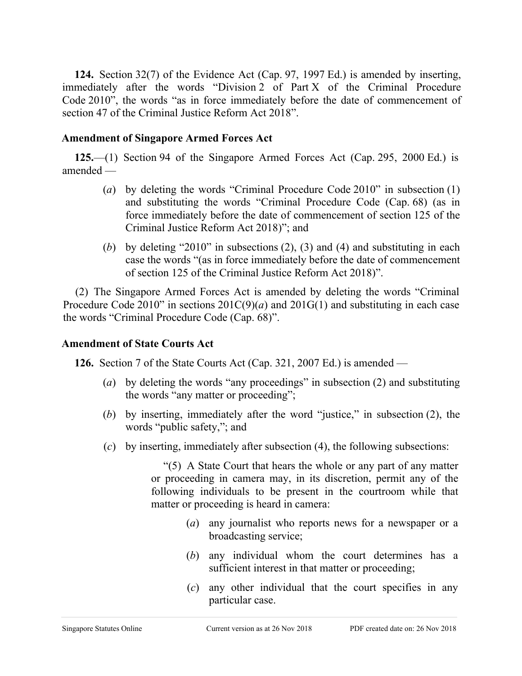**124.** Section 32(7) of the Evidence Act (Cap. 97, 1997 Ed.) is amended by inserting, immediately after the words "Division 2 of Part X of the Criminal Procedure Code 2010", the words "as in force immediately before the date of commencement of section 47 of the Criminal Justice Reform Act 2018".

# **Amendment of Singapore Armed Forces Act**

**125.**—(1) Section 94 of the Singapore Armed Forces Act (Cap. 295, 2000 Ed.) is amended —

- (*a*) by deleting the words "Criminal Procedure Code 2010" in subsection (1) and substituting the words "Criminal Procedure Code (Cap. 68) (as in force immediately before the date of commencement of section 125 of the Criminal Justice Reform Act 2018)"; and
- (*b*) by deleting "2010" in subsections (2), (3) and (4) and substituting in each case the words "(as in force immediately before the date of commencement of section 125 of the Criminal Justice Reform Act 2018)".

(2) The Singapore Armed Forces Act is amended by deleting the words "Criminal Procedure Code 2010" in sections  $201C(9)(a)$  and  $201G(1)$  and substituting in each case the words "Criminal Procedure Code (Cap. 68)".

# **Amendment of State Courts Act**

**126.** Section 7 of the State Courts Act (Cap. 321, 2007 Ed.) is amended —

- (*a*) by deleting the words "any proceedings" in subsection (2) and substituting the words "any matter or proceeding";
- (*b*) by inserting, immediately after the word "justice," in subsection (2), the words "public safety,"; and
- (*c*) by inserting, immediately after subsection (4), the following subsections:

"(5) A State Court that hears the whole or any part of any matter or proceeding in camera may, in its discretion, permit any of the following individuals to be present in the courtroom while that matter or proceeding is heard in camera:

- (*a*) any journalist who reports news for a newspaper or a broadcasting service;
- (*b*) any individual whom the court determines has a sufficient interest in that matter or proceeding;
- (*c*) any other individual that the court specifies in any particular case.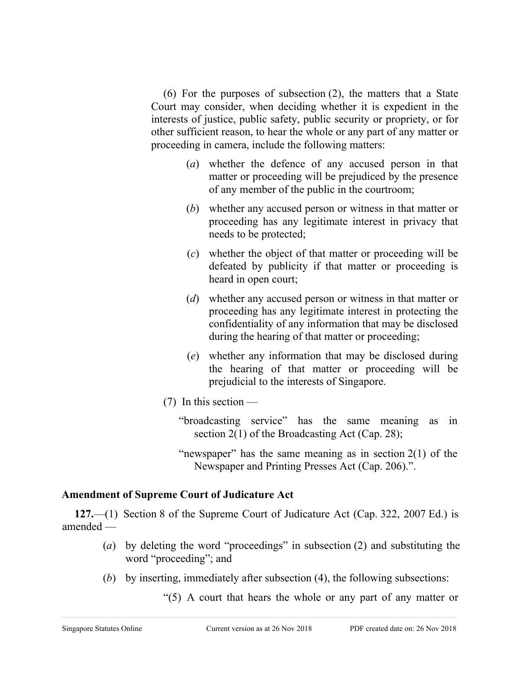(6) For the purposes of subsection (2), the matters that a State Court may consider, when deciding whether it is expedient in the interests of justice, public safety, public security or propriety, or for other sufficient reason, to hear the whole or any part of any matter or proceeding in camera, include the following matters:

- (*a*) whether the defence of any accused person in that matter or proceeding will be prejudiced by the presence of any member of the public in the courtroom;
- (*b*) whether any accused person or witness in that matter or proceeding has any legitimate interest in privacy that needs to be protected;
- (*c*) whether the object of that matter or proceeding will be defeated by publicity if that matter or proceeding is heard in open court;
- (*d*) whether any accused person or witness in that matter or proceeding has any legitimate interest in protecting the confidentiality of any information that may be disclosed during the hearing of that matter or proceeding;
- (*e*) whether any information that may be disclosed during the hearing of that matter or proceeding will be prejudicial to the interests of Singapore.
- $(7)$  In this section
	- "broadcasting service" has the same meaning as in section 2(1) of the Broadcasting Act (Cap. 28);
	- "newspaper" has the same meaning as in section  $2(1)$  of the Newspaper and Printing Presses Act (Cap. 206).".

# **Amendment of Supreme Court of Judicature Act**

**127.**—(1) Section 8 of the Supreme Court of Judicature Act (Cap. 322, 2007 Ed.) is amended —

- (*a*) by deleting the word "proceedings" in subsection (2) and substituting the word "proceeding"; and
- (*b*) by inserting, immediately after subsection (4), the following subsections:
	- "(5) A court that hears the whole or any part of any matter or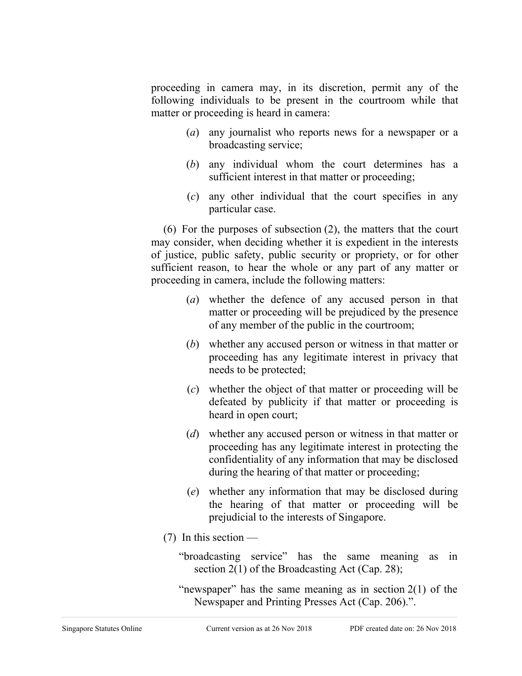proceeding in camera may, in its discretion, permit any of the following individuals to be present in the courtroom while that matter or proceeding is heard in camera:

- (*a*) any journalist who reports news for a newspaper or a broadcasting service;
- (*b*) any individual whom the court determines has a sufficient interest in that matter or proceeding;
- (*c*) any other individual that the court specifies in any particular case.

(6) For the purposes of subsection (2), the matters that the court may consider, when deciding whether it is expedient in the interests of justice, public safety, public security or propriety, or for other sufficient reason, to hear the whole or any part of any matter or proceeding in camera, include the following matters:

- (*a*) whether the defence of any accused person in that matter or proceeding will be prejudiced by the presence of any member of the public in the courtroom;
- (*b*) whether any accused person or witness in that matter or proceeding has any legitimate interest in privacy that needs to be protected;
- (*c*) whether the object of that matter or proceeding will be defeated by publicity if that matter or proceeding is heard in open court;
- (*d*) whether any accused person or witness in that matter or proceeding has any legitimate interest in protecting the confidentiality of any information that may be disclosed during the hearing of that matter or proceeding;
- (*e*) whether any information that may be disclosed during the hearing of that matter or proceeding will be prejudicial to the interests of Singapore.
- $(7)$  In this section
	- "broadcasting service" has the same meaning as in section 2(1) of the Broadcasting Act (Cap. 28);

"newspaper" has the same meaning as in section  $2(1)$  of the Newspaper and Printing Presses Act (Cap. 206).".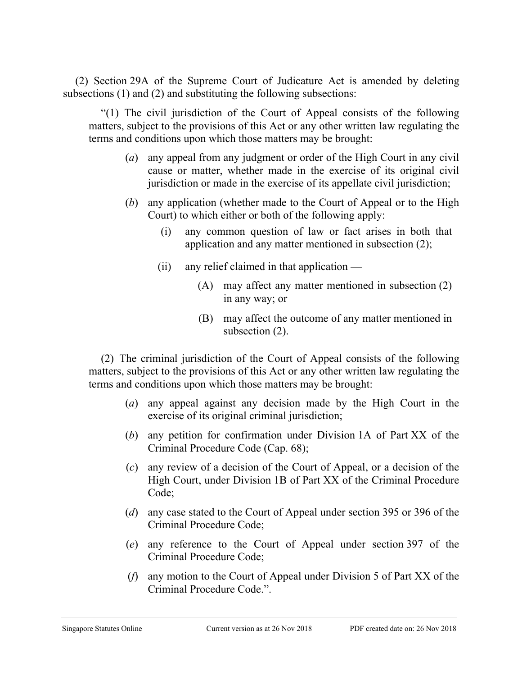(2) Section 29A of the Supreme Court of Judicature Act is amended by deleting subsections (1) and (2) and substituting the following subsections:

"(1) The civil jurisdiction of the Court of Appeal consists of the following matters, subject to the provisions of this Act or any other written law regulating the terms and conditions upon which those matters may be brought:

- (*a*) any appeal from any judgment or order of the High Court in any civil cause or matter, whether made in the exercise of its original civil jurisdiction or made in the exercise of its appellate civil jurisdiction;
- (*b*) any application (whether made to the Court of Appeal or to the High Court) to which either or both of the following apply:
	- (i) any common question of law or fact arises in both that application and any matter mentioned in subsection (2);
	- $(ii)$  any relief claimed in that application
		- (A) may affect any matter mentioned in subsection (2) in any way; or
		- (B) may affect the outcome of any matter mentioned in subsection (2).

(2) The criminal jurisdiction of the Court of Appeal consists of the following matters, subject to the provisions of this Act or any other written law regulating the terms and conditions upon which those matters may be brought:

- (*a*) any appeal against any decision made by the High Court in the exercise of its original criminal jurisdiction;
- (*b*) any petition for confirmation under Division 1A of Part XX of the Criminal Procedure Code (Cap. 68);
- (*c*) any review of a decision of the Court of Appeal, or a decision of the High Court, under Division 1B of Part XX of the Criminal Procedure Code;
- (*d*) any case stated to the Court of Appeal under section 395 or 396 of the Criminal Procedure Code;
- (*e*) any reference to the Court of Appeal under section 397 of the Criminal Procedure Code;
- (*f*) any motion to the Court of Appeal under Division 5 of Part XX of the Criminal Procedure Code.".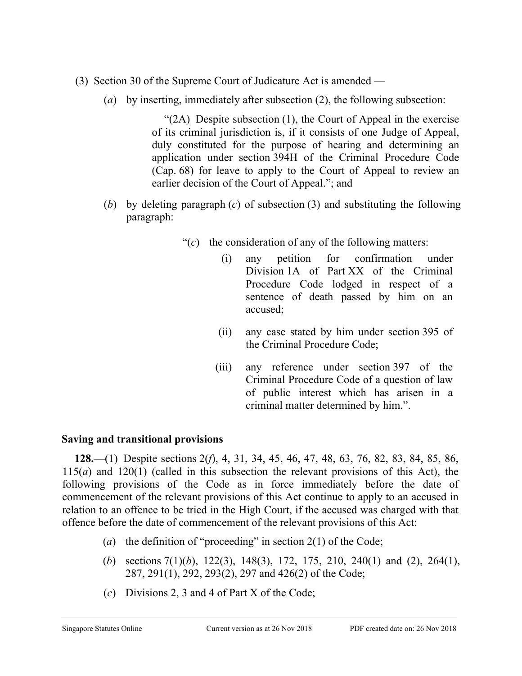- (3) Section 30 of the Supreme Court of Judicature Act is amended
	- (*a*) by inserting, immediately after subsection (2), the following subsection:

"(2A) Despite subsection (1), the Court of Appeal in the exercise of its criminal jurisdiction is, if it consists of one Judge of Appeal, duly constituted for the purpose of hearing and determining an application under section 394H of the Criminal Procedure Code (Cap. 68) for leave to apply to the Court of Appeal to review an earlier decision of the Court of Appeal."; and

- (*b*) by deleting paragraph (*c*) of subsection (3) and substituting the following paragraph:
	- "(*c*) the consideration of any of the following matters:
		- (i) any petition for confirmation under Division 1A of Part XX of the Criminal Procedure Code lodged in respect of a sentence of death passed by him on an accused;
		- (ii) any case stated by him under section 395 of the Criminal Procedure Code;
		- (iii) any reference under section 397 of the Criminal Procedure Code of a question of law of public interest which has arisen in a criminal matter determined by him.".

## **Saving and transitional provisions**

**128.**—(1) Despite sections 2(*f*), 4, 31, 34, 45, 46, 47, 48, 63, 76, 82, 83, 84, 85, 86, 115(*a*) and 120(1) (called in this subsection the relevant provisions of this Act), the following provisions of the Code as in force immediately before the date of commencement of the relevant provisions of this Act continue to apply to an accused in relation to an offence to be tried in the High Court, if the accused was charged with that offence before the date of commencement of the relevant provisions of this Act:

- (*a*) the definition of "proceeding" in section 2(1) of the Code;
- (*b*) sections 7(1)(*b*), 122(3), 148(3), 172, 175, 210, 240(1) and (2), 264(1), 287, 291(1), 292, 293(2), 297 and 426(2) of the Code;
- (*c*) Divisions 2, 3 and 4 of Part X of the Code;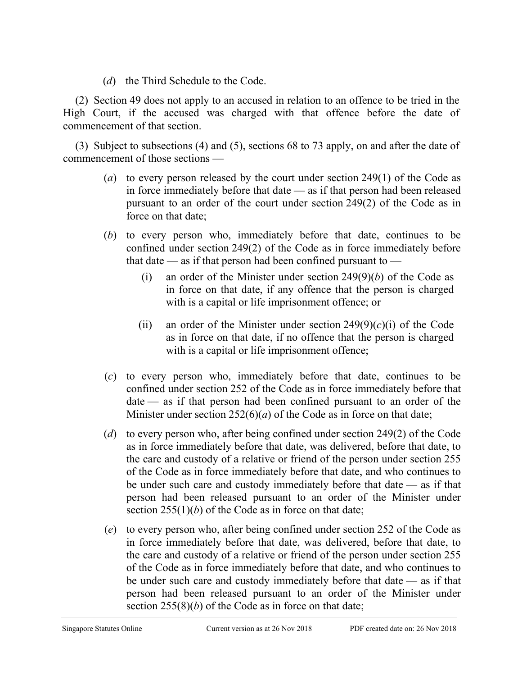(*d*) the Third Schedule to the Code.

(2) Section 49 does not apply to an accused in relation to an offence to be tried in the High Court, if the accused was charged with that offence before the date of commencement of that section.

(3) Subject to subsections (4) and (5), sections 68 to 73 apply, on and after the date of commencement of those sections —

- (*a*) to every person released by the court under section 249(1) of the Code as in force immediately before that date — as if that person had been released pursuant to an order of the court under section 249(2) of the Code as in force on that date;
- (*b*) to every person who, immediately before that date, continues to be confined under section 249(2) of the Code as in force immediately before that date — as if that person had been confined pursuant to —
	- (i) an order of the Minister under section 249(9)(*b*) of the Code as in force on that date, if any offence that the person is charged with is a capital or life imprisonment offence; or
	- (ii) an order of the Minister under section  $249(9)(c)(i)$  of the Code as in force on that date, if no offence that the person is charged with is a capital or life imprisonment offence;
- (*c*) to every person who, immediately before that date, continues to be confined under section 252 of the Code as in force immediately before that date — as if that person had been confined pursuant to an order of the Minister under section  $252(6)(a)$  of the Code as in force on that date;
- (*d*) to every person who, after being confined under section 249(2) of the Code as in force immediately before that date, was delivered, before that date, to the care and custody of a relative or friend of the person under section 255 of the Code as in force immediately before that date, and who continues to be under such care and custody immediately before that date — as if that person had been released pursuant to an order of the Minister under section  $255(1)(b)$  of the Code as in force on that date;
- (*e*) to every person who, after being confined under section 252 of the Code as in force immediately before that date, was delivered, before that date, to the care and custody of a relative or friend of the person under section 255 of the Code as in force immediately before that date, and who continues to be under such care and custody immediately before that date — as if that person had been released pursuant to an order of the Minister under section 255(8)(*b*) of the Code as in force on that date;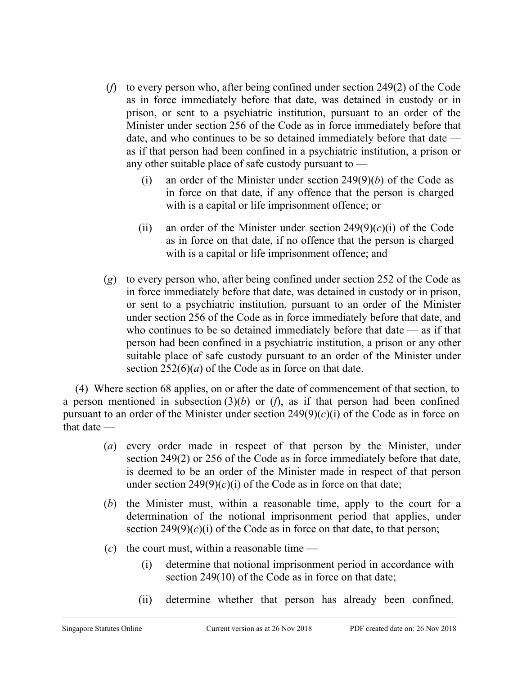- (*f*) to every person who, after being confined under section 249(2) of the Code as in force immediately before that date, was detained in custody or in prison, or sent to a psychiatric institution, pursuant to an order of the Minister under section 256 of the Code as in force immediately before that date, and who continues to be so detained immediately before that date as if that person had been confined in a psychiatric institution, a prison or any other suitable place of safe custody pursuant to —
	- (i) an order of the Minister under section 249(9)(*b*) of the Code as in force on that date, if any offence that the person is charged with is a capital or life imprisonment offence; or
	- (ii) an order of the Minister under section  $249(9)(c)(i)$  of the Code as in force on that date, if no offence that the person is charged with is a capital or life imprisonment offence; and
- (*g*) to every person who, after being confined under section 252 of the Code as in force immediately before that date, was detained in custody or in prison, or sent to a psychiatric institution, pursuant to an order of the Minister under section 256 of the Code as in force immediately before that date, and who continues to be so detained immediately before that date — as if that person had been confined in a psychiatric institution, a prison or any other suitable place of safe custody pursuant to an order of the Minister under section  $252(6)(a)$  of the Code as in force on that date.

(4) Where section 68 applies, on or after the date of commencement of that section, to a person mentioned in subsection  $(3)(b)$  or  $(f)$ , as if that person had been confined pursuant to an order of the Minister under section  $249(9)(c)(i)$  of the Code as in force on that date —

- (*a*) every order made in respect of that person by the Minister, under section 249(2) or 256 of the Code as in force immediately before that date, is deemed to be an order of the Minister made in respect of that person under section  $249(9)(c)(i)$  of the Code as in force on that date;
- (*b*) the Minister must, within a reasonable time, apply to the court for a determination of the notional imprisonment period that applies, under section  $249(9)(c)(i)$  of the Code as in force on that date, to that person;
- $(c)$  the court must, within a reasonable time
	- (i) determine that notional imprisonment period in accordance with section 249(10) of the Code as in force on that date;
	- (ii) determine whether that person has already been confined,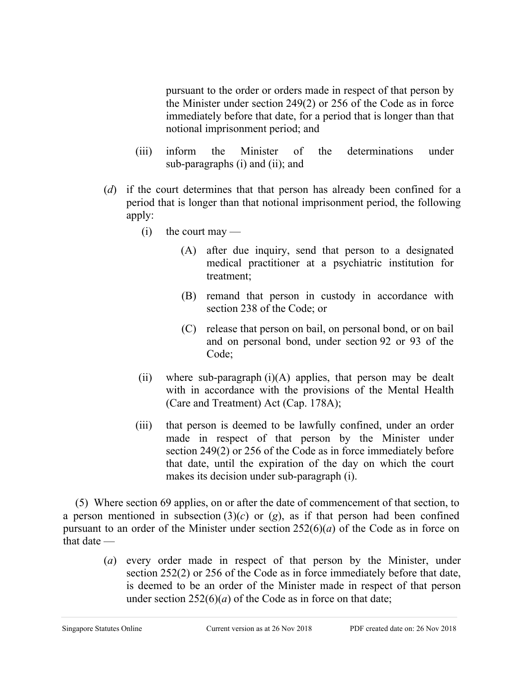pursuant to the order or orders made in respect of that person by the Minister under section 249(2) or 256 of the Code as in force immediately before that date, for a period that is longer than that notional imprisonment period; and

- (iii) inform the Minister of the determinations under sub-paragraphs (i) and (ii); and
- (*d*) if the court determines that that person has already been confined for a period that is longer than that notional imprisonment period, the following apply:
	- $(i)$  the court may
		- (A) after due inquiry, send that person to a designated medical practitioner at a psychiatric institution for treatment;
		- (B) remand that person in custody in accordance with section 238 of the Code; or
		- (C) release that person on bail, on personal bond, or on bail and on personal bond, under section 92 or 93 of the Code;
	- (ii) where sub-paragraph  $(i)(A)$  applies, that person may be dealt with in accordance with the provisions of the Mental Health (Care and Treatment) Act (Cap. 178A);
	- (iii) that person is deemed to be lawfully confined, under an order made in respect of that person by the Minister under section 249(2) or 256 of the Code as in force immediately before that date, until the expiration of the day on which the court makes its decision under sub-paragraph (i).

(5) Where section 69 applies, on or after the date of commencement of that section, to a person mentioned in subsection  $(3)(c)$  or  $(g)$ , as if that person had been confined pursuant to an order of the Minister under section 252(6)(*a*) of the Code as in force on that date —

> (*a*) every order made in respect of that person by the Minister, under section 252(2) or 256 of the Code as in force immediately before that date, is deemed to be an order of the Minister made in respect of that person under section  $252(6)(a)$  of the Code as in force on that date;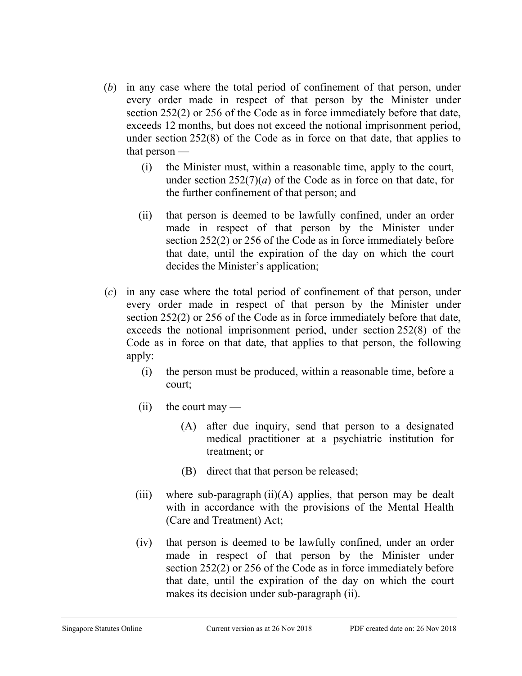- (*b*) in any case where the total period of confinement of that person, under every order made in respect of that person by the Minister under section 252(2) or 256 of the Code as in force immediately before that date, exceeds 12 months, but does not exceed the notional imprisonment period, under section 252(8) of the Code as in force on that date, that applies to that person —
	- (i) the Minister must, within a reasonable time, apply to the court, under section  $252(7)(a)$  of the Code as in force on that date, for the further confinement of that person; and
	- (ii) that person is deemed to be lawfully confined, under an order made in respect of that person by the Minister under section 252(2) or 256 of the Code as in force immediately before that date, until the expiration of the day on which the court decides the Minister's application;
- (*c*) in any case where the total period of confinement of that person, under every order made in respect of that person by the Minister under section 252(2) or 256 of the Code as in force immediately before that date, exceeds the notional imprisonment period, under section 252(8) of the Code as in force on that date, that applies to that person, the following apply:
	- (i) the person must be produced, within a reasonable time, before a court;
	- $(ii)$  the court may
		- (A) after due inquiry, send that person to a designated medical practitioner at a psychiatric institution for treatment; or
		- (B) direct that that person be released;
	- (iii) where sub-paragraph  $(ii)(A)$  applies, that person may be dealt with in accordance with the provisions of the Mental Health (Care and Treatment) Act;
	- (iv) that person is deemed to be lawfully confined, under an order made in respect of that person by the Minister under section 252(2) or 256 of the Code as in force immediately before that date, until the expiration of the day on which the court makes its decision under sub-paragraph (ii).